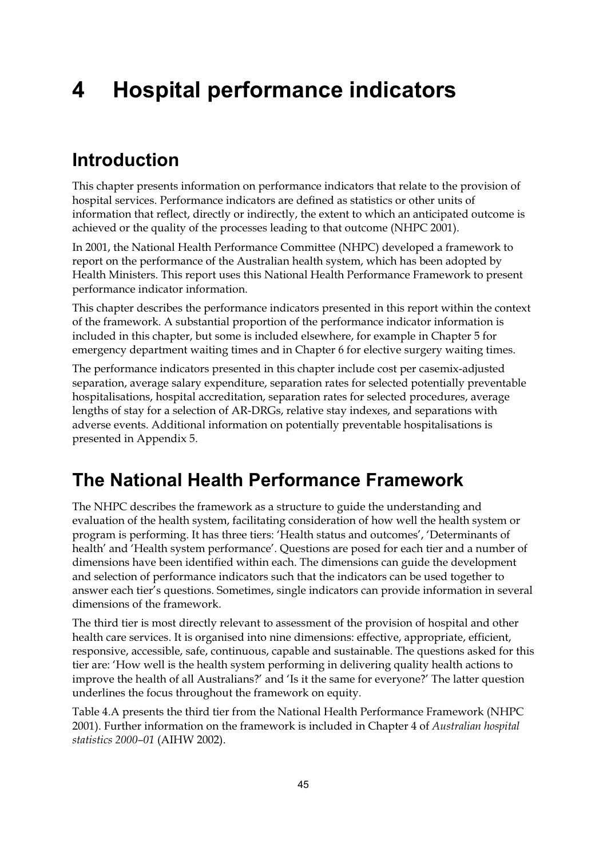# **4 Hospital performance indicators**

### **Introduction**

This chapter presents information on performance indicators that relate to the provision of hospital services. Performance indicators are defined as statistics or other units of information that reflect, directly or indirectly, the extent to which an anticipated outcome is achieved or the quality of the processes leading to that outcome (NHPC 2001).

In 2001, the National Health Performance Committee (NHPC) developed a framework to report on the performance of the Australian health system, which has been adopted by Health Ministers. This report uses this National Health Performance Framework to present performance indicator information.

This chapter describes the performance indicators presented in this report within the context of the framework. A substantial proportion of the performance indicator information is included in this chapter, but some is included elsewhere, for example in Chapter 5 for emergency department waiting times and in Chapter 6 for elective surgery waiting times.

The performance indicators presented in this chapter include cost per casemix-adjusted separation, average salary expenditure, separation rates for selected potentially preventable hospitalisations, hospital accreditation, separation rates for selected procedures, average lengths of stay for a selection of AR-DRGs, relative stay indexes, and separations with adverse events. Additional information on potentially preventable hospitalisations is presented in Appendix 5.

### **The National Health Performance Framework**

The NHPC describes the framework as a structure to guide the understanding and evaluation of the health system, facilitating consideration of how well the health system or program is performing. It has three tiers: 'Health status and outcomes', 'Determinants of health' and 'Health system performance'. Questions are posed for each tier and a number of dimensions have been identified within each. The dimensions can guide the development and selection of performance indicators such that the indicators can be used together to answer each tier's questions. Sometimes, single indicators can provide information in several dimensions of the framework.

The third tier is most directly relevant to assessment of the provision of hospital and other health care services. It is organised into nine dimensions: effective, appropriate, efficient, responsive, accessible, safe, continuous, capable and sustainable. The questions asked for this tier are: 'How well is the health system performing in delivering quality health actions to improve the health of all Australians?' and 'Is it the same for everyone?' The latter question underlines the focus throughout the framework on equity.

Table 4.A presents the third tier from the National Health Performance Framework (NHPC 2001). Further information on the framework is included in Chapter 4 of *Australian hospital statistics 2000–01* (AIHW 2002).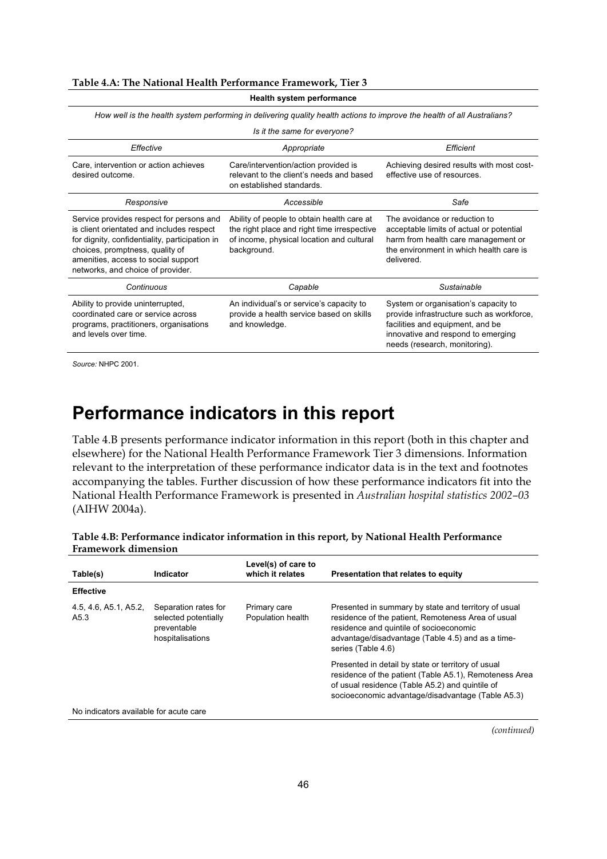#### **Table 4.A: The National Health Performance Framework, Tier 3**

| <b>Health system performance</b>                                                                                                                                                                                                                       |                                                                                                                                                       |                                                                                                                                                                                              |  |  |  |  |  |  |  |
|--------------------------------------------------------------------------------------------------------------------------------------------------------------------------------------------------------------------------------------------------------|-------------------------------------------------------------------------------------------------------------------------------------------------------|----------------------------------------------------------------------------------------------------------------------------------------------------------------------------------------------|--|--|--|--|--|--|--|
|                                                                                                                                                                                                                                                        | How well is the health system performing in delivering quality health actions to improve the health of all Australians?                               |                                                                                                                                                                                              |  |  |  |  |  |  |  |
|                                                                                                                                                                                                                                                        | Is it the same for everyone?                                                                                                                          |                                                                                                                                                                                              |  |  |  |  |  |  |  |
| Effective<br>Efficient<br>Appropriate                                                                                                                                                                                                                  |                                                                                                                                                       |                                                                                                                                                                                              |  |  |  |  |  |  |  |
| Care, intervention or action achieves<br>desired outcome.                                                                                                                                                                                              | Care/intervention/action provided is<br>relevant to the client's needs and based<br>on established standards.                                         | Achieving desired results with most cost-<br>effective use of resources.                                                                                                                     |  |  |  |  |  |  |  |
| Responsive                                                                                                                                                                                                                                             | Accessible                                                                                                                                            | Safe                                                                                                                                                                                         |  |  |  |  |  |  |  |
| Service provides respect for persons and<br>is client orientated and includes respect<br>for dignity, confidentiality, participation in<br>choices, promptness, quality of<br>amenities, access to social support<br>networks, and choice of provider. | Ability of people to obtain health care at<br>the right place and right time irrespective<br>of income, physical location and cultural<br>background. | The avoidance or reduction to<br>acceptable limits of actual or potential<br>harm from health care management or<br>the environment in which health care is<br>delivered.                    |  |  |  |  |  |  |  |
| Continuous                                                                                                                                                                                                                                             | Capable                                                                                                                                               | Sustainable                                                                                                                                                                                  |  |  |  |  |  |  |  |
| Ability to provide uninterrupted,<br>coordinated care or service across<br>programs, practitioners, organisations<br>and levels over time.                                                                                                             | An individual's or service's capacity to<br>provide a health service based on skills<br>and knowledge.                                                | System or organisation's capacity to<br>provide infrastructure such as workforce,<br>facilities and equipment, and be<br>innovative and respond to emerging<br>needs (research, monitoring). |  |  |  |  |  |  |  |

*Source:* NHPC 2001.

### **Performance indicators in this report**

Table 4.B presents performance indicator information in this report (both in this chapter and elsewhere) for the National Health Performance Framework Tier 3 dimensions. Information relevant to the interpretation of these performance indicator data is in the text and footnotes accompanying the tables. Further discussion of how these performance indicators fit into the National Health Performance Framework is presented in *Australian hospital statistics 2002–03* (AIHW 2004a).

| Table 4.B: Performance indicator information in this report, by National Health Performance |  |
|---------------------------------------------------------------------------------------------|--|
| <b>Framework dimension</b>                                                                  |  |

| Table(s)                               | <b>Indicator</b>                                                                | Level(s) of care to<br>which it relates | Presentation that relates to equity                                                                                                                                                                                              |
|----------------------------------------|---------------------------------------------------------------------------------|-----------------------------------------|----------------------------------------------------------------------------------------------------------------------------------------------------------------------------------------------------------------------------------|
| <b>Effective</b>                       |                                                                                 |                                         |                                                                                                                                                                                                                                  |
| 4.5, 4.6, A5.1, A5.2,<br>A5.3          | Separation rates for<br>selected potentially<br>preventable<br>hospitalisations | Primary care<br>Population health       | Presented in summary by state and territory of usual<br>residence of the patient, Remoteness Area of usual<br>residence and quintile of socioeconomic<br>advantage/disadvantage (Table 4.5) and as a time-<br>series (Table 4.6) |
|                                        |                                                                                 |                                         | Presented in detail by state or territory of usual<br>residence of the patient (Table A5.1), Remoteness Area<br>of usual residence (Table A5.2) and quintile of<br>socioeconomic advantage/disadvantage (Table A5.3)             |
| No indicators available for acute care |                                                                                 |                                         |                                                                                                                                                                                                                                  |

*(continued)*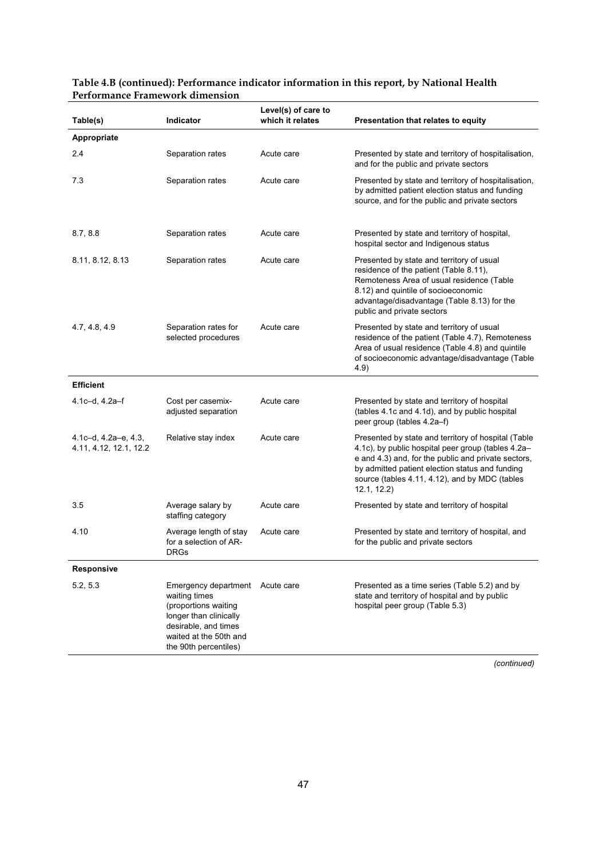| Table(s)                                             | Indicator                                                                                                                                                                     | Level(s) of care to<br>which it relates | Presentation that relates to equity                                                                                                                                                                                                                                                  |
|------------------------------------------------------|-------------------------------------------------------------------------------------------------------------------------------------------------------------------------------|-----------------------------------------|--------------------------------------------------------------------------------------------------------------------------------------------------------------------------------------------------------------------------------------------------------------------------------------|
| Appropriate                                          |                                                                                                                                                                               |                                         |                                                                                                                                                                                                                                                                                      |
| 2.4                                                  | Separation rates                                                                                                                                                              | Acute care                              | Presented by state and territory of hospitalisation,<br>and for the public and private sectors                                                                                                                                                                                       |
| 7.3                                                  | Separation rates                                                                                                                                                              | Acute care                              | Presented by state and territory of hospitalisation,<br>by admitted patient election status and funding<br>source, and for the public and private sectors                                                                                                                            |
| 8.7, 8.8                                             | Separation rates                                                                                                                                                              | Acute care                              | Presented by state and territory of hospital,<br>hospital sector and Indigenous status                                                                                                                                                                                               |
| 8.11, 8.12, 8.13                                     | Separation rates                                                                                                                                                              | Acute care                              | Presented by state and territory of usual<br>residence of the patient (Table 8.11),<br>Remoteness Area of usual residence (Table<br>8.12) and quintile of socioeconomic<br>advantage/disadvantage (Table 8.13) for the<br>public and private sectors                                 |
| 4.7, 4.8, 4.9                                        | Separation rates for<br>selected procedures                                                                                                                                   | Acute care                              | Presented by state and territory of usual<br>residence of the patient (Table 4.7), Remoteness<br>Area of usual residence (Table 4.8) and quintile<br>of socioeconomic advantage/disadvantage (Table<br>4.9)                                                                          |
| <b>Efficient</b>                                     |                                                                                                                                                                               |                                         |                                                                                                                                                                                                                                                                                      |
| 4.1c-d, 4.2a-f                                       | Cost per casemix-<br>adjusted separation                                                                                                                                      | Acute care                              | Presented by state and territory of hospital<br>(tables 4.1c and 4.1d), and by public hospital<br>peer group (tables 4.2a-f)                                                                                                                                                         |
| 4.1c-d, $4.2a-e$ , $4.3$ ,<br>4.11, 4.12, 12.1, 12.2 | Relative stay index                                                                                                                                                           | Acute care                              | Presented by state and territory of hospital (Table<br>4.1c), by public hospital peer group (tables 4.2a-<br>e and 4.3) and, for the public and private sectors,<br>by admitted patient election status and funding<br>source (tables 4.11, 4.12), and by MDC (tables<br>12.1, 12.2) |
| 3.5                                                  | Average salary by<br>staffing category                                                                                                                                        | Acute care                              | Presented by state and territory of hospital                                                                                                                                                                                                                                         |
| 4.10                                                 | Average length of stay<br>for a selection of AR-<br><b>DRGs</b>                                                                                                               | Acute care                              | Presented by state and territory of hospital, and<br>for the public and private sectors                                                                                                                                                                                              |
| Responsive                                           |                                                                                                                                                                               |                                         |                                                                                                                                                                                                                                                                                      |
| 5.2, 5.3                                             | Emergency department Acute care<br>waiting times<br>(proportions waiting<br>longer than clinically<br>desirable, and times<br>waited at the 50th and<br>the 90th percentiles) |                                         | Presented as a time series (Table 5.2) and by<br>state and territory of hospital and by public<br>hospital peer group (Table 5.3)                                                                                                                                                    |

#### **Table 4.B (continued): Performance indicator information in this report, by National Health Performance Framework dimension**

*(continued)*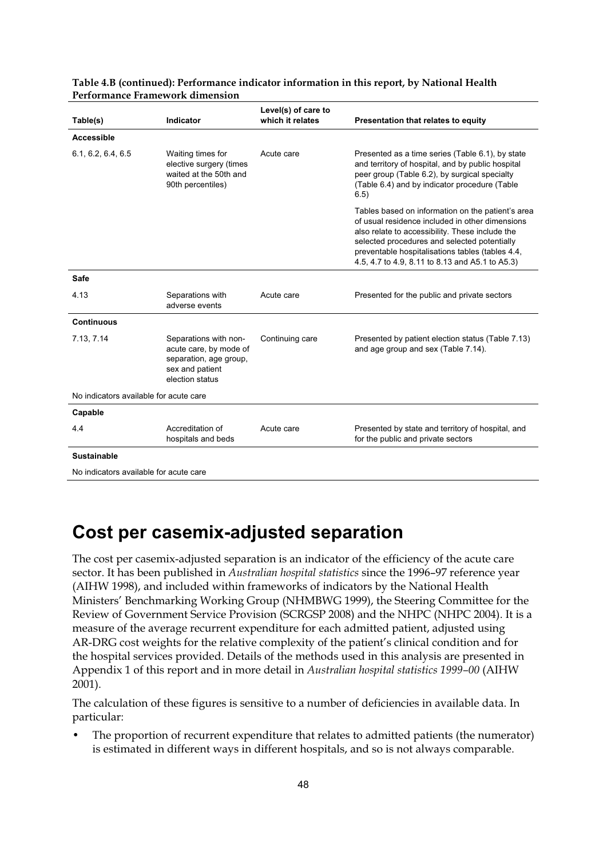| Table(s)                               | Indicator                                                                                                       | Level(s) of care to<br>which it relates | Presentation that relates to equity                                                                                                                                                                                                                                                                            |
|----------------------------------------|-----------------------------------------------------------------------------------------------------------------|-----------------------------------------|----------------------------------------------------------------------------------------------------------------------------------------------------------------------------------------------------------------------------------------------------------------------------------------------------------------|
| <b>Accessible</b>                      |                                                                                                                 |                                         |                                                                                                                                                                                                                                                                                                                |
| 6.1, 6.2, 6.4, 6.5                     | Waiting times for<br>elective surgery (times<br>waited at the 50th and<br>90th percentiles)                     | Acute care                              | Presented as a time series (Table 6.1), by state<br>and territory of hospital, and by public hospital<br>peer group (Table 6.2), by surgical specialty<br>(Table 6.4) and by indicator procedure (Table<br>6.5)                                                                                                |
|                                        |                                                                                                                 |                                         | Tables based on information on the patient's area<br>of usual residence included in other dimensions<br>also relate to accessibility. These include the<br>selected procedures and selected potentially<br>preventable hospitalisations tables (tables 4.4,<br>4.5, 4.7 to 4.9, 8.11 to 8.13 and A5.1 to A5.3) |
| <b>Safe</b>                            |                                                                                                                 |                                         |                                                                                                                                                                                                                                                                                                                |
| 4.13                                   | Separations with<br>adverse events                                                                              | Acute care                              | Presented for the public and private sectors                                                                                                                                                                                                                                                                   |
| <b>Continuous</b>                      |                                                                                                                 |                                         |                                                                                                                                                                                                                                                                                                                |
| 7.13, 7.14                             | Separations with non-<br>acute care, by mode of<br>separation, age group,<br>sex and patient<br>election status | Continuing care                         | Presented by patient election status (Table 7.13)<br>and age group and sex (Table 7.14).                                                                                                                                                                                                                       |
| No indicators available for acute care |                                                                                                                 |                                         |                                                                                                                                                                                                                                                                                                                |
| Capable                                |                                                                                                                 |                                         |                                                                                                                                                                                                                                                                                                                |
| 4.4                                    | Accreditation of<br>hospitals and beds                                                                          | Acute care                              | Presented by state and territory of hospital, and<br>for the public and private sectors                                                                                                                                                                                                                        |
| <b>Sustainable</b>                     |                                                                                                                 |                                         |                                                                                                                                                                                                                                                                                                                |

| Table 4.B (continued): Performance indicator information in this report, by National Health |  |
|---------------------------------------------------------------------------------------------|--|
| <b>Performance Framework dimension</b>                                                      |  |

No indicators available for acute care

### **Cost per casemix-adjusted separation**

The cost per casemix-adjusted separation is an indicator of the efficiency of the acute care sector. It has been published in *Australian hospital statistics* since the 1996–97 reference year (AIHW 1998), and included within frameworks of indicators by the National Health Ministers' Benchmarking Working Group (NHMBWG 1999), the Steering Committee for the Review of Government Service Provision (SCRGSP 2008) and the NHPC (NHPC 2004). It is a measure of the average recurrent expenditure for each admitted patient, adjusted using AR-DRG cost weights for the relative complexity of the patient's clinical condition and for the hospital services provided. Details of the methods used in this analysis are presented in Appendix 1 of this report and in more detail in *Australian hospital statistics 1999–00* (AIHW 2001).

The calculation of these figures is sensitive to a number of deficiencies in available data. In particular:

• The proportion of recurrent expenditure that relates to admitted patients (the numerator) is estimated in different ways in different hospitals, and so is not always comparable.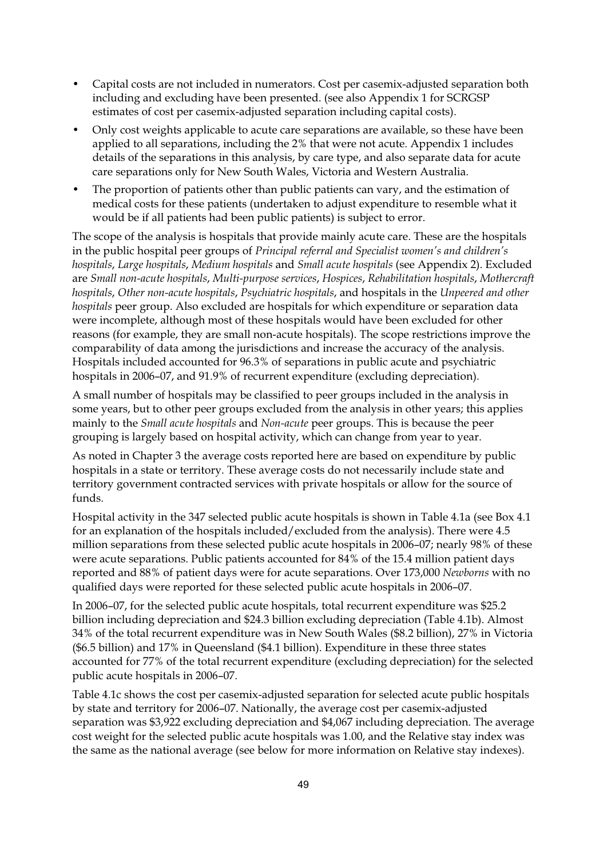- Capital costs are not included in numerators. Cost per casemix-adjusted separation both including and excluding have been presented. (see also Appendix 1 for SCRGSP estimates of cost per casemix-adjusted separation including capital costs).
- Only cost weights applicable to acute care separations are available, so these have been applied to all separations, including the 2% that were not acute. Appendix 1 includes details of the separations in this analysis, by care type, and also separate data for acute care separations only for New South Wales, Victoria and Western Australia.
- The proportion of patients other than public patients can vary, and the estimation of medical costs for these patients (undertaken to adjust expenditure to resemble what it would be if all patients had been public patients) is subject to error.

The scope of the analysis is hospitals that provide mainly acute care. These are the hospitals in the public hospital peer groups of *Principal referral and Specialist women's and children's hospitals*, *Large hospitals*, *Medium hospitals* and *Small acute hospitals* (see Appendix 2). Excluded are *Small non-acute hospitals*, *Multi-purpose services*, *Hospices*, *Rehabilitation hospitals*, *Mothercraft hospitals*, *Other non-acute hospitals*, *Psychiatric hospitals*, and hospitals in the *Unpeered and other hospitals* peer group. Also excluded are hospitals for which expenditure or separation data were incomplete, although most of these hospitals would have been excluded for other reasons (for example, they are small non-acute hospitals). The scope restrictions improve the comparability of data among the jurisdictions and increase the accuracy of the analysis. Hospitals included accounted for 96.3% of separations in public acute and psychiatric hospitals in 2006–07, and 91.9% of recurrent expenditure (excluding depreciation).

A small number of hospitals may be classified to peer groups included in the analysis in some years, but to other peer groups excluded from the analysis in other years; this applies mainly to the *Small acute hospitals* and *Non-acute* peer groups. This is because the peer grouping is largely based on hospital activity, which can change from year to year.

As noted in Chapter 3 the average costs reported here are based on expenditure by public hospitals in a state or territory. These average costs do not necessarily include state and territory government contracted services with private hospitals or allow for the source of funds.

Hospital activity in the 347 selected public acute hospitals is shown in Table 4.1a (see Box 4.1 for an explanation of the hospitals included/excluded from the analysis). There were 4.5 million separations from these selected public acute hospitals in 2006–07; nearly 98% of these were acute separations. Public patients accounted for 84% of the 15.4 million patient days reported and 88% of patient days were for acute separations. Over 173,000 *Newborns* with no qualified days were reported for these selected public acute hospitals in 2006–07.

In 2006–07, for the selected public acute hospitals, total recurrent expenditure was \$25.2 billion including depreciation and \$24.3 billion excluding depreciation (Table 4.1b). Almost 34% of the total recurrent expenditure was in New South Wales (\$8.2 billion), 27% in Victoria (\$6.5 billion) and 17% in Queensland (\$4.1 billion). Expenditure in these three states accounted for 77% of the total recurrent expenditure (excluding depreciation) for the selected public acute hospitals in 2006–07.

Table 4.1c shows the cost per casemix-adjusted separation for selected acute public hospitals by state and territory for 2006–07. Nationally, the average cost per casemix-adjusted separation was \$3,922 excluding depreciation and \$4,067 including depreciation. The average cost weight for the selected public acute hospitals was 1.00, and the Relative stay index was the same as the national average (see below for more information on Relative stay indexes).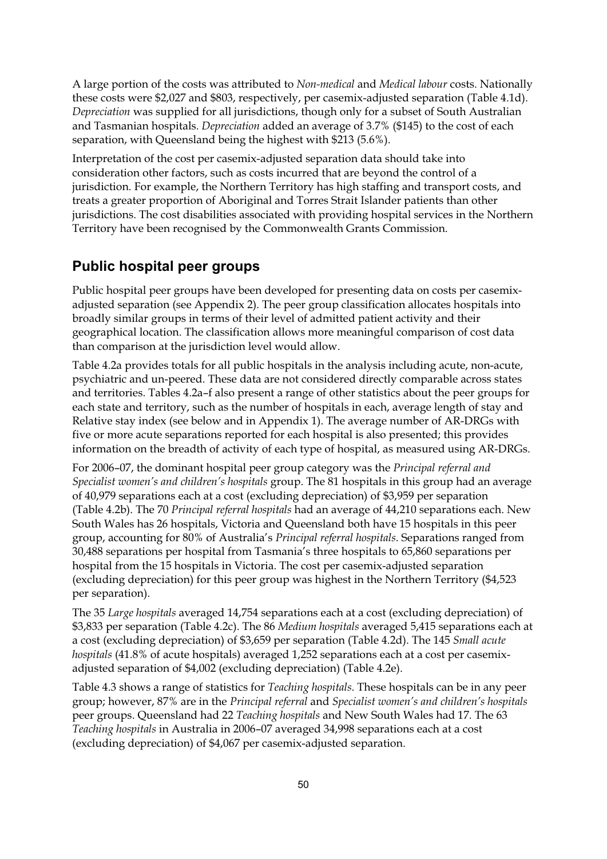A large portion of the costs was attributed to *Non-medical* and *Medical labour* costs. Nationally these costs were \$2,027 and \$803, respectively, per casemix-adjusted separation (Table 4.1d). *Depreciation* was supplied for all jurisdictions, though only for a subset of South Australian and Tasmanian hospitals. *Depreciation* added an average of 3.7% (\$145) to the cost of each separation, with Queensland being the highest with \$213 (5.6%).

Interpretation of the cost per casemix-adjusted separation data should take into consideration other factors, such as costs incurred that are beyond the control of a jurisdiction. For example, the Northern Territory has high staffing and transport costs, and treats a greater proportion of Aboriginal and Torres Strait Islander patients than other jurisdictions. The cost disabilities associated with providing hospital services in the Northern Territory have been recognised by the Commonwealth Grants Commission.

#### **Public hospital peer groups**

Public hospital peer groups have been developed for presenting data on costs per casemixadjusted separation (see Appendix 2). The peer group classification allocates hospitals into broadly similar groups in terms of their level of admitted patient activity and their geographical location. The classification allows more meaningful comparison of cost data than comparison at the jurisdiction level would allow.

Table 4.2a provides totals for all public hospitals in the analysis including acute, non-acute, psychiatric and un-peered. These data are not considered directly comparable across states and territories. Tables 4.2a–f also present a range of other statistics about the peer groups for each state and territory, such as the number of hospitals in each, average length of stay and Relative stay index (see below and in Appendix 1). The average number of AR-DRGs with five or more acute separations reported for each hospital is also presented; this provides information on the breadth of activity of each type of hospital, as measured using AR-DRGs.

For 2006–07, the dominant hospital peer group category was the *Principal referral and Specialist women's and children's hospitals* group. The 81 hospitals in this group had an average of 40,979 separations each at a cost (excluding depreciation) of \$3,959 per separation (Table 4.2b). The 70 *Principal referral hospitals* had an average of 44,210 separations each. New South Wales has 26 hospitals, Victoria and Queensland both have 15 hospitals in this peer group, accounting for 80% of Australia's *Principal referral hospitals*. Separations ranged from 30,488 separations per hospital from Tasmania's three hospitals to 65,860 separations per hospital from the 15 hospitals in Victoria. The cost per casemix-adjusted separation (excluding depreciation) for this peer group was highest in the Northern Territory (\$4,523 per separation).

The 35 *Large hospitals* averaged 14,754 separations each at a cost (excluding depreciation) of \$3,833 per separation (Table 4.2c). The 86 *Medium hospitals* averaged 5,415 separations each at a cost (excluding depreciation) of \$3,659 per separation (Table 4.2d). The 145 *Small acute hospitals* (41.8% of acute hospitals) averaged 1,252 separations each at a cost per casemixadjusted separation of \$4,002 (excluding depreciation) (Table 4.2e).

Table 4.3 shows a range of statistics for *Teaching hospitals*. These hospitals can be in any peer group; however, 87% are in the *Principal referral* and *Specialist women's and children's hospitals* peer groups. Queensland had 22 *Teaching hospitals* and New South Wales had 17*.* The 63 *Teaching hospitals* in Australia in 2006–07 averaged 34,998 separations each at a cost (excluding depreciation) of \$4,067 per casemix-adjusted separation.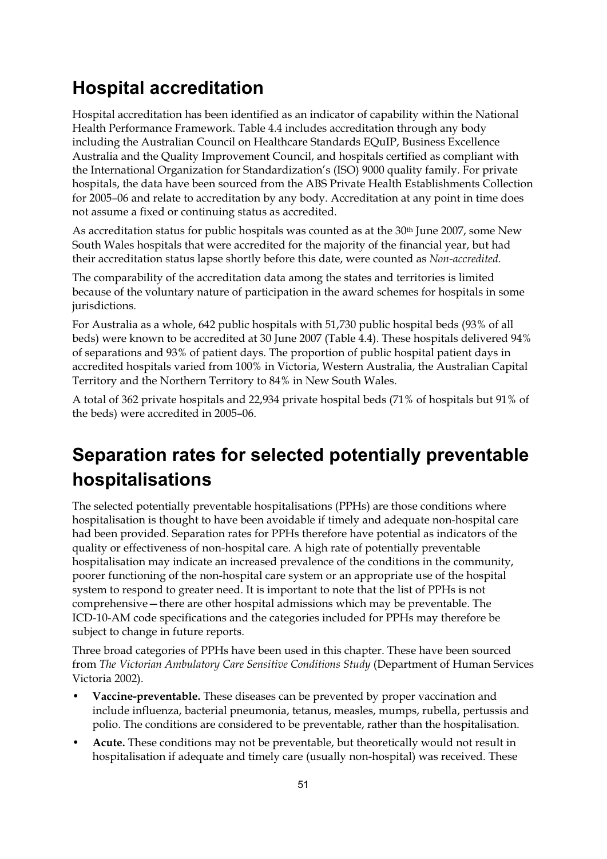### **Hospital accreditation**

Hospital accreditation has been identified as an indicator of capability within the National Health Performance Framework. Table 4.4 includes accreditation through any body including the Australian Council on Healthcare Standards EQuIP, Business Excellence Australia and the Quality Improvement Council, and hospitals certified as compliant with the International Organization for Standardization's (ISO) 9000 quality family. For private hospitals, the data have been sourced from the ABS Private Health Establishments Collection for 2005–06 and relate to accreditation by any body. Accreditation at any point in time does not assume a fixed or continuing status as accredited.

As accreditation status for public hospitals was counted as at the 30<sup>th</sup> June 2007, some New South Wales hospitals that were accredited for the majority of the financial year, but had their accreditation status lapse shortly before this date, were counted as *Non-accredited*.

The comparability of the accreditation data among the states and territories is limited because of the voluntary nature of participation in the award schemes for hospitals in some jurisdictions.

For Australia as a whole, 642 public hospitals with 51,730 public hospital beds (93% of all beds) were known to be accredited at 30 June 2007 (Table 4.4). These hospitals delivered 94% of separations and 93% of patient days. The proportion of public hospital patient days in accredited hospitals varied from 100% in Victoria, Western Australia, the Australian Capital Territory and the Northern Territory to 84% in New South Wales.

A total of 362 private hospitals and 22,934 private hospital beds (71% of hospitals but 91% of the beds) were accredited in 2005–06.

# **Separation rates for selected potentially preventable hospitalisations**

The selected potentially preventable hospitalisations (PPHs) are those conditions where hospitalisation is thought to have been avoidable if timely and adequate non-hospital care had been provided. Separation rates for PPHs therefore have potential as indicators of the quality or effectiveness of non-hospital care. A high rate of potentially preventable hospitalisation may indicate an increased prevalence of the conditions in the community, poorer functioning of the non-hospital care system or an appropriate use of the hospital system to respond to greater need. It is important to note that the list of PPHs is not comprehensive—there are other hospital admissions which may be preventable. The ICD-10-AM code specifications and the categories included for PPHs may therefore be subject to change in future reports.

Three broad categories of PPHs have been used in this chapter. These have been sourced from *The Victorian Ambulatory Care Sensitive Conditions Study* (Department of Human Services Victoria 2002).

- **Vaccine-preventable.** These diseases can be prevented by proper vaccination and include influenza, bacterial pneumonia, tetanus, measles, mumps, rubella, pertussis and polio. The conditions are considered to be preventable, rather than the hospitalisation.
- **Acute.** These conditions may not be preventable, but theoretically would not result in hospitalisation if adequate and timely care (usually non-hospital) was received. These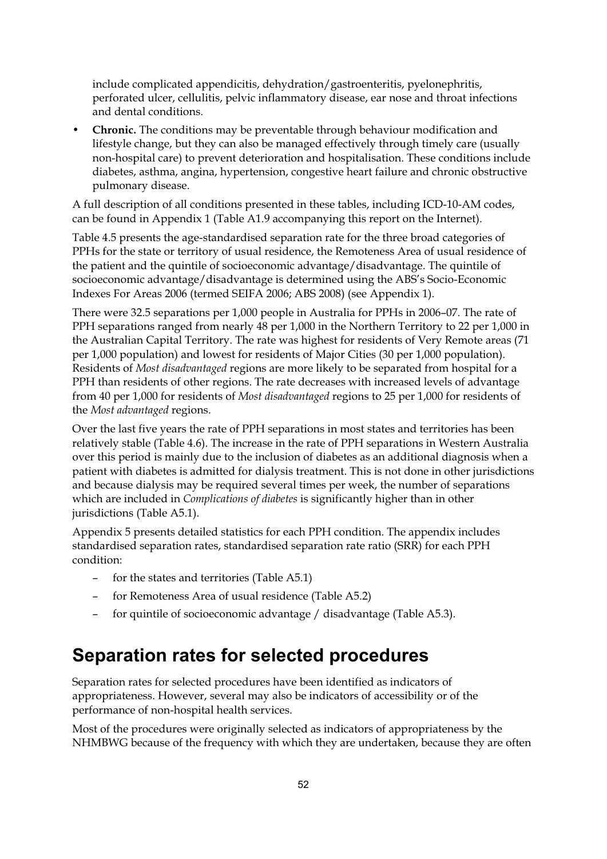include complicated appendicitis, dehydration/gastroenteritis, pyelonephritis, perforated ulcer, cellulitis, pelvic inflammatory disease, ear nose and throat infections and dental conditions.

• **Chronic.** The conditions may be preventable through behaviour modification and lifestyle change, but they can also be managed effectively through timely care (usually non-hospital care) to prevent deterioration and hospitalisation. These conditions include diabetes, asthma, angina, hypertension, congestive heart failure and chronic obstructive pulmonary disease.

A full description of all conditions presented in these tables, including ICD-10-AM codes, can be found in Appendix 1 (Table A1.9 accompanying this report on the Internet).

Table 4.5 presents the age-standardised separation rate for the three broad categories of PPHs for the state or territory of usual residence, the Remoteness Area of usual residence of the patient and the quintile of socioeconomic advantage/disadvantage. The quintile of socioeconomic advantage/disadvantage is determined using the ABS's Socio-Economic Indexes For Areas 2006 (termed SEIFA 2006; ABS 2008) (see Appendix 1).

There were 32.5 separations per 1,000 people in Australia for PPHs in 2006–07. The rate of PPH separations ranged from nearly 48 per 1,000 in the Northern Territory to 22 per 1,000 in the Australian Capital Territory. The rate was highest for residents of Very Remote areas (71 per 1,000 population) and lowest for residents of Major Cities (30 per 1,000 population). Residents of *Most disadvantaged* regions are more likely to be separated from hospital for a PPH than residents of other regions. The rate decreases with increased levels of advantage from 40 per 1,000 for residents of *Most disadvantaged* regions to 25 per 1,000 for residents of the *Most advantaged* regions.

Over the last five years the rate of PPH separations in most states and territories has been relatively stable (Table 4.6). The increase in the rate of PPH separations in Western Australia over this period is mainly due to the inclusion of diabetes as an additional diagnosis when a patient with diabetes is admitted for dialysis treatment. This is not done in other jurisdictions and because dialysis may be required several times per week, the number of separations which are included in *Complications of diabetes* is significantly higher than in other jurisdictions (Table A5.1).

Appendix 5 presents detailed statistics for each PPH condition. The appendix includes standardised separation rates, standardised separation rate ratio (SRR) for each PPH condition:

- for the states and territories (Table A5.1)
- for Remoteness Area of usual residence (Table A5.2)
- for quintile of socioeconomic advantage / disadvantage (Table A5.3).

#### **Separation rates for selected procedures**

Separation rates for selected procedures have been identified as indicators of appropriateness. However, several may also be indicators of accessibility or of the performance of non-hospital health services.

Most of the procedures were originally selected as indicators of appropriateness by the NHMBWG because of the frequency with which they are undertaken, because they are often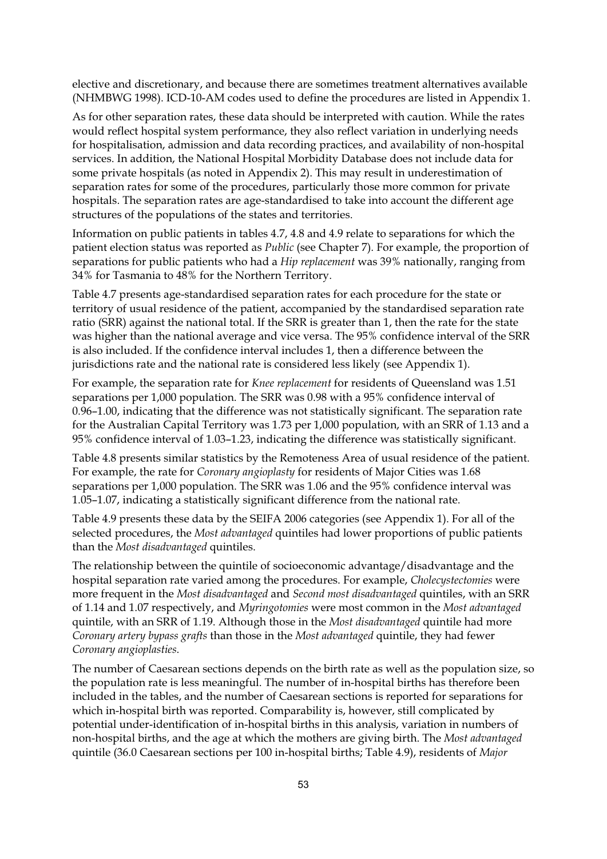elective and discretionary, and because there are sometimes treatment alternatives available (NHMBWG 1998). ICD-10-AM codes used to define the procedures are listed in Appendix 1.

As for other separation rates, these data should be interpreted with caution. While the rates would reflect hospital system performance, they also reflect variation in underlying needs for hospitalisation, admission and data recording practices, and availability of non-hospital services. In addition, the National Hospital Morbidity Database does not include data for some private hospitals (as noted in Appendix 2). This may result in underestimation of separation rates for some of the procedures, particularly those more common for private hospitals. The separation rates are age-standardised to take into account the different age structures of the populations of the states and territories.

Information on public patients in tables 4.7, 4.8 and 4.9 relate to separations for which the patient election status was reported as *Public* (see Chapter 7). For example, the proportion of separations for public patients who had a *Hip replacement* was 39% nationally, ranging from 34% for Tasmania to 48% for the Northern Territory.

Table 4.7 presents age-standardised separation rates for each procedure for the state or territory of usual residence of the patient, accompanied by the standardised separation rate ratio (SRR) against the national total. If the SRR is greater than 1, then the rate for the state was higher than the national average and vice versa. The 95% confidence interval of the SRR is also included. If the confidence interval includes 1, then a difference between the jurisdictions rate and the national rate is considered less likely (see Appendix 1).

For example, the separation rate for *Knee replacement* for residents of Queensland was 1.51 separations per 1,000 population. The SRR was 0.98 with a 95% confidence interval of 0.96–1.00, indicating that the difference was not statistically significant. The separation rate for the Australian Capital Territory was 1.73 per 1,000 population, with an SRR of 1.13 and a 95% confidence interval of 1.03–1.23, indicating the difference was statistically significant.

Table 4.8 presents similar statistics by the Remoteness Area of usual residence of the patient. For example, the rate for *Coronary angioplasty* for residents of Major Cities was 1.68 separations per 1,000 population. The SRR was 1.06 and the 95% confidence interval was 1.05–1.07, indicating a statistically significant difference from the national rate.

Table 4.9 presents these data by the SEIFA 2006 categories (see Appendix 1). For all of the selected procedures, the *Most advantaged* quintiles had lower proportions of public patients than the *Most disadvantaged* quintiles.

The relationship between the quintile of socioeconomic advantage/disadvantage and the hospital separation rate varied among the procedures. For example, *Cholecystectomies* were more frequent in the *Most disadvantaged* and *Second most disadvantaged* quintiles, with an SRR of 1.14 and 1.07 respectively, and *Myringotomies* were most common in the *Most advantaged* quintile, with an SRR of 1.19. Although those in the *Most disadvantaged* quintile had more *Coronary artery bypass grafts* than those in the *Most advantaged* quintile, they had fewer *Coronary angioplasties*.

The number of Caesarean sections depends on the birth rate as well as the population size, so the population rate is less meaningful. The number of in-hospital births has therefore been included in the tables, and the number of Caesarean sections is reported for separations for which in-hospital birth was reported. Comparability is, however, still complicated by potential under-identification of in-hospital births in this analysis, variation in numbers of non-hospital births, and the age at which the mothers are giving birth. The *Most advantaged* quintile (36.0 Caesarean sections per 100 in-hospital births; Table 4.9), residents of *Major*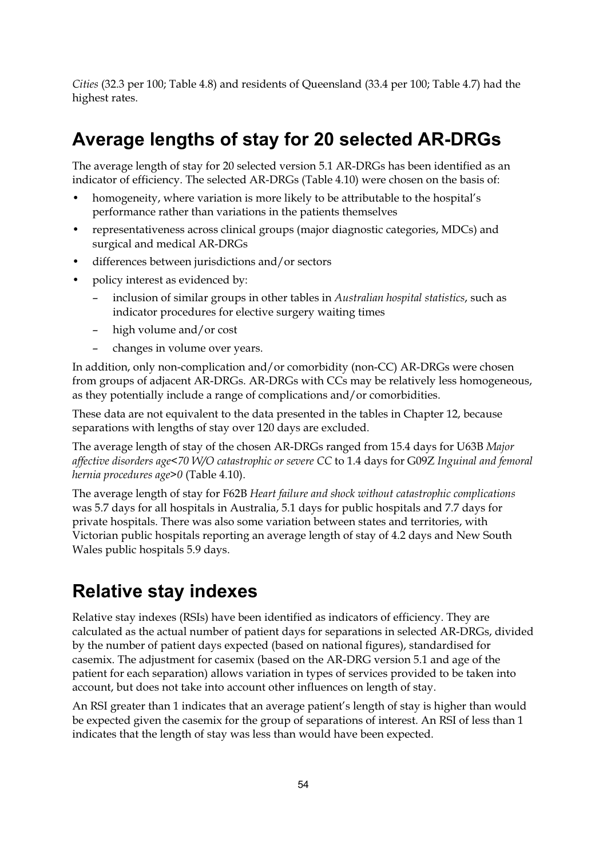*Cities* (32.3 per 100; Table 4.8) and residents of Queensland (33.4 per 100; Table 4.7) had the highest rates.

# **Average lengths of stay for 20 selected AR-DRGs**

The average length of stay for 20 selected version 5.1 AR-DRGs has been identified as an indicator of efficiency. The selected AR-DRGs (Table 4.10) were chosen on the basis of:

- homogeneity, where variation is more likely to be attributable to the hospital's performance rather than variations in the patients themselves
- representativeness across clinical groups (major diagnostic categories, MDCs) and surgical and medical AR-DRGs
- differences between jurisdictions and/or sectors
- policy interest as evidenced by:
	- inclusion of similar groups in other tables in *Australian hospital statistics*, such as indicator procedures for elective surgery waiting times
	- high volume and/or cost
	- changes in volume over years.

In addition, only non-complication and/or comorbidity (non-CC) AR-DRGs were chosen from groups of adjacent AR-DRGs. AR-DRGs with CCs may be relatively less homogeneous, as they potentially include a range of complications and/or comorbidities.

These data are not equivalent to the data presented in the tables in Chapter 12, because separations with lengths of stay over 120 days are excluded.

The average length of stay of the chosen AR-DRGs ranged from 15.4 days for U63B *Major affective disorders age<70 W/O catastrophic or severe CC* to 1.4 days for G09Z *Inguinal and femoral hernia procedures age>0* (Table 4.10).

The average length of stay for F62B *Heart failure and shock without catastrophic complications* was 5.7 days for all hospitals in Australia, 5.1 days for public hospitals and 7.7 days for private hospitals. There was also some variation between states and territories, with Victorian public hospitals reporting an average length of stay of 4.2 days and New South Wales public hospitals 5.9 days.

### **Relative stay indexes**

Relative stay indexes (RSIs) have been identified as indicators of efficiency. They are calculated as the actual number of patient days for separations in selected AR-DRGs, divided by the number of patient days expected (based on national figures), standardised for casemix. The adjustment for casemix (based on the AR-DRG version 5.1 and age of the patient for each separation) allows variation in types of services provided to be taken into account, but does not take into account other influences on length of stay.

An RSI greater than 1 indicates that an average patient's length of stay is higher than would be expected given the casemix for the group of separations of interest. An RSI of less than 1 indicates that the length of stay was less than would have been expected.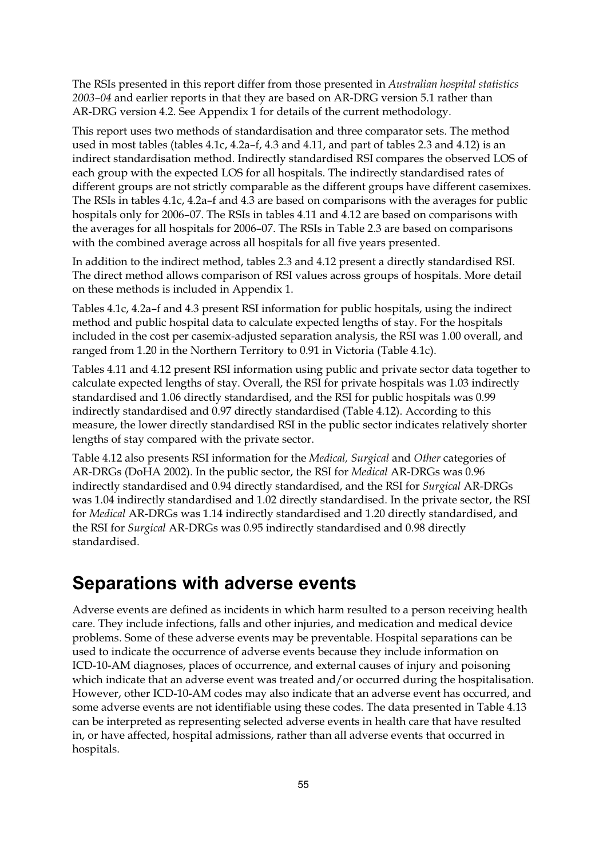The RSIs presented in this report differ from those presented in *Australian hospital statistics 2003–04* and earlier reports in that they are based on AR-DRG version 5.1 rather than AR-DRG version 4.2. See Appendix 1 for details of the current methodology.

This report uses two methods of standardisation and three comparator sets. The method used in most tables (tables 4.1c, 4.2a–f, 4.3 and 4.11, and part of tables 2.3 and 4.12) is an indirect standardisation method. Indirectly standardised RSI compares the observed LOS of each group with the expected LOS for all hospitals. The indirectly standardised rates of different groups are not strictly comparable as the different groups have different casemixes. The RSIs in tables 4.1c, 4.2a–f and 4.3 are based on comparisons with the averages for public hospitals only for 2006–07. The RSIs in tables 4.11 and 4.12 are based on comparisons with the averages for all hospitals for 2006–07. The RSIs in Table 2.3 are based on comparisons with the combined average across all hospitals for all five years presented.

In addition to the indirect method, tables 2.3 and 4.12 present a directly standardised RSI. The direct method allows comparison of RSI values across groups of hospitals. More detail on these methods is included in Appendix 1.

Tables 4.1c, 4.2a–f and 4.3 present RSI information for public hospitals, using the indirect method and public hospital data to calculate expected lengths of stay. For the hospitals included in the cost per casemix-adjusted separation analysis, the RSI was 1.00 overall, and ranged from 1.20 in the Northern Territory to 0.91 in Victoria (Table 4.1c).

Tables 4.11 and 4.12 present RSI information using public and private sector data together to calculate expected lengths of stay. Overall, the RSI for private hospitals was 1.03 indirectly standardised and 1.06 directly standardised, and the RSI for public hospitals was 0.99 indirectly standardised and 0.97 directly standardised (Table 4.12). According to this measure, the lower directly standardised RSI in the public sector indicates relatively shorter lengths of stay compared with the private sector.

Table 4.12 also presents RSI information for the *Medical, Surgical* and *Other* categories of AR-DRGs (DoHA 2002). In the public sector, the RSI for *Medical* AR-DRGs was 0.96 indirectly standardised and 0.94 directly standardised, and the RSI for *Surgical* AR-DRGs was 1.04 indirectly standardised and 1.02 directly standardised. In the private sector, the RSI for *Medical* AR-DRGs was 1.14 indirectly standardised and 1.20 directly standardised, and the RSI for *Surgical* AR-DRGs was 0.95 indirectly standardised and 0.98 directly standardised.

#### **Separations with adverse events**

Adverse events are defined as incidents in which harm resulted to a person receiving health care. They include infections, falls and other injuries, and medication and medical device problems. Some of these adverse events may be preventable. Hospital separations can be used to indicate the occurrence of adverse events because they include information on ICD-10-AM diagnoses, places of occurrence, and external causes of injury and poisoning which indicate that an adverse event was treated and/or occurred during the hospitalisation. However, other ICD-10-AM codes may also indicate that an adverse event has occurred, and some adverse events are not identifiable using these codes. The data presented in Table 4.13 can be interpreted as representing selected adverse events in health care that have resulted in, or have affected, hospital admissions, rather than all adverse events that occurred in hospitals.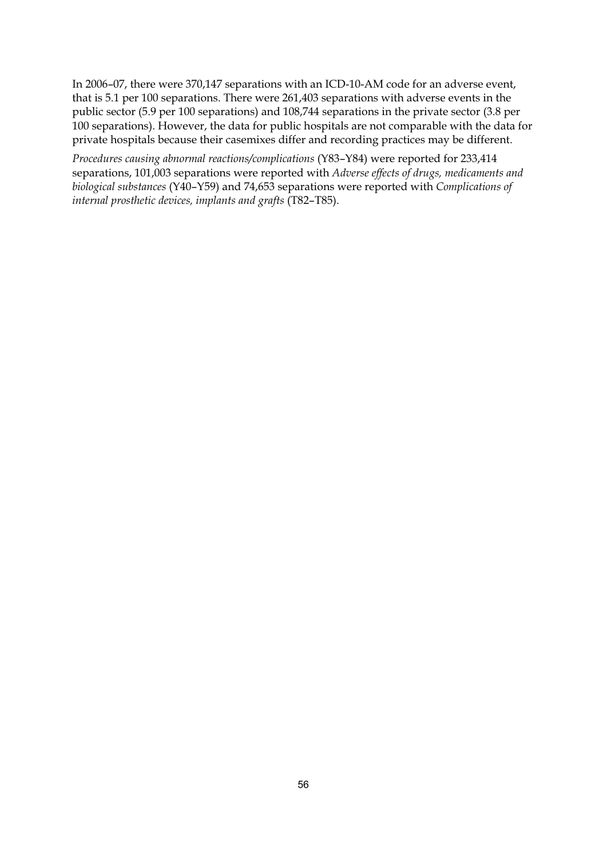In 2006–07, there were 370,147 separations with an ICD-10-AM code for an adverse event, that is 5.1 per 100 separations. There were 261,403 separations with adverse events in the public sector (5.9 per 100 separations) and 108,744 separations in the private sector (3.8 per 100 separations). However, the data for public hospitals are not comparable with the data for private hospitals because their casemixes differ and recording practices may be different.

*Procedures causing abnormal reactions/complications* (Y83–Y84) were reported for 233,414 separations, 101,003 separations were reported with *Adverse effects of drugs, medicaments and biological substances* (Y40–Y59) and 74,653 separations were reported with *Complications of internal prosthetic devices, implants and grafts* (T82–T85).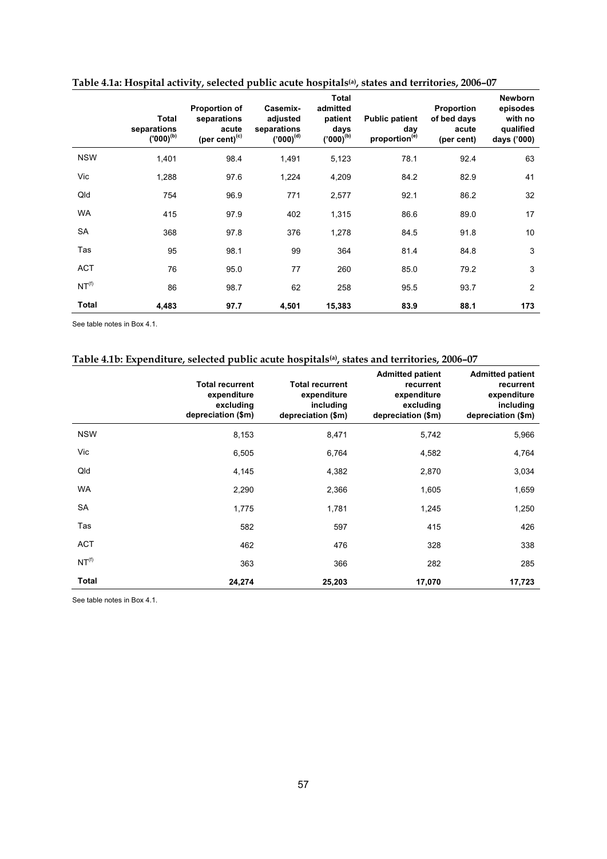|                   | Total<br>separations<br>$(000)^{(b)}$ | <b>Proportion of</b><br>separations<br>acute<br>(per cent) <sup>(c)</sup> | Casemix-<br>adjusted<br>separations<br>$('000)^{(d)}$ | <b>Total</b><br>admitted<br>patient<br>days<br>$('000)^{(b)}$ | <b>Public patient</b><br>day<br>proportion <sup>(e)</sup> | Proportion<br>of bed days<br>acute<br>(per cent) | <b>Newborn</b><br>episodes<br>with no<br>qualified<br>days ('000) |
|-------------------|---------------------------------------|---------------------------------------------------------------------------|-------------------------------------------------------|---------------------------------------------------------------|-----------------------------------------------------------|--------------------------------------------------|-------------------------------------------------------------------|
| <b>NSW</b>        | 1,401                                 | 98.4                                                                      | 1,491                                                 | 5,123                                                         | 78.1                                                      | 92.4                                             | 63                                                                |
| Vic               | 1,288                                 | 97.6                                                                      | 1,224                                                 | 4,209                                                         | 84.2                                                      | 82.9                                             | 41                                                                |
| Qld               | 754                                   | 96.9                                                                      | 771                                                   | 2,577                                                         | 92.1                                                      | 86.2                                             | 32                                                                |
| <b>WA</b>         | 415                                   | 97.9                                                                      | 402                                                   | 1,315                                                         | 86.6                                                      | 89.0                                             | 17                                                                |
| SA                | 368                                   | 97.8                                                                      | 376                                                   | 1,278                                                         | 84.5                                                      | 91.8                                             | 10                                                                |
| Tas               | 95                                    | 98.1                                                                      | 99                                                    | 364                                                           | 81.4                                                      | 84.8                                             | 3                                                                 |
| <b>ACT</b>        | 76                                    | 95.0                                                                      | 77                                                    | 260                                                           | 85.0                                                      | 79.2                                             | 3                                                                 |
| NT <sup>(f)</sup> | 86                                    | 98.7                                                                      | 62                                                    | 258                                                           | 95.5                                                      | 93.7                                             | $\overline{2}$                                                    |
| Total             | 4,483                                 | 97.7                                                                      | 4,501                                                 | 15,383                                                        | 83.9                                                      | 88.1                                             | 173                                                               |

**Table 4.1a: Hospital activity, selected public acute hospitals(a), states and territories, 2006–07** 

#### **Table 4.1b: Expenditure, selected public acute hospitals(a), states and territories, 2006–07**

|                   | <b>Total recurrent</b><br>expenditure<br>excluding<br>depreciation (\$m) | <b>Total recurrent</b><br>expenditure<br>including<br>depreciation (\$m) | <b>Admitted patient</b><br>recurrent<br>expenditure<br>excluding<br>depreciation (\$m) | <b>Admitted patient</b><br>recurrent<br>expenditure<br>including<br>depreciation (\$m) |
|-------------------|--------------------------------------------------------------------------|--------------------------------------------------------------------------|----------------------------------------------------------------------------------------|----------------------------------------------------------------------------------------|
| <b>NSW</b>        | 8,153                                                                    | 8,471                                                                    | 5,742                                                                                  | 5,966                                                                                  |
| Vic               | 6,505                                                                    | 6,764                                                                    | 4,582                                                                                  | 4,764                                                                                  |
| Qld               | 4,145                                                                    | 4,382                                                                    | 2,870                                                                                  | 3,034                                                                                  |
| <b>WA</b>         | 2,290                                                                    | 2,366                                                                    | 1,605                                                                                  | 1,659                                                                                  |
| SA                | 1,775                                                                    | 1,781                                                                    | 1,245                                                                                  | 1,250                                                                                  |
| Tas               | 582                                                                      | 597                                                                      | 415                                                                                    | 426                                                                                    |
| <b>ACT</b>        | 462                                                                      | 476                                                                      | 328                                                                                    | 338                                                                                    |
| NT <sup>(f)</sup> | 363                                                                      | 366                                                                      | 282                                                                                    | 285                                                                                    |
| Total             | 24,274                                                                   | 25,203                                                                   | 17,070                                                                                 | 17,723                                                                                 |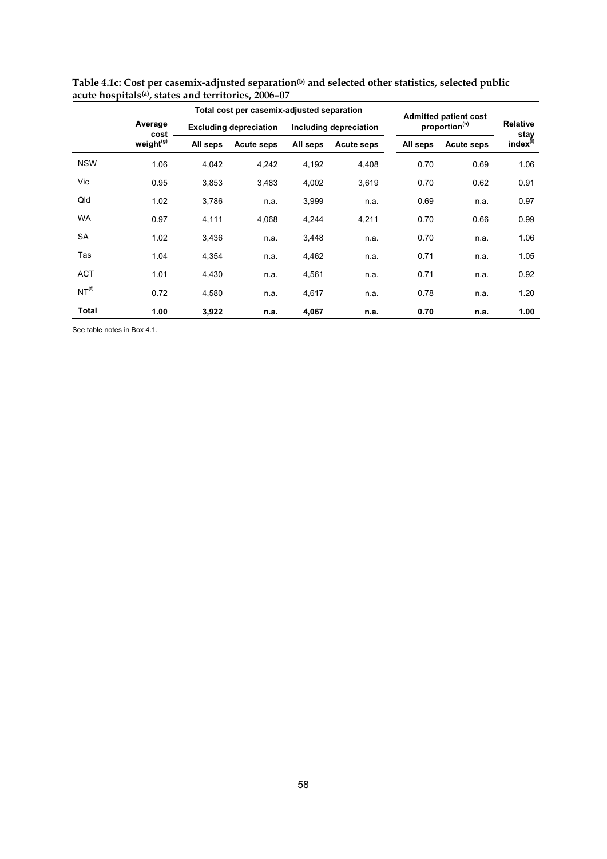|                   |                       |          | Total cost per casemix-adjusted separation |          |                        | <b>Admitted patient cost</b> |                           |                         |  |
|-------------------|-----------------------|----------|--------------------------------------------|----------|------------------------|------------------------------|---------------------------|-------------------------|--|
|                   | Average<br>cost       |          | <b>Excluding depreciation</b>              |          | Including depreciation |                              | proportion <sup>(h)</sup> | <b>Relative</b><br>stay |  |
|                   | weight <sup>(g)</sup> | All seps | Acute seps                                 | All seps | <b>Acute seps</b>      | All seps                     | <b>Acute seps</b>         | index <sup>(i)</sup>    |  |
| <b>NSW</b>        | 1.06                  | 4,042    | 4,242                                      | 4,192    | 4,408                  | 0.70                         | 0.69                      | 1.06                    |  |
| Vic               | 0.95                  | 3,853    | 3,483                                      | 4,002    | 3,619                  | 0.70                         | 0.62                      | 0.91                    |  |
| Qld               | 1.02                  | 3,786    | n.a.                                       | 3,999    | n.a.                   | 0.69                         | n.a.                      | 0.97                    |  |
| <b>WA</b>         | 0.97                  | 4,111    | 4,068                                      | 4,244    | 4,211                  | 0.70                         | 0.66                      | 0.99                    |  |
| <b>SA</b>         | 1.02                  | 3,436    | n.a.                                       | 3,448    | n.a.                   | 0.70                         | n.a.                      | 1.06                    |  |
| Tas               | 1.04                  | 4,354    | n.a.                                       | 4,462    | n.a.                   | 0.71                         | n.a.                      | 1.05                    |  |
| <b>ACT</b>        | 1.01                  | 4,430    | n.a.                                       | 4,561    | n.a.                   | 0.71                         | n.a.                      | 0.92                    |  |
| NT <sup>(f)</sup> | 0.72                  | 4,580    | n.a.                                       | 4,617    | n.a.                   | 0.78                         | n.a.                      | 1.20                    |  |
| Total             | 1.00                  | 3,922    | n.a.                                       | 4,067    | n.a.                   | 0.70                         | n.a.                      | 1.00                    |  |

**Table 4.1c: Cost per casemix-adjusted separation(b) and selected other statistics, selected public acute hospitals(a), states and territories, 2006–07**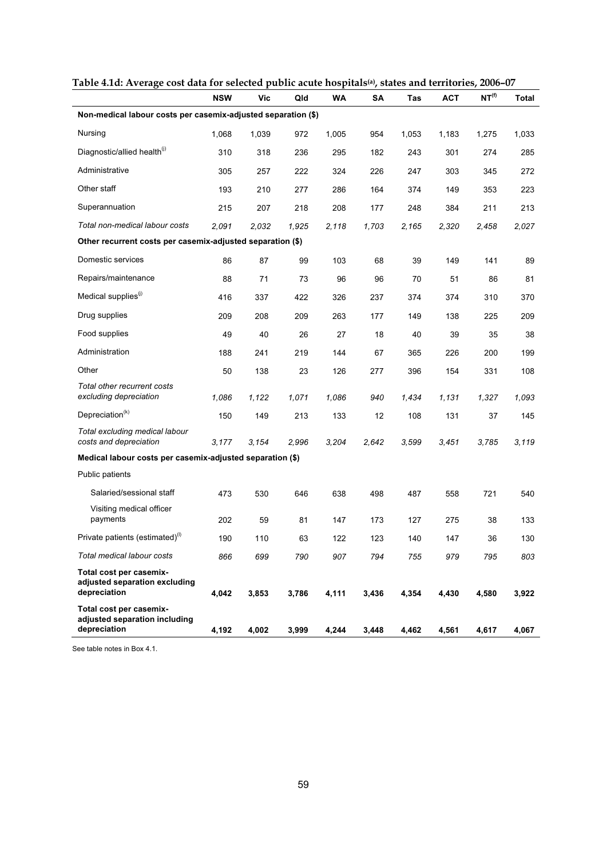| Table 4.1u. Avelage cost uata for selecteu public acute hospitals"), states and territories, 2000–07 | <b>NSW</b> | Vic   | Qld   | WA    | SΑ    | Tas   | <b>ACT</b> | NT <sup>(f)</sup> | Total |
|------------------------------------------------------------------------------------------------------|------------|-------|-------|-------|-------|-------|------------|-------------------|-------|
| Non-medical labour costs per casemix-adjusted separation (\$)                                        |            |       |       |       |       |       |            |                   |       |
| Nursing                                                                                              | 1,068      | 1,039 | 972   | 1,005 | 954   | 1,053 | 1,183      | 1,275             | 1,033 |
| Diagnostic/allied health <sup>(j)</sup>                                                              | 310        | 318   | 236   | 295   | 182   | 243   | 301        | 274               | 285   |
| Administrative                                                                                       | 305        | 257   | 222   | 324   | 226   | 247   | 303        | 345               | 272   |
| Other staff                                                                                          | 193        | 210   | 277   | 286   | 164   | 374   | 149        | 353               | 223   |
| Superannuation                                                                                       | 215        | 207   | 218   | 208   | 177   | 248   | 384        | 211               | 213   |
| Total non-medical labour costs                                                                       | 2,091      | 2,032 | 1,925 | 2,118 | 1,703 | 2,165 | 2,320      | 2,458             | 2,027 |
| Other recurrent costs per casemix-adjusted separation (\$)                                           |            |       |       |       |       |       |            |                   |       |
| Domestic services                                                                                    | 86         | 87    | 99    | 103   | 68    | 39    | 149        | 141               | 89    |
| Repairs/maintenance                                                                                  | 88         | 71    | 73    | 96    | 96    | 70    | 51         | 86                | 81    |
| Medical supplies <sup>(1)</sup>                                                                      | 416        | 337   | 422   | 326   | 237   | 374   | 374        | 310               | 370   |
| Drug supplies                                                                                        | 209        | 208   | 209   | 263   | 177   | 149   | 138        | 225               | 209   |
| Food supplies                                                                                        | 49         | 40    | 26    | 27    | 18    | 40    | 39         | 35                | 38    |
| Administration                                                                                       | 188        | 241   | 219   | 144   | 67    | 365   | 226        | 200               | 199   |
| Other                                                                                                | 50         | 138   | 23    | 126   | 277   | 396   | 154        | 331               | 108   |
| Total other recurrent costs<br>excluding depreciation                                                | 1,086      | 1,122 | 1,071 | 1,086 | 940   | 1,434 | 1,131      | 1,327             | 1,093 |
| Depreciation $(k)$                                                                                   | 150        | 149   | 213   | 133   | 12    | 108   | 131        | 37                | 145   |
| Total excluding medical labour<br>costs and depreciation                                             | 3.177      | 3.154 | 2,996 | 3,204 | 2,642 | 3,599 | 3,451      | 3,785             | 3,119 |
| Medical labour costs per casemix-adjusted separation (\$)                                            |            |       |       |       |       |       |            |                   |       |
| Public patients                                                                                      |            |       |       |       |       |       |            |                   |       |
| Salaried/sessional staff                                                                             | 473        | 530   | 646   | 638   | 498   | 487   | 558        | 721               | 540   |
| Visiting medical officer<br>payments                                                                 | 202        | 59    | 81    | 147   | 173   | 127   | 275        | 38                | 133   |
| Private patients (estimated)(1)                                                                      | 190        | 110   | 63    | 122   | 123   | 140   | 147        | 36                | 130   |
| Total medical labour costs                                                                           | 866        | 699   | 790   | 907   | 794   | 755   | 979        | 795               | 803   |
| Total cost per casemix-<br>adjusted separation excluding<br>depreciation                             | 4,042      | 3,853 | 3,786 | 4,111 | 3,436 | 4,354 | 4,430      | 4,580             | 3,922 |
| Total cost per casemix-<br>adjusted separation including<br>depreciation                             | 4,192      | 4,002 | 3,999 | 4,244 | 3,448 | 4,462 | 4,561      | 4,617             | 4,067 |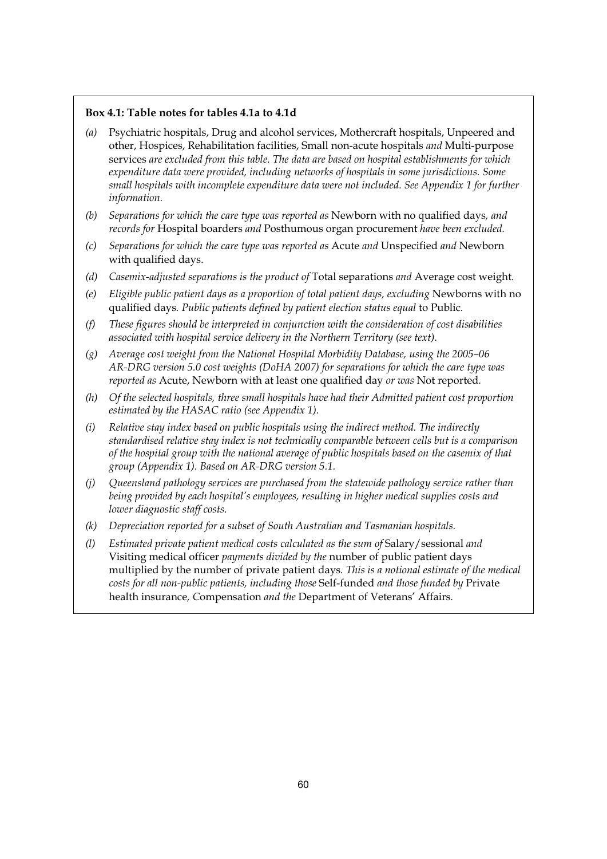#### **Box 4.1: Table notes for tables 4.1a to 4.1d**

- *(a)* Psychiatric hospitals, Drug and alcohol services, Mothercraft hospitals, Unpeered and other, Hospices, Rehabilitation facilities, Small non-acute hospitals *and* Multi-purpose services *are excluded from this table. The data are based on hospital establishments for which expenditure data were provided, including networks of hospitals in some jurisdictions. Some small hospitals with incomplete expenditure data were not included. See Appendix 1 for further information.*
- *(b) Separations for which the care type was reported as* Newborn with no qualified days*, and records for* Hospital boarders *and* Posthumous organ procurement *have been excluded.*
- *(c) Separations for which the care type was reported as* Acute *and* Unspecified *and* Newborn with qualified days.
- *(d) Casemix-adjusted separations is the product of* Total separations *and* Average cost weight*.*
- *(e)* Eligible public patient days as a proportion of total patient days, excluding Newborns with no qualified days*. Public patients defined by patient election status equal* to Public*.*
- *(f) These figures should be interpreted in conjunction with the consideration of cost disabilities associated with hospital service delivery in the Northern Territory (see text).*
- *(g) Average cost weight from the National Hospital Morbidity Database, using the 2005–06 AR-DRG version 5.0 cost weights (DoHA 2007) for separations for which the care type was reported as* Acute, Newborn with at least one qualified day *or was* Not reported*.*
- *(h) Of the selected hospitals, three small hospitals have had their Admitted patient cost proportion estimated by the HASAC ratio (see Appendix 1).*
- *(i) Relative stay index based on public hospitals using the indirect method. The indirectly standardised relative stay index is not technically comparable between cells but is a comparison of the hospital group with the national average of public hospitals based on the casemix of that group (Appendix 1). Based on AR-DRG version 5.1.*
- *(j) Queensland pathology services are purchased from the statewide pathology service rather than being provided by each hospital's employees, resulting in higher medical supplies costs and lower diagnostic staff costs.*
- *(k) Depreciation reported for a subset of South Australian and Tasmanian hospitals.*
- *(l) Estimated private patient medical costs calculated as the sum of* Salary/sessional *and*  Visiting medical officer *payments divided by the* number of public patient days multiplied by the number of private patient days*. This is a notional estimate of the medical costs for all non-public patients, including those* Self-funded *and those funded by* Private health insurance*, C*ompensation *and the* Department of Veterans' Affairs*.*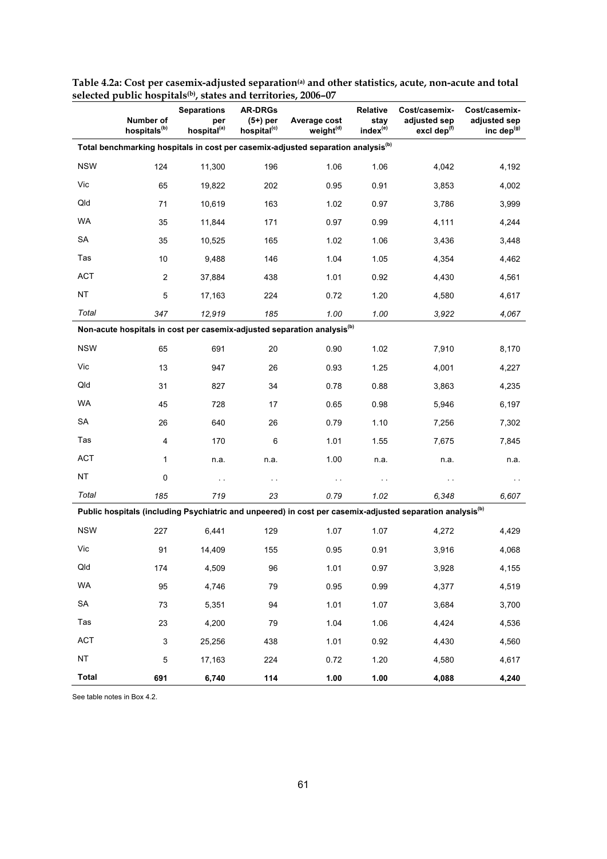|              | Number of<br>hospitals <sup>(b)</sup> | $sec$ $1000 - 07$<br><b>Separations</b><br>per<br>hospital <sup>(a)</sup> | <b>AR-DRGs</b><br>$(5+)$ per<br>hospital <sup>(c)</sup> | Average cost<br>weight <sup>(d)</sup>                                                        | Relative<br>stay<br>index <sup>(e)</sup> | Cost/casemix-<br>adjusted sep<br>excl dep <sup>(f)</sup>                                                              | Cost/casemix-<br>adjusted sep<br>inc dep $(g)$ |
|--------------|---------------------------------------|---------------------------------------------------------------------------|---------------------------------------------------------|----------------------------------------------------------------------------------------------|------------------------------------------|-----------------------------------------------------------------------------------------------------------------------|------------------------------------------------|
|              |                                       |                                                                           |                                                         | Total benchmarking hospitals in cost per casemix-adjusted separation analysis <sup>(b)</sup> |                                          |                                                                                                                       |                                                |
| <b>NSW</b>   | 124                                   | 11,300                                                                    | 196                                                     | 1.06                                                                                         | 1.06                                     | 4,042                                                                                                                 | 4,192                                          |
| Vic          | 65                                    | 19,822                                                                    | 202                                                     | 0.95                                                                                         | 0.91                                     | 3,853                                                                                                                 | 4,002                                          |
| Qld          | 71                                    | 10,619                                                                    | 163                                                     | 1.02                                                                                         | 0.97                                     | 3,786                                                                                                                 | 3,999                                          |
| WA           | 35                                    | 11,844                                                                    | 171                                                     | 0.97                                                                                         | 0.99                                     | 4,111                                                                                                                 | 4,244                                          |
| SA           | 35                                    | 10,525                                                                    | 165                                                     | 1.02                                                                                         | 1.06                                     | 3,436                                                                                                                 | 3,448                                          |
| Tas          | 10                                    | 9,488                                                                     | 146                                                     | 1.04                                                                                         | 1.05                                     | 4,354                                                                                                                 | 4,462                                          |
| <b>ACT</b>   | $\overline{2}$                        | 37,884                                                                    | 438                                                     | 1.01                                                                                         | 0.92                                     | 4,430                                                                                                                 | 4,561                                          |
| <b>NT</b>    | 5                                     | 17,163                                                                    | 224                                                     | 0.72                                                                                         | 1.20                                     | 4,580                                                                                                                 | 4,617                                          |
| Total        | 347                                   | 12,919                                                                    | 185                                                     | 1.00                                                                                         | 1.00                                     | 3,922                                                                                                                 | 4,067                                          |
|              |                                       |                                                                           |                                                         | Non-acute hospitals in cost per casemix-adjusted separation analysis <sup>(b)</sup>          |                                          |                                                                                                                       |                                                |
| <b>NSW</b>   | 65                                    | 691                                                                       | 20                                                      | 0.90                                                                                         | 1.02                                     | 7,910                                                                                                                 | 8,170                                          |
| Vic          | 13                                    | 947                                                                       | 26                                                      | 0.93                                                                                         | 1.25                                     | 4,001                                                                                                                 | 4,227                                          |
| Qld          | 31                                    | 827                                                                       | 34                                                      | 0.78                                                                                         | 0.88                                     | 3,863                                                                                                                 | 4,235                                          |
| WA           | 45                                    | 728                                                                       | 17                                                      | 0.65                                                                                         | 0.98                                     | 5,946                                                                                                                 | 6,197                                          |
| <b>SA</b>    | 26                                    | 640                                                                       | 26                                                      | 0.79                                                                                         | 1.10                                     | 7,256                                                                                                                 | 7,302                                          |
| Tas          | 4                                     | 170                                                                       | 6                                                       | 1.01                                                                                         | 1.55                                     | 7,675                                                                                                                 | 7,845                                          |
| <b>ACT</b>   | 1                                     | n.a.                                                                      | n.a.                                                    | 1.00                                                                                         | n.a.                                     | n.a.                                                                                                                  | n.a.                                           |
| <b>NT</b>    | 0                                     | $\sim$ $\sim$                                                             | $\sim$                                                  | $\ddot{\phantom{1}}$                                                                         | $\sim$                                   | . .                                                                                                                   |                                                |
| Total        | 185                                   | 719                                                                       | 23                                                      | 0.79                                                                                         | 1.02                                     | 6,348                                                                                                                 | 6,607                                          |
|              |                                       |                                                                           |                                                         |                                                                                              |                                          | Public hospitals (including Psychiatric and unpeered) in cost per casemix-adjusted separation analysis <sup>(b)</sup> |                                                |
| <b>NSW</b>   | 227                                   | 6,441                                                                     | 129                                                     | 1.07                                                                                         | 1.07                                     | 4,272                                                                                                                 | 4,429                                          |
| Vic          | 91                                    | 14,409                                                                    | 155                                                     | 0.95                                                                                         | 0.91                                     | 3,916                                                                                                                 | 4,068                                          |
| Qld          | 174                                   | 4,509                                                                     | 96                                                      | 1.01                                                                                         | 0.97                                     | 3,928                                                                                                                 | 4,155                                          |
| WA           | 95                                    | 4,746                                                                     | 79                                                      | 0.95                                                                                         | 0.99                                     | 4,377                                                                                                                 | 4,519                                          |
| SA           | 73                                    | 5,351                                                                     | 94                                                      | 1.01                                                                                         | 1.07                                     | 3,684                                                                                                                 | 3,700                                          |
| Tas          | 23                                    | 4,200                                                                     | 79                                                      | 1.04                                                                                         | 1.06                                     | 4,424                                                                                                                 | 4,536                                          |
| ACT          | 3                                     | 25,256                                                                    | 438                                                     | 1.01                                                                                         | 0.92                                     | 4,430                                                                                                                 | 4,560                                          |
| NT           | 5                                     | 17,163                                                                    | 224                                                     | 0.72                                                                                         | 1.20                                     | 4,580                                                                                                                 | 4,617                                          |
| <b>Total</b> | 691                                   | 6,740                                                                     | 114                                                     | 1.00                                                                                         | 1.00                                     | 4,088                                                                                                                 | 4,240                                          |

**Table 4.2a: Cost per casemix-adjusted separation(a) and other statistics, acute, non-acute and total selected public hospitals(b), states and territories, 2006–07**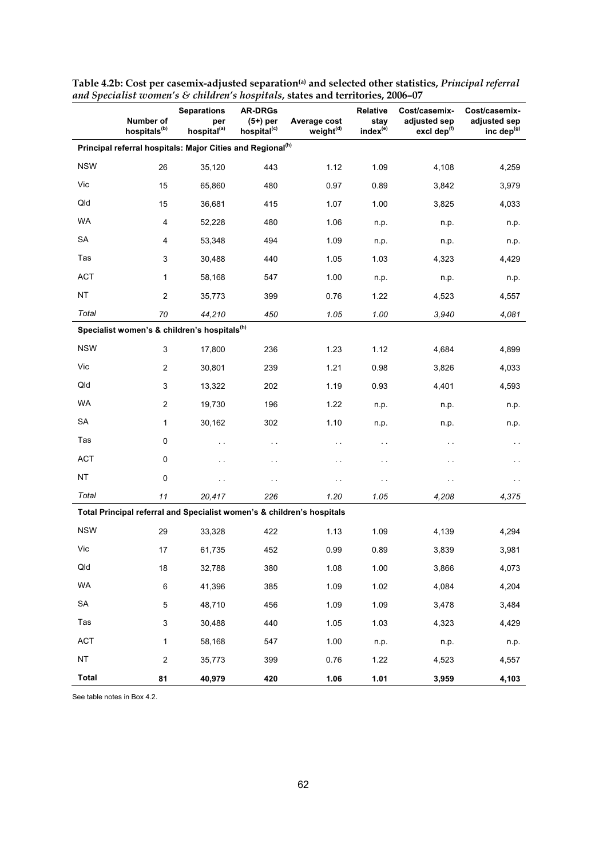|              | Number of<br>hospitals <sup>(b)</sup> | <b>Separations</b><br>per<br>hospital <sup>(a)</sup>                   | <b>AR-DRGs</b><br>$(5+)$ per<br>hospital <sup>(c)</sup> | and operation women's $\circ$ chritical strooprities, states and territories, 2000<br>Average cost<br>weight <sup>(d)</sup> | <b>Relative</b><br>stay<br>index(e) | Cost/casemix-<br>adjusted sep<br>excl dep <sup>(f)</sup> | Cost/casemix-<br>adjusted sep<br>inc dep <sup>(g)</sup> |
|--------------|---------------------------------------|------------------------------------------------------------------------|---------------------------------------------------------|-----------------------------------------------------------------------------------------------------------------------------|-------------------------------------|----------------------------------------------------------|---------------------------------------------------------|
|              |                                       | Principal referral hospitals: Major Cities and Regional <sup>(h)</sup> |                                                         |                                                                                                                             |                                     |                                                          |                                                         |
| <b>NSW</b>   | 26                                    | 35,120                                                                 | 443                                                     | 1.12                                                                                                                        | 1.09                                | 4,108                                                    | 4,259                                                   |
| Vic          | 15                                    | 65,860                                                                 | 480                                                     | 0.97                                                                                                                        | 0.89                                | 3,842                                                    | 3,979                                                   |
| Qld          | 15                                    | 36,681                                                                 | 415                                                     | 1.07                                                                                                                        | 1.00                                | 3,825                                                    | 4,033                                                   |
| WA           | $\overline{\mathbf{4}}$               | 52.228                                                                 | 480                                                     | 1.06                                                                                                                        | n.p.                                | n.p.                                                     | n.p.                                                    |
| <b>SA</b>    | 4                                     | 53,348                                                                 | 494                                                     | 1.09                                                                                                                        | n.p.                                | n.p.                                                     | n.p.                                                    |
| Tas          | 3                                     | 30,488                                                                 | 440                                                     | 1.05                                                                                                                        | 1.03                                | 4,323                                                    | 4,429                                                   |
| <b>ACT</b>   | $\mathbf{1}$                          | 58,168                                                                 | 547                                                     | 1.00                                                                                                                        | n.p.                                | n.p.                                                     | n.p.                                                    |
| <b>NT</b>    | $\overline{c}$                        | 35,773                                                                 | 399                                                     | 0.76                                                                                                                        | 1.22                                | 4,523                                                    | 4,557                                                   |
| Total        | 70                                    | 44,210                                                                 | 450                                                     | 1.05                                                                                                                        | 1.00                                | 3.940                                                    | 4,081                                                   |
|              |                                       | Specialist women's & children's hospitals <sup>(h)</sup>               |                                                         |                                                                                                                             |                                     |                                                          |                                                         |
| <b>NSW</b>   | 3                                     | 17,800                                                                 | 236                                                     | 1.23                                                                                                                        | 1.12                                | 4,684                                                    | 4,899                                                   |
| Vic          | $\overline{c}$                        | 30,801                                                                 | 239                                                     | 1.21                                                                                                                        | 0.98                                | 3,826                                                    | 4,033                                                   |
| Qld          | 3                                     | 13,322                                                                 | 202                                                     | 1.19                                                                                                                        | 0.93                                | 4,401                                                    | 4,593                                                   |
| <b>WA</b>    | $\overline{c}$                        | 19,730                                                                 | 196                                                     | 1.22                                                                                                                        | n.p.                                | n.p.                                                     | n.p.                                                    |
| SA           | $\mathbf{1}$                          | 30,162                                                                 | 302                                                     | 1.10                                                                                                                        | n.p.                                | n.p.                                                     | n.p.                                                    |
| Tas          | $\pmb{0}$                             | $\sim$                                                                 | $\sim$ $\sim$                                           | $\sim$ $\sim$                                                                                                               | $\sim$                              | .,                                                       | н.                                                      |
| <b>ACT</b>   | $\pmb{0}$                             | $\sim$                                                                 | $\sim$                                                  | $\sim$                                                                                                                      | $\sim$                              | .,                                                       | н.                                                      |
| <b>NT</b>    | $\mathbf 0$                           | $\sim$                                                                 | $\sim$                                                  | $\sim$                                                                                                                      | $\sim$ $\sim$                       | $\sim$                                                   | $\sim$                                                  |
| Total        | 11                                    | 20,417                                                                 | 226                                                     | 1.20                                                                                                                        | 1.05                                | 4,208                                                    | 4,375                                                   |
|              |                                       |                                                                        |                                                         | Total Principal referral and Specialist women's & children's hospitals                                                      |                                     |                                                          |                                                         |
| <b>NSW</b>   | 29                                    | 33,328                                                                 | 422                                                     | 1.13                                                                                                                        | 1.09                                | 4,139                                                    | 4,294                                                   |
| Vic          | 17                                    | 61,735                                                                 | 452                                                     | 0.99                                                                                                                        | 0.89                                | 3,839                                                    | 3,981                                                   |
| Qld          | 18                                    | 32,788                                                                 | 380                                                     | 1.08                                                                                                                        | 1.00                                | 3,866                                                    | 4,073                                                   |
| WA           | 6                                     | 41,396                                                                 | 385                                                     | 1.09                                                                                                                        | 1.02                                | 4,084                                                    | 4,204                                                   |
| SA           | 5                                     | 48,710                                                                 | 456                                                     | 1.09                                                                                                                        | 1.09                                | 3,478                                                    | 3,484                                                   |
| Tas          | 3                                     | 30,488                                                                 | 440                                                     | 1.05                                                                                                                        | 1.03                                | 4,323                                                    | 4,429                                                   |
| ACT          | $\mathbf{1}$                          | 58,168                                                                 | 547                                                     | 1.00                                                                                                                        | n.p.                                | n.p.                                                     | n.p.                                                    |
| NT           | $\overline{c}$                        | 35,773                                                                 | 399                                                     | 0.76                                                                                                                        | 1.22                                | 4,523                                                    | 4,557                                                   |
| <b>Total</b> | 81                                    | 40,979                                                                 | 420                                                     | 1.06                                                                                                                        | 1.01                                | 3,959                                                    | 4,103                                                   |

**Table 4.2b: Cost per casemix-adjusted separation(a) and selected other statistics,** *Principal referral and Specialist women's & children's hospitals***, states and territories, 2006–07**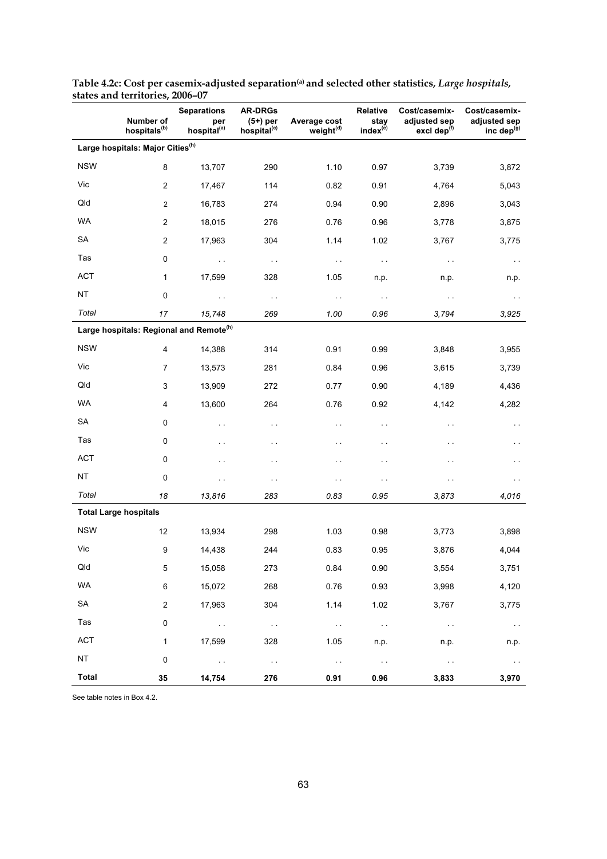|              | Number of<br>hospitals <sup>(b)</sup>        | <b>Separations</b><br>per<br>hospital <sup>(a)</sup> | <b>AR-DRGs</b><br>$(5+)$ per<br>hospital <sup>(c)</sup> | Average cost<br>weight <sup>(d)</sup> | Relative<br>stay<br>index <sup>(e)</sup> | Cost/casemix-<br>adjusted sep<br>excl dep <sup>(f)</sup> | Cost/casemix-<br>adjusted sep<br>inc dep <sup>(g)</sup> |
|--------------|----------------------------------------------|------------------------------------------------------|---------------------------------------------------------|---------------------------------------|------------------------------------------|----------------------------------------------------------|---------------------------------------------------------|
|              | Large hospitals: Major Cities <sup>(h)</sup> |                                                      |                                                         |                                       |                                          |                                                          |                                                         |
| <b>NSW</b>   | 8                                            | 13,707                                               | 290                                                     | 1.10                                  | 0.97                                     | 3,739                                                    | 3,872                                                   |
| Vic          | $\boldsymbol{2}$                             | 17,467                                               | 114                                                     | 0.82                                  | 0.91                                     | 4,764                                                    | 5,043                                                   |
| Qld          | $\mathbf{2}$                                 | 16,783                                               | 274                                                     | 0.94                                  | 0.90                                     | 2,896                                                    | 3,043                                                   |
| <b>WA</b>    | $\overline{2}$                               | 18,015                                               | 276                                                     | 0.76                                  | 0.96                                     | 3,778                                                    | 3,875                                                   |
| <b>SA</b>    | $\overline{2}$                               | 17,963                                               | 304                                                     | 1.14                                  | 1.02                                     | 3,767                                                    | 3,775                                                   |
| Tas          | $\pmb{0}$                                    | $\sim$                                               | $\sim$ $\sim$                                           | $\sim$ $\sim$                         | $\sim$ $\sim$                            | $\sim$ $\sim$                                            | $\sim$                                                  |
| <b>ACT</b>   | 1                                            | 17,599                                               | 328                                                     | 1.05                                  | n.p.                                     | n.p.                                                     | n.p.                                                    |
| <b>NT</b>    | 0                                            | $\sim$                                               | $\sim$ $\sim$                                           | $\sim$                                | $\sim$ $\sim$                            | $\sim$ $\sim$                                            | $\sim$                                                  |
| Total        | 17                                           | 15,748                                               | 269                                                     | 1.00                                  | 0.96                                     | 3,794                                                    | 3,925                                                   |
|              |                                              | Large hospitals: Regional and Remote <sup>(h)</sup>  |                                                         |                                       |                                          |                                                          |                                                         |
| <b>NSW</b>   | $\overline{4}$                               | 14,388                                               | 314                                                     | 0.91                                  | 0.99                                     | 3,848                                                    | 3,955                                                   |
| Vic          | $\overline{7}$                               | 13,573                                               | 281                                                     | 0.84                                  | 0.96                                     | 3,615                                                    | 3,739                                                   |
| Qld          | 3                                            | 13,909                                               | 272                                                     | 0.77                                  | 0.90                                     | 4,189                                                    | 4,436                                                   |
| WA           | $\overline{4}$                               | 13,600                                               | 264                                                     | 0.76                                  | 0.92                                     | 4,142                                                    | 4,282                                                   |
| <b>SA</b>    | $\mathsf 0$                                  | $\sim$                                               | $\sim$ $\sim$                                           | $\sim$                                | $\ddot{\phantom{0}}$                     | $\sim$                                                   | $\sim$                                                  |
| Tas          | $\mathsf 0$                                  | $\sim$                                               | $\sim$ $\sim$                                           | $\sim$                                | $\ddot{\phantom{0}}$                     | $\sim$ $\sim$                                            | $\ddot{\phantom{1}}$                                    |
| <b>ACT</b>   | 0                                            | $\ddot{\phantom{1}}$                                 | $\sim$ $\sim$                                           | $\ddot{\phantom{1}}$                  | $\ddot{\phantom{0}}$                     | $\ddotsc$                                                | $\ddot{\phantom{1}}$                                    |
| <b>NT</b>    | 0                                            | $\ddot{\phantom{0}}$                                 | $\sim$                                                  | $\sim$ $\sim$                         | $\sim$                                   | $\ddotsc$                                                | $\ddot{\phantom{0}}$                                    |
| Total        | 18                                           | 13,816                                               | 283                                                     | 0.83                                  | 0.95                                     | 3,873                                                    | 4,016                                                   |
|              | <b>Total Large hospitals</b>                 |                                                      |                                                         |                                       |                                          |                                                          |                                                         |
| <b>NSW</b>   | 12                                           | 13,934                                               | 298                                                     | 1.03                                  | 0.98                                     | 3,773                                                    | 3,898                                                   |
| Vic          | 9                                            | 14,438                                               | 244                                                     | 0.83                                  | 0.95                                     | 3,876                                                    | 4,044                                                   |
| Qld          | 5                                            | 15,058                                               | 273                                                     | 0.84                                  | 0.90                                     | 3,554                                                    | 3,751                                                   |
| WA           | $\,6\,$                                      | 15,072                                               | 268                                                     | 0.76                                  | 0.93                                     | 3,998                                                    | 4,120                                                   |
| SA           | $\mathbf 2$                                  | 17,963                                               | 304                                                     | 1.14                                  | 1.02                                     | 3,767                                                    | 3,775                                                   |
| Tas          | 0                                            | $\sim 100$                                           | $\sim$ $\sim$                                           | $\sim 10$                             | $\sim$ $\sim$                            | $\sim 100$                                               | $\sim$ $\sim$                                           |
| ACT          | $\mathbf{1}$                                 | 17,599                                               | 328                                                     | 1.05                                  | n.p.                                     | n.p.                                                     | n.p.                                                    |
| <b>NT</b>    | $\pmb{0}$                                    | $\sim 100$                                           | $\sim$ $\sim$                                           | $\sim 10$                             | $\sim$ $\sim$                            | $\sim$ $\sim$                                            | $\sim$ $\sim$                                           |
| <b>Total</b> | 35                                           | 14,754                                               | 276                                                     | 0.91                                  | 0.96                                     | 3,833                                                    | 3,970                                                   |

**Table 4.2c: Cost per casemix-adjusted separation(a) and selected other statistics,** *Large hospitals,* **states and territories, 2006–07**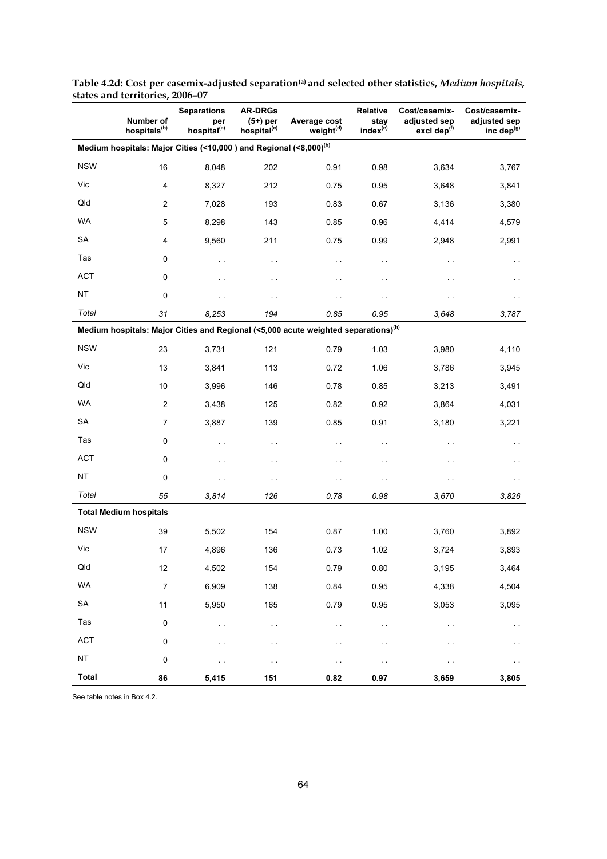|              | Number of<br>hospitals <sup>(b)</sup> | <b>Separations</b><br>per<br>hospital <sup>(a)</sup>                          | <b>AR-DRGs</b><br>$(5+)$ per<br>hospital <sup>(c)</sup> | Average cost<br>weight <sup>(d)</sup>                                                          | Relative<br>stay<br>index <sup>(e)</sup> | Cost/casemix-<br>adjusted sep<br>excl dep $(f)$ | Cost/casemix-<br>adjusted sep<br>inc dep $(g)$ |
|--------------|---------------------------------------|-------------------------------------------------------------------------------|---------------------------------------------------------|------------------------------------------------------------------------------------------------|------------------------------------------|-------------------------------------------------|------------------------------------------------|
|              |                                       | Medium hospitals: Major Cities (<10,000) and Regional (<8,000) <sup>(h)</sup> |                                                         |                                                                                                |                                          |                                                 |                                                |
| <b>NSW</b>   | 16                                    | 8,048                                                                         | 202                                                     | 0.91                                                                                           | 0.98                                     | 3,634                                           | 3,767                                          |
| Vic          | $\overline{4}$                        | 8,327                                                                         | 212                                                     | 0.75                                                                                           | 0.95                                     | 3,648                                           | 3,841                                          |
| Qld          | 2                                     | 7,028                                                                         | 193                                                     | 0.83                                                                                           | 0.67                                     | 3,136                                           | 3,380                                          |
| WA           | 5                                     | 8,298                                                                         | 143                                                     | 0.85                                                                                           | 0.96                                     | 4,414                                           | 4,579                                          |
| <b>SA</b>    | 4                                     | 9,560                                                                         | 211                                                     | 0.75                                                                                           | 0.99                                     | 2,948                                           | 2,991                                          |
| Tas          | 0                                     | $\sim$                                                                        | $\ddot{\phantom{0}}$                                    | $\sim$                                                                                         | $\sim$ $\sim$                            | $\ddotsc$                                       | $\sim$                                         |
| <b>ACT</b>   | 0                                     | $\ddot{\phantom{0}}$                                                          | $\ddot{\phantom{0}}$                                    | $\sim$                                                                                         | $\sim$                                   | . .                                             | $\sim$                                         |
| <b>NT</b>    | $\mathbf 0$                           | $\ddotsc$                                                                     | $\ddot{\phantom{0}}$                                    | $\sim$                                                                                         | $\sim$                                   | $\ddotsc$                                       | $\sim$                                         |
| Total        | 31                                    | 8,253                                                                         | 194                                                     | 0.85                                                                                           | 0.95                                     | 3,648                                           | 3,787                                          |
|              |                                       |                                                                               |                                                         | Medium hospitals: Major Cities and Regional (<5,000 acute weighted separations) <sup>(h)</sup> |                                          |                                                 |                                                |
| <b>NSW</b>   | 23                                    | 3,731                                                                         | 121                                                     | 0.79                                                                                           | 1.03                                     | 3,980                                           | 4,110                                          |
| Vic          | 13                                    | 3,841                                                                         | 113                                                     | 0.72                                                                                           | 1.06                                     | 3,786                                           | 3,945                                          |
| Qld          | 10                                    | 3,996                                                                         | 146                                                     | 0.78                                                                                           | 0.85                                     | 3,213                                           | 3,491                                          |
| WA           | 2                                     | 3,438                                                                         | 125                                                     | 0.82                                                                                           | 0.92                                     | 3,864                                           | 4,031                                          |
| <b>SA</b>    | 7                                     | 3,887                                                                         | 139                                                     | 0.85                                                                                           | 0.91                                     | 3,180                                           | 3,221                                          |
| Tas          | 0                                     | $\sim$                                                                        | $\ddot{\phantom{0}}$                                    | $\sim$                                                                                         | $\sim$ $\sim$                            | . .                                             | $\sim$                                         |
| <b>ACT</b>   | 0                                     | $\ddotsc$                                                                     | . .                                                     | $\sim$                                                                                         | $\ddot{\phantom{0}}$                     | . .                                             | $\sim$                                         |
| <b>NT</b>    | $\pmb{0}$                             | $\sim$                                                                        | . .                                                     | $\sim$                                                                                         | $\ddot{\phantom{0}}$                     | . .                                             |                                                |
| Total        | 55                                    | 3,814                                                                         | 126                                                     | 0.78                                                                                           | 0.98                                     | 3,670                                           | 3,826                                          |
|              | <b>Total Medium hospitals</b>         |                                                                               |                                                         |                                                                                                |                                          |                                                 |                                                |
| <b>NSW</b>   | 39                                    | 5,502                                                                         | 154                                                     | 0.87                                                                                           | 1.00                                     | 3,760                                           | 3,892                                          |
| Vic          | 17                                    | 4,896                                                                         | 136                                                     | 0.73                                                                                           | 1.02                                     | 3,724                                           | 3,893                                          |
| Qld          | 12                                    | 4,502                                                                         | 154                                                     | 0.79                                                                                           | 0.80                                     | 3,195                                           | 3,464                                          |
| WA           | $\overline{7}$                        | 6,909                                                                         | 138                                                     | 0.84                                                                                           | 0.95                                     | 4,338                                           | 4,504                                          |
| SA           | 11                                    | 5,950                                                                         | 165                                                     | 0.79                                                                                           | 0.95                                     | 3,053                                           | 3,095                                          |
| Tas          | $\pmb{0}$                             | . .                                                                           | $\ddotsc$                                               | $\sim$                                                                                         | $\sim$ .                                 | . .                                             | $\sim$ $\sim$                                  |
| ACT          | 0                                     | μ.                                                                            | $\ddot{\phantom{0}}$                                    | $\sim$                                                                                         | $\ddot{\phantom{0}}$                     | . .                                             | $\sim$ $\sim$                                  |
| NT           | $\pmb{0}$                             | . .                                                                           | $\ddot{\phantom{0}}$                                    | $\ddot{\phantom{0}}$                                                                           | $\ddot{\phantom{0}}$                     | μ.                                              | $\sim$                                         |
| <b>Total</b> | 86                                    | 5,415                                                                         | 151                                                     | 0.82                                                                                           | 0.97                                     | 3,659                                           | 3,805                                          |

**Table 4.2d: Cost per casemix-adjusted separation(a) and selected other statistics,** *Medium hospitals,* **states and territories, 2006–07**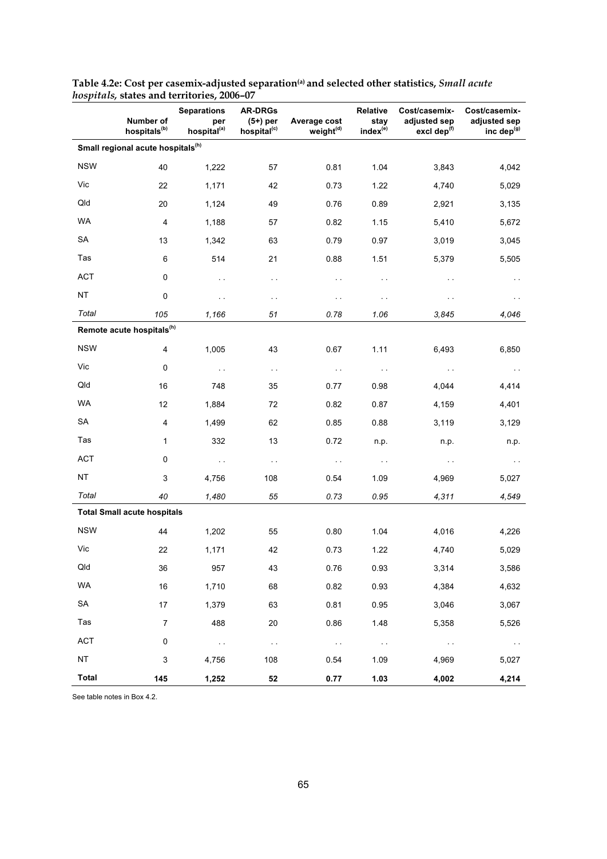|              | Number of<br>hospitals <sup>(b)</sup>         | states and reflicutes, 2000 $\sigma$<br><b>Separations</b><br>per<br>hospital <sup>(a)</sup> | <b>AR-DRGs</b><br>$(5+)$ per<br>hospital <sup>(c)</sup> | Average cost<br>weight <sup>(d)</sup> | Relative<br>stay<br>index <sup>(e)</sup> | Cost/casemix-<br>adjusted sep<br>excl dep <sup>(f)</sup> | Cost/casemix-<br>adjusted sep<br>inc dep $(g)$ |
|--------------|-----------------------------------------------|----------------------------------------------------------------------------------------------|---------------------------------------------------------|---------------------------------------|------------------------------------------|----------------------------------------------------------|------------------------------------------------|
|              | Small regional acute hospitals <sup>(h)</sup> |                                                                                              |                                                         |                                       |                                          |                                                          |                                                |
| <b>NSW</b>   | 40                                            | 1,222                                                                                        | 57                                                      | 0.81                                  | 1.04                                     | 3,843                                                    | 4,042                                          |
| Vic          | 22                                            | 1,171                                                                                        | 42                                                      | 0.73                                  | 1.22                                     | 4,740                                                    | 5,029                                          |
| Qld          | 20                                            | 1,124                                                                                        | 49                                                      | 0.76                                  | 0.89                                     | 2,921                                                    | 3,135                                          |
| <b>WA</b>    | $\overline{\mathbf{4}}$                       |                                                                                              |                                                         |                                       |                                          |                                                          |                                                |
| <b>SA</b>    |                                               | 1,188                                                                                        | 57                                                      | 0.82                                  | 1.15                                     | 5,410                                                    | 5,672                                          |
| Tas          | 13                                            | 1,342                                                                                        | 63                                                      | 0.79                                  | 0.97                                     | 3,019                                                    | 3,045                                          |
| <b>ACT</b>   | 6                                             | 514                                                                                          | 21                                                      | 0.88                                  | 1.51                                     | 5,379                                                    | 5,505                                          |
|              | $\mathsf 0$                                   | $\sim$ .                                                                                     | $\sim$                                                  | $\sim$                                | $\sim$                                   | $\sim$                                                   | $\ddotsc$                                      |
| NT           | $\pmb{0}$                                     | $\sim$                                                                                       | $\sim$ $\sim$                                           | $\sim$ $\sim$                         | $\sim$ $\sim$                            | $\sim$ $\sim$                                            | $\ddot{\phantom{0}}$                           |
| Total        | 105<br>Remote acute hospitals <sup>(h)</sup>  | 1,166                                                                                        | 51                                                      | 0.78                                  | 1.06                                     | 3,845                                                    | 4,046                                          |
| <b>NSW</b>   |                                               |                                                                                              |                                                         |                                       |                                          |                                                          |                                                |
| Vic          | $\overline{4}$                                | 1,005                                                                                        | 43                                                      | 0.67                                  | 1.11                                     | 6,493                                                    | 6,850                                          |
|              | $\mathbf 0$                                   | $\sim$ $\sim$                                                                                | $\sim$ $\sim$                                           | $\sim$ $\sim$                         | $\sim$                                   | $\sim$ $\sim$                                            | $\sim$ $\sim$                                  |
| Qld          | 16                                            | 748                                                                                          | 35                                                      | 0.77                                  | 0.98                                     | 4,044                                                    | 4,414                                          |
| WA           | 12                                            | 1,884                                                                                        | 72                                                      | 0.82                                  | 0.87                                     | 4,159                                                    | 4,401                                          |
| <b>SA</b>    | $\overline{\mathbf{4}}$                       | 1,499                                                                                        | 62                                                      | 0.85                                  | 0.88                                     | 3,119                                                    | 3,129                                          |
| Tas          | $\mathbf{1}$                                  | 332                                                                                          | 13                                                      | 0.72                                  | n.p.                                     | n.p.                                                     | n.p.                                           |
| <b>ACT</b>   | $\pmb{0}$                                     | $\sim$                                                                                       | $\sim$ $\sim$                                           | $\sim$ $\sim$                         | $\sim$ $\sim$                            | $\sim$                                                   | $\sim$ $\sim$                                  |
| <b>NT</b>    | 3                                             | 4,756                                                                                        | 108                                                     | 0.54                                  | 1.09                                     | 4,969                                                    | 5,027                                          |
| Total        | 40                                            | 1,480                                                                                        | 55                                                      | 0.73                                  | 0.95                                     | 4,311                                                    | 4,549                                          |
|              | <b>Total Small acute hospitals</b>            |                                                                                              |                                                         |                                       |                                          |                                                          |                                                |
| <b>NSW</b>   | 44                                            | 1,202                                                                                        | 55                                                      | 0.80                                  | 1.04                                     | 4,016                                                    | 4,226                                          |
| Vic          | 22                                            | 1,171                                                                                        | 42                                                      | 0.73                                  | 1.22                                     | 4,740                                                    | 5,029                                          |
| Qld          | 36                                            | 957                                                                                          | 43                                                      | 0.76                                  | 0.93                                     | 3,314                                                    | 3,586                                          |
| WA           | 16                                            | 1,710                                                                                        | 68                                                      | 0.82                                  | 0.93                                     | 4,384                                                    | 4,632                                          |
| SA           | 17                                            | 1,379                                                                                        | 63                                                      | 0.81                                  | 0.95                                     | 3,046                                                    | 3,067                                          |
| Tas          | $\overline{7}$                                | 488                                                                                          | 20                                                      | 0.86                                  | 1.48                                     | 5,358                                                    | 5,526                                          |
| <b>ACT</b>   | 0                                             | $\sim 100$                                                                                   | $\sim$                                                  | $\sim 100$                            | $\sim 100$                               | $\sim 100$ km s $^{-1}$                                  | $\sim 100$                                     |
| NT           | 3                                             | 4,756                                                                                        | 108                                                     | 0.54                                  | 1.09                                     | 4,969                                                    | 5,027                                          |
| <b>Total</b> | 145                                           | 1,252                                                                                        | 52                                                      | 0.77                                  | 1.03                                     | 4,002                                                    | 4,214                                          |

**Table 4.2e: Cost per casemix-adjusted separation(a) and selected other statistics,** *Small acute hospitals,* **states and territories, 2006–07**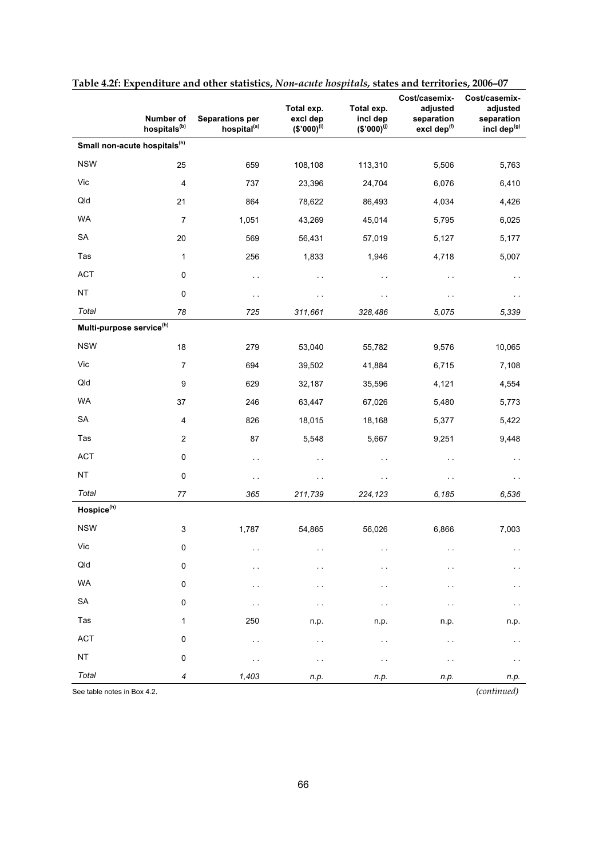|                                      | Number of<br>hospitals <sup>(b)</sup>    | <b>Separations per</b><br>hospital <sup>(a)</sup> | Total exp.<br>excl dep<br>$($ \$'000) <sup>(i)</sup> | Total exp.<br>incl dep<br>$$'000$ <sup>(j)</sup> | Cost/casemix-<br>adjusted<br>separation<br>excl dep <sup>(f)</sup> | Cost/casemix-<br>adjusted<br>separation<br>incl dep <sup>(g)</sup> |
|--------------------------------------|------------------------------------------|---------------------------------------------------|------------------------------------------------------|--------------------------------------------------|--------------------------------------------------------------------|--------------------------------------------------------------------|
|                                      | Small non-acute hospitals <sup>(h)</sup> |                                                   |                                                      |                                                  |                                                                    |                                                                    |
| <b>NSW</b>                           | 25                                       | 659                                               | 108,108                                              | 113,310                                          | 5,506                                                              | 5,763                                                              |
| Vic                                  | 4                                        | 737                                               | 23,396                                               | 24,704                                           | 6,076                                                              | 6,410                                                              |
| Qld                                  | 21                                       | 864                                               | 78,622                                               | 86,493                                           | 4,034                                                              | 4,426                                                              |
| <b>WA</b>                            | $\overline{7}$                           | 1,051                                             | 43,269                                               | 45,014                                           | 5,795                                                              | 6,025                                                              |
| <b>SA</b>                            | 20                                       | 569                                               | 56,431                                               | 57,019                                           | 5,127                                                              | 5,177                                                              |
| Tas                                  | $\mathbf 1$                              | 256                                               | 1,833                                                | 1,946                                            | 4,718                                                              | 5,007                                                              |
| <b>ACT</b>                           | 0                                        | $\ddot{\phantom{1}}$                              | $\ddot{\phantom{0}}$                                 | $\ddot{\phantom{0}}$                             | . .                                                                | $\ddot{\phantom{0}}$                                               |
| <b>NT</b>                            | 0                                        | $\ddot{\phantom{0}}$                              | $\ddot{\phantom{0}}$                                 | $\ddot{\phantom{0}}$                             | $\ddot{\phantom{0}}$                                               | $\ddotsc$                                                          |
| Total                                | 78                                       | 725                                               | 311,661                                              | 328,486                                          | 5,075                                                              | 5,339                                                              |
| Multi-purpose service <sup>(h)</sup> |                                          |                                                   |                                                      |                                                  |                                                                    |                                                                    |
| <b>NSW</b>                           | 18                                       | 279                                               | 53,040                                               | 55,782                                           | 9,576                                                              | 10,065                                                             |
| Vic                                  | $\overline{7}$                           | 694                                               | 39,502                                               | 41,884                                           | 6,715                                                              | 7,108                                                              |
| Qld                                  | 9                                        | 629                                               | 32,187                                               | 35,596                                           | 4,121                                                              | 4,554                                                              |
| <b>WA</b>                            | 37                                       | 246                                               | 63,447                                               | 67,026                                           | 5,480                                                              | 5,773                                                              |
| SA                                   | 4                                        | 826                                               | 18,015                                               | 18,168                                           | 5,377                                                              | 5,422                                                              |
| Tas                                  | $\mathbf{2}$                             | 87                                                | 5,548                                                | 5,667                                            | 9,251                                                              | 9,448                                                              |
| <b>ACT</b>                           | 0                                        | $\ddot{\phantom{1}}$                              | $\ddot{\phantom{0}}$                                 | $\ddot{\phantom{0}}$                             | . .                                                                | $\sim$                                                             |
| <b>NT</b>                            | 0                                        | $\ddot{\phantom{0}}$                              | $\ddotsc$                                            | $\sim$ $\sim$                                    | . .                                                                | $\sim$                                                             |
| Total                                | 77                                       | 365                                               | 211,739                                              | 224,123                                          | 6,185                                                              | 6,536                                                              |
| Hospice <sup>(h)</sup>               |                                          |                                                   |                                                      |                                                  |                                                                    |                                                                    |
| <b>NSW</b>                           | 3                                        | 1,787                                             | 54,865                                               | 56,026                                           | 6,866                                                              | 7,003                                                              |
| Vic                                  | 0                                        |                                                   |                                                      |                                                  |                                                                    |                                                                    |
| Qld                                  | 0                                        |                                                   | $\ddot{\phantom{0}}$                                 |                                                  |                                                                    | $\sim$                                                             |
| WA                                   | $\pmb{0}$                                | . .                                               | $\ddot{\phantom{0}}$                                 |                                                  | . .                                                                | $\sim$                                                             |
| ${\sf SA}$                           | $\pmb{0}$                                | $\ddot{\phantom{0}}$                              | . .                                                  |                                                  | . .                                                                | $\sim$                                                             |
| Tas                                  | $\mathbf{1}$                             | 250                                               | n.p.                                                 | n.p.                                             | n.p.                                                               | n.p.                                                               |
| ACT                                  | $\pmb{0}$                                | $\ddot{\phantom{0}}$                              | $\ddotsc$                                            | $\ddot{\phantom{1}}$                             | . .                                                                |                                                                    |
| $\sf{NT}$                            | 0                                        | $\sim$                                            | $\ddotsc$                                            | $\ddot{\phantom{1}}$                             | . .                                                                | $\sim$ $\sim$                                                      |
| Total                                | 4                                        | 1,403                                             | n.p.                                                 | n.p.                                             | n.p.                                                               | n.p.                                                               |

#### **Table 4.2f: Expenditure and other statistics,** *Non-acute hospitals,* **states and territories, 2006–07**

See table notes in Box 4.2*. (continued)*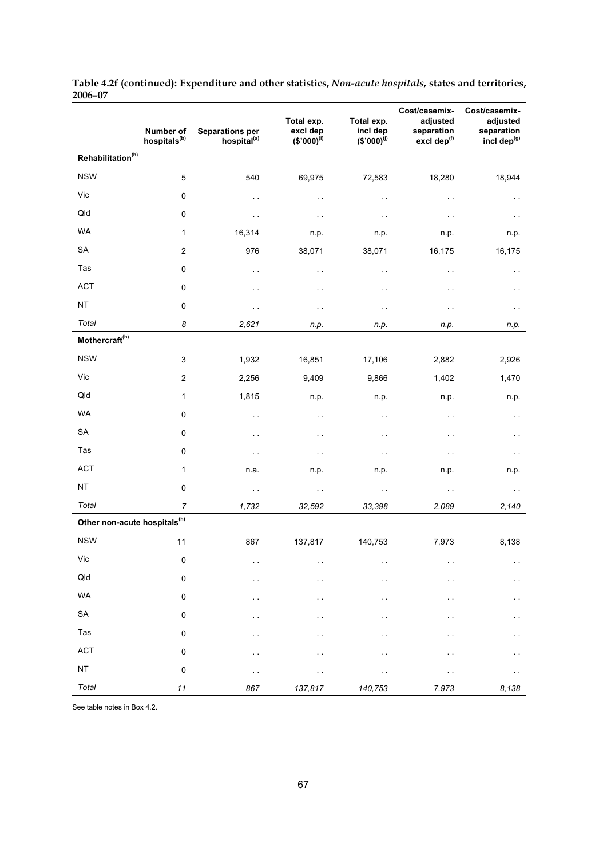|                                          | Number of<br>hospitals <sup>(b)</sup> | <b>Separations per</b><br>hospital <sup>(a)</sup> | Total exp.<br>excl dep<br>$$'000$ <sup>(i)</sup> | Total exp.<br>incl dep<br>$($'000)^{(j)}$ | Cost/casemix-<br>adjusted<br>separation<br>excl dep <sup>(f)</sup> | Cost/casemix-<br>adjusted<br>separation<br>incl dep <sup>(g)</sup> |
|------------------------------------------|---------------------------------------|---------------------------------------------------|--------------------------------------------------|-------------------------------------------|--------------------------------------------------------------------|--------------------------------------------------------------------|
| Rehabilitation <sup>(h)</sup>            |                                       |                                                   |                                                  |                                           |                                                                    |                                                                    |
| <b>NSW</b>                               | $\mathbf 5$                           | 540                                               | 69,975                                           | 72,583                                    | 18,280                                                             | 18,944                                                             |
| Vic                                      | 0                                     | $\sim$                                            | $\sim$ $\sim$                                    | $\sim$ $\sim$                             | $\sim$                                                             | $\sim$                                                             |
| Qld                                      | 0                                     | $\sim$ $\sim$                                     | $\sim$ $\sim$                                    | $\sim$ $\sim$                             | $\sim$ $\sim$                                                      | $\sim$ $\sim$                                                      |
| <b>WA</b>                                | $\mathbf{1}$                          | 16,314                                            | n.p.                                             | n.p.                                      | n.p.                                                               | n.p.                                                               |
| SA                                       | $\sqrt{2}$                            | 976                                               | 38,071                                           | 38,071                                    | 16,175                                                             | 16,175                                                             |
| Tas                                      | 0                                     | $\sim$ $\sim$                                     | $\sim$ $\sim$                                    | $\sim$ $\sim$                             | $\sim$                                                             | $\sim$                                                             |
| <b>ACT</b>                               | $\pmb{0}$                             | $\sim$                                            | $\sim$ $\sim$                                    | $\sim$ $\sim$                             | $\sim$ $\sim$                                                      | $\sim$ $\sim$                                                      |
| NT                                       | 0                                     | $\sim$                                            | $\sim$ $\sim$                                    | $\sim$ $\sim$                             | $\sim$                                                             | $\sim$ $\sim$                                                      |
| Total                                    | 8                                     | 2,621                                             | n.p.                                             | n.p.                                      | n.p.                                                               | n.p.                                                               |
| Mothercraft <sup>(h)</sup>               |                                       |                                                   |                                                  |                                           |                                                                    |                                                                    |
| <b>NSW</b>                               | 3                                     | 1,932                                             | 16,851                                           | 17,106                                    | 2,882                                                              | 2,926                                                              |
| Vic                                      | $\boldsymbol{2}$                      | 2,256                                             | 9,409                                            | 9,866                                     | 1,402                                                              | 1,470                                                              |
| Qld                                      | 1                                     | 1,815                                             | n.p.                                             | n.p.                                      | n.p.                                                               | n.p.                                                               |
| WA                                       | $\pmb{0}$                             | $\sim$                                            | $\sim$ $\sim$                                    | $\sim$ $\sim$                             | $\sim$ $\sim$                                                      | $\sim$                                                             |
| SA                                       | $\mathbf 0$                           | $\sim$                                            | $\sim$ $\sim$                                    | $\sim$ $\sim$                             | $\sim$ $\sim$                                                      | $\sim$                                                             |
| Tas                                      | $\pmb{0}$                             | $\sim$                                            | $\sim$ $\sim$                                    | $\sim$ $\sim$                             | $\sim$ $\sim$                                                      | $\sim$                                                             |
| <b>ACT</b>                               | $\mathbf{1}$                          | n.a.                                              | n.p.                                             | n.p.                                      | n.p.                                                               | n.p.                                                               |
| NT                                       | $\pmb{0}$                             | $\sim$ $\sim$                                     | $\sim$ $\sim$                                    | $\sim$ $\sim$                             | $\sim$ $\sim$                                                      | $\sim$ $\sim$                                                      |
| Total                                    | $\boldsymbol{7}$                      | 1,732                                             | 32,592                                           | 33,398                                    | 2,089                                                              | 2,140                                                              |
| Other non-acute hospitals <sup>(h)</sup> |                                       |                                                   |                                                  |                                           |                                                                    |                                                                    |
| <b>NSW</b>                               | 11                                    | 867                                               | 137,817                                          | 140,753                                   | 7,973                                                              | 8,138                                                              |
| Vic                                      | $\pmb{0}$                             | $\sim$ $\sim$                                     | $\sim$ $\sim$                                    | $\sim$                                    | $\sim$ $\sim$                                                      | $\sim$ $\sim$                                                      |
| Qld                                      | $\pmb{0}$                             | $\sim$ $\sim$                                     | $\sim$                                           | $\sim$                                    | $\ddotsc$                                                          | $\sim$                                                             |
| WA                                       | $\pmb{0}$                             | $\ddot{\phantom{0}}$                              | .,                                               | $\sim$                                    | $\ddotsc$                                                          | $\ddot{\phantom{0}}$                                               |
| ${\sf SA}$                               | $\pmb{0}$                             | . .                                               | . .                                              | .,                                        | . .                                                                | $\ddot{\phantom{0}}$                                               |
| Tas                                      | $\pmb{0}$                             | $\sim$                                            | . .                                              | .,                                        | μ.                                                                 | $\ddot{\phantom{0}}$                                               |
| ACT                                      | $\pmb{0}$                             | . .                                               | . .                                              | .,                                        |                                                                    | $\ddot{\phantom{0}}$                                               |
| NT                                       | $\pmb{0}$                             | $\sim$                                            | $\sim$                                           | $\sim$                                    | .,                                                                 | $\sim$                                                             |
| Total                                    | $\it 11$                              | 867                                               | 137,817                                          | 140,753                                   | 7,973                                                              | 8,138                                                              |

#### **Table 4.2f (continued): Expenditure and other statistics,** *Non-acute hospitals,* **states and territories, 2006–07**   $\overline{\phantom{0}}$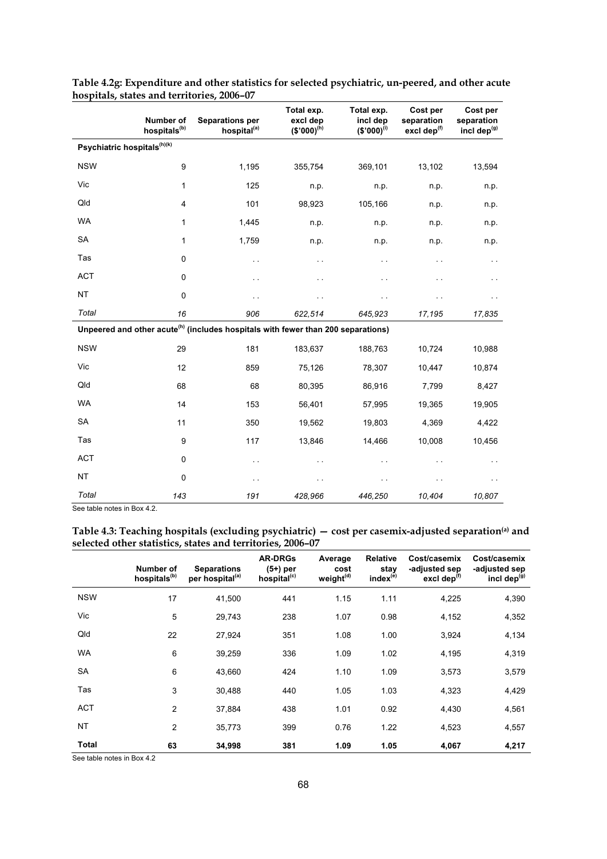|                                                                                              | Number of<br>hospitals <sup>(b)</sup> | <b>Separations per</b><br>hospital <sup>(a)</sup> | Total exp.<br>excl dep<br>$$°000)$ <sup>(h)</sup> | Total exp.<br>incl dep<br>$($'000)^{(i)}$ | Cost per<br>separation<br>excl dep <sup>(f)</sup> | Cost per<br>separation<br>incl dep <sup>(g)</sup> |  |  |
|----------------------------------------------------------------------------------------------|---------------------------------------|---------------------------------------------------|---------------------------------------------------|-------------------------------------------|---------------------------------------------------|---------------------------------------------------|--|--|
| Psychiatric hospitals <sup>(h)(k)</sup>                                                      |                                       |                                                   |                                                   |                                           |                                                   |                                                   |  |  |
| <b>NSW</b>                                                                                   | 9                                     | 1,195                                             | 355,754                                           | 369,101                                   | 13,102                                            | 13,594                                            |  |  |
| Vic                                                                                          | 1                                     | 125                                               | n.p.                                              | n.p.                                      | n.p.                                              | n.p.                                              |  |  |
| Qld                                                                                          | $\overline{4}$                        | 101                                               | 98,923                                            | 105,166                                   | n.p.                                              | n.p.                                              |  |  |
| <b>WA</b>                                                                                    | 1                                     | 1,445                                             | n.p.                                              | n.p.                                      | n.p.                                              | n.p.                                              |  |  |
| <b>SA</b>                                                                                    | 1                                     | 1,759                                             | n.p.                                              | n.p.                                      | n.p.                                              | n.p.                                              |  |  |
| Tas                                                                                          | $\mathbf 0$                           | $\sim$                                            | $\ddotsc$                                         | $\ddot{\phantom{0}}$                      | $\ddot{\phantom{0}}$                              |                                                   |  |  |
| <b>ACT</b>                                                                                   | 0                                     | $\ddotsc$                                         | . .                                               | . .                                       | $\ddot{\phantom{0}}$                              |                                                   |  |  |
| <b>NT</b>                                                                                    | $\pmb{0}$                             |                                                   |                                                   | . .                                       | . .                                               |                                                   |  |  |
| Total                                                                                        | 16                                    | 906                                               | 622,514                                           | 645,923                                   | 17,195                                            | 17,835                                            |  |  |
| Unpeered and other acute <sup>(h)</sup> (includes hospitals with fewer than 200 separations) |                                       |                                                   |                                                   |                                           |                                                   |                                                   |  |  |
| <b>NSW</b>                                                                                   | 29                                    | 181                                               | 183,637                                           | 188,763                                   | 10,724                                            | 10,988                                            |  |  |
| Vic                                                                                          | 12                                    | 859                                               | 75,126                                            | 78,307                                    | 10,447                                            | 10,874                                            |  |  |
| Qld                                                                                          | 68                                    | 68                                                | 80,395                                            | 86,916                                    | 7,799                                             | 8,427                                             |  |  |
| <b>WA</b>                                                                                    | 14                                    | 153                                               | 56,401                                            | 57,995                                    | 19,365                                            | 19,905                                            |  |  |
| SA                                                                                           | 11                                    | 350                                               | 19,562                                            | 19,803                                    | 4,369                                             | 4,422                                             |  |  |
| Tas                                                                                          | 9                                     | 117                                               | 13,846                                            | 14,466                                    | 10,008                                            | 10,456                                            |  |  |
| <b>ACT</b>                                                                                   | 0                                     | $\sim$                                            | . .                                               | . .                                       | $\ddot{\phantom{0}}$                              |                                                   |  |  |
| <b>NT</b>                                                                                    | $\mathbf 0$                           | г.                                                |                                                   | . .                                       | . .                                               |                                                   |  |  |
| Total                                                                                        | 143                                   | 191                                               | 428,966                                           | 446,250                                   | 10,404                                            | 10,807                                            |  |  |

**Table 4.2g: Expenditure and other statistics for selected psychiatric, un-peered, and other acute hospitals, states and territories, 2006–07** 

**Table 4.3: Teaching hospitals (excluding psychiatric) — cost per casemix-adjusted separation(a) and selected other statistics, states and territories, 2006–07** 

|            | Number of<br>hospitals <sup>(b)</sup> | <b>Separations</b><br>per hospital <sup>(a)</sup> | <b>AR-DRGs</b><br>$(5+)$ per<br>hospital <sup>(c)</sup> | Average<br>cost<br>weight <sup>(d)</sup> | <b>Relative</b><br>stav<br>index <sup>(e)</sup> | Cost/casemix<br>-adjusted sep<br>excl dep <sup>(f)</sup> | Cost/casemix<br>-adjusted sep<br>incl dep <sup>(g)</sup> |
|------------|---------------------------------------|---------------------------------------------------|---------------------------------------------------------|------------------------------------------|-------------------------------------------------|----------------------------------------------------------|----------------------------------------------------------|
| <b>NSW</b> | 17                                    | 41.500                                            | 441                                                     | 1.15                                     | 1.11                                            | 4,225                                                    | 4,390                                                    |
| Vic        | 5                                     | 29,743                                            | 238                                                     | 1.07                                     | 0.98                                            | 4,152                                                    | 4,352                                                    |
| Qld        | 22                                    | 27,924                                            | 351                                                     | 1.08                                     | 1.00                                            | 3,924                                                    | 4,134                                                    |
| <b>WA</b>  | 6                                     | 39,259                                            | 336                                                     | 1.09                                     | 1.02                                            | 4,195                                                    | 4,319                                                    |
| <b>SA</b>  | 6                                     | 43,660                                            | 424                                                     | 1.10                                     | 1.09                                            | 3,573                                                    | 3,579                                                    |
| Tas        | 3                                     | 30,488                                            | 440                                                     | 1.05                                     | 1.03                                            | 4,323                                                    | 4,429                                                    |
| <b>ACT</b> | $\overline{2}$                        | 37,884                                            | 438                                                     | 1.01                                     | 0.92                                            | 4,430                                                    | 4,561                                                    |
| <b>NT</b>  | $\overline{2}$                        | 35,773                                            | 399                                                     | 0.76                                     | 1.22                                            | 4,523                                                    | 4,557                                                    |
| Total      | 63                                    | 34,998                                            | 381                                                     | 1.09                                     | 1.05                                            | 4,067                                                    | 4,217                                                    |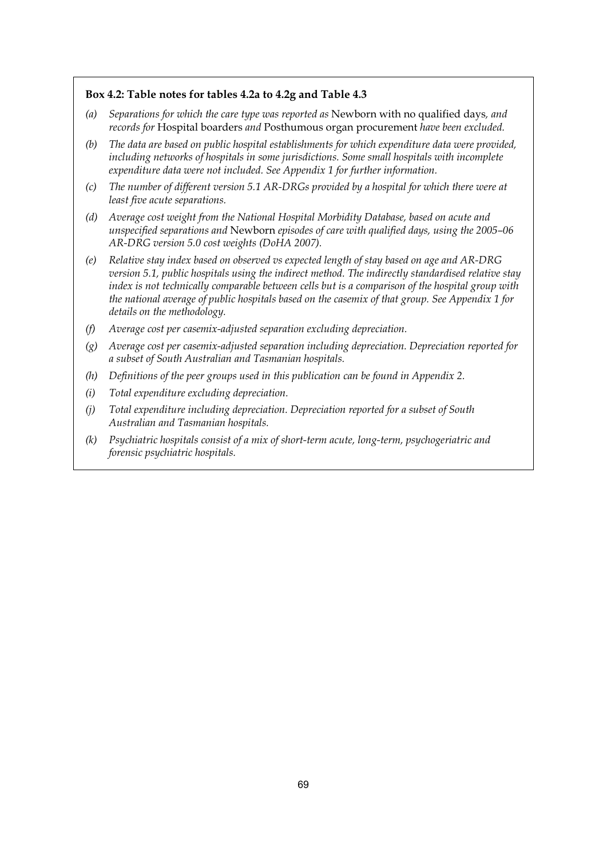#### **Box 4.2: Table notes for tables 4.2a to 4.2g and Table 4.3**

- *(a) Separations for which the care type was reported as* Newborn with no qualified days*, and records for* Hospital boarders *and* Posthumous organ procurement *have been excluded.*
- *(b) The data are based on public hospital establishments for which expenditure data were provided, including networks of hospitals in some jurisdictions. Some small hospitals with incomplete expenditure data were not included. See Appendix 1 for further information.*
- *(c) The number of different version 5.1 AR-DRGs provided by a hospital for which there were at least five acute separations.*
- *(d) Average cost weight from the National Hospital Morbidity Database, based on acute and unspecified separations and* Newborn *episodes of care with qualified days, using the 2005–06 AR-DRG version 5.0 cost weights (DoHA 2007).*
- *(e) Relative stay index based on observed vs expected length of stay based on age and AR-DRG version 5.1, public hospitals using the indirect method. The indirectly standardised relative stay index is not technically comparable between cells but is a comparison of the hospital group with the national average of public hospitals based on the casemix of that group. See Appendix 1 for details on the methodology.*
- *(f) Average cost per casemix-adjusted separation excluding depreciation.*
- *(g) Average cost per casemix-adjusted separation including depreciation. Depreciation reported for a subset of South Australian and Tasmanian hospitals.*
- *(h) Definitions of the peer groups used in this publication can be found in Appendix 2.*
- *(i) Total expenditure excluding depreciation.*
- *(j) Total expenditure including depreciation. Depreciation reported for a subset of South Australian and Tasmanian hospitals.*
- *(k) Psychiatric hospitals consist of a mix of short-term acute, long-term, psychogeriatric and forensic psychiatric hospitals.*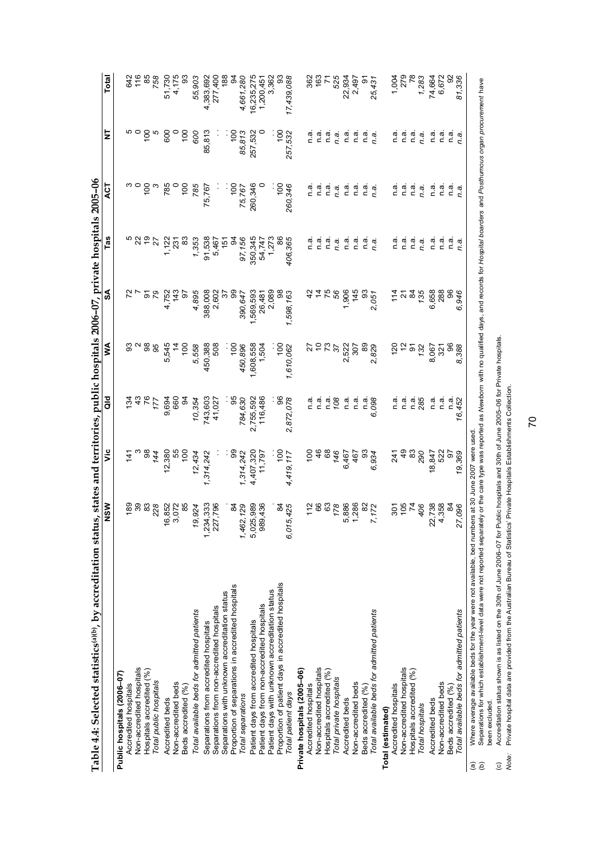|                                                 | ţ                                            |
|-------------------------------------------------|----------------------------------------------|
|                                                 |                                              |
| $\sim$ $\sim$ $\sim$ $\sim$ $\sim$ $\sim$<br>Ĭ. | ļ                                            |
| ĺ                                               |                                              |
|                                                 | ö                                            |
| $\frac{1}{2}$                                   | ֧֧֧֧֧֚֚֚֝֝֝֝֝֝֬֝֬֝֓֝֬֝֓֝֬֝֬֝֓֝֬֝֬֝֓ <b>֓</b> |
|                                                 |                                              |
| common soft and the permission                  | ś                                            |
|                                                 | NICIN                                        |
| ה<br>דומיה<br>$\frac{1}{4}$                     |                                              |

| Table 4.4: Selected statistics(a)(b), by accreditation stat |                                              |                     |                                                |                  | tus, states and territories, public hospitals 2006-07, private hospitals 2005-06 |                                                |                 |                 |             |
|-------------------------------------------------------------|----------------------------------------------|---------------------|------------------------------------------------|------------------|----------------------------------------------------------------------------------|------------------------------------------------|-----------------|-----------------|-------------|
|                                                             | NSW                                          | ۊ                   | as<br>To                                       | ≸                | వ్                                                                               | Tas                                            | <b>ACT</b>      | ⋚               | Total       |
| Public hospitals (2006-07)                                  |                                              |                     |                                                |                  |                                                                                  |                                                |                 |                 |             |
| Accredited hospitals                                        |                                              | $\frac{14}{1}$      | 134                                            |                  |                                                                                  |                                                |                 |                 | 642         |
| Non-accredited hospitals                                    |                                              |                     |                                                |                  |                                                                                  |                                                |                 | ہ ہ<br>م        | 116         |
| Hospitals accredited (%)                                    |                                              |                     |                                                | 86               | ৯ ম                                                                              |                                                | $\frac{10}{2}$  |                 | 85<br>758   |
| Total public hospitals                                      | <b>es &amp; &amp; \$</b>                     | 944<br>98           | 177                                            | 95               |                                                                                  | $\overline{z}$                                 |                 |                 |             |
| Accredited beds                                             |                                              | 12,380              | 9,694                                          | 545<br>ທ່        | 4,752                                                                            |                                                | 785             | 600             | 51,730      |
| Non-accredited beds                                         | 16,852<br>3,072                              | 55                  | <b>660</b>                                     |                  | 143                                                                              | $1,122$<br>231                                 |                 |                 | 4,175       |
| Beds accredited (%)                                         | 85                                           | $\frac{100}{2}$     | g                                              | $\frac{100}{20}$ | 6                                                                                | 3                                              | $\frac{100}{2}$ | $\frac{8}{1}$   | 3           |
| Total available beds for admitted patients                  | 19,924                                       | 12,434              | 10,354                                         | 5,558            | 4,895                                                                            | 1,353                                          | 785             | 909             | 55,903      |
| Separations from accredited hospitals                       | 1,234,333                                    | 1,314,242           | 743,603                                        | 450,388          | 388,008                                                                          | 91,538                                         | 75,767          | 85,813          | 4,383,692   |
| Separations from non-accredited hospitals                   | 227,796                                      |                     | 41,027                                         | 508              | 2,602                                                                            | 5,467                                          |                 |                 | 277,400     |
| Separations with unknown accreditation status               |                                              |                     |                                                |                  | $\approx$                                                                        | $\frac{1}{2}$                                  |                 |                 | 188         |
| Proportion of separations in accredited hospitals           |                                              | န္တ                 | 95                                             | $\frac{5}{2}$    | 99                                                                               |                                                |                 | : ဒ္            | ट्ठ         |
| Total separations                                           | 84<br>1,462,129                              | ,314,242            | 784,630                                        | 450,896          | 390,647                                                                          | 97,156                                         | 75,767          | 85,813          | 4,661,280   |
| Patient days from accredited hospitals                      | 5,025,989                                    |                     | 2,755,592                                      | 1,608,558        | ,569,593                                                                         | 350,345                                        | 260,346         | 257,532         | 16,235,275  |
| Patient days from non-accredited hospitals                  | 389,436                                      | 4,407,320<br>11,797 | 116,486                                        | 1,504            | 26,481                                                                           |                                                |                 |                 | 1,200,45    |
| Patient days with unknown accreditation status              |                                              |                     |                                                |                  | 2,089                                                                            | 54,747<br>1,273                                |                 |                 | 3,362       |
| Proportion of patient days in accredited hospitals          | Z                                            | $\frac{5}{2}$       |                                                | $\frac{5}{2}$    |                                                                                  |                                                | $\frac{5}{2}$   | ∶§              |             |
| Total patient days                                          | 6,015,425                                    | ,419,117            | 872,078                                        | ,610,062         | 1,598,163                                                                        | 406,365                                        | 260,346         | 257,532         | 17,439,088  |
| Private hospitals (2005-06)                                 |                                              |                     |                                                |                  |                                                                                  |                                                |                 |                 |             |
| Accredited hospitals                                        | $\frac{2}{1}$                                | $\frac{8}{1}$       |                                                | ನ                |                                                                                  |                                                | n.a             | n.a             | 362         |
| Non-accredited hospitals                                    |                                              | $\frac{6}{4}$       | $\begin{bmatrix} a & b \\ c & d \end{bmatrix}$ |                  |                                                                                  | $\begin{bmatrix} a & b \\ c & d \end{bmatrix}$ | n.a             | ີ້<br>ດ         | $rac{2}{7}$ |
| Hospitals accredited (%)                                    |                                              |                     |                                                | 287              | 75<br>56                                                                         | n.a                                            | n.a             | n.a             |             |
| Total private hospitals                                     | $\begin{array}{l} 68 \\ 63 \\ 8 \end{array}$ | 68<br>146           | $\frac{a}{108}$                                |                  |                                                                                  | n.a.                                           | ņ.a.            | n.a.            | 525         |
| Accredited beds                                             |                                              | 6,467               | n.a                                            | 522<br>$\sim$    | 1,906                                                                            | n a                                            | ີດ.<br>C        | n.a             | 22,934      |
| Non-accredited beds                                         | 5,886<br>1,286                               | 467                 | n.a                                            | 307              | 145                                                                              | n.a                                            | n.ai            | n a             | 2,497       |
| Beds accredited (%)                                         |                                              |                     |                                                |                  |                                                                                  | n.a                                            | n.a             |                 | თ           |
| Total available beds for admitted patients                  | 7,172                                        | 934<br>6,934        | 1.38                                           | 829<br>829       | 93<br>2,051                                                                      | n.a.                                           | n.a.            | n a<br>n a      | 25,431      |
| Total (estimated)                                           |                                              |                     |                                                |                  |                                                                                  |                                                |                 |                 |             |
| Accredited hospitals                                        |                                              | 241                 | <u>ດ</u><br>C                                  | 120              |                                                                                  | n.a                                            | ັດ<br>C         | n a             | 1,004       |
| Non-accredited hospitals                                    | ន្លូក្នុ                                     | $rac{48}{8}$        |                                                |                  | ភ្នំដូងដំ                                                                        |                                                | n.a             |                 | 279         |
| Hospitals accredited (%)                                    |                                              |                     | n a<br>1 a 85                                  | $\overline{5}$   |                                                                                  | $\frac{a}{c}$ $\frac{a}{c}$                    | n a             | $\frac{a}{c}$ a | 78          |
| Total hospitals                                             | 406                                          | 290                 |                                                | 132              |                                                                                  | n.a.                                           | n.a.            | n.a.            | 1,283       |
| Accredited beds                                             |                                              | <u>یہ</u>           | n a                                            | 8,067            | 6,658                                                                            | n.a                                            | ື່<br>⊂         | n a             | 74,664      |
| Non-accredited beds                                         | 22,738<br>4,358<br>4,358                     | 요.<br>요 25<br>이 오   | $\overline{\mathsf{n}}$                        | $\frac{32}{1}$   | 288                                                                              | ີດ.<br>⊏                                       | ື່ດ<br>⊏        | n.a             | 6,672       |
| Beds accredited (%)                                         |                                              |                     | n.a                                            | 86               | 8                                                                                | n.a                                            | υ.<br>Ο         | n a             | 92          |
| Total available beds for admitted patients                  | 27,096                                       | 19,369              | 452<br>16.                                     | 388<br>ထံ        | 946<br>Ġ                                                                         | n.a.                                           | n.a.            | n.a.            | 81,336      |
| ĵ                                                           |                                              |                     |                                                |                  |                                                                                  |                                                |                 |                 |             |

(a) Where average available beds for the year were not available, bed numbers at 30 June 2007 were used.

Where average available beds for the year were not available, bed numbers at 30 June 2007 were used.<br>Separations for which establishment-level data were not reported seepty or the care type was reported as Wewborn with no *Newborn* with no qualified days, and records for *Hospital boarders* and *Posthumous organ procurement* have Separations for which establishment-level data were not reported separately or the care type was reported as been excluded. (b) (c) *Note:* 

Accreditation status shown is as listed on the 30th of June 2006–07 for Public hospitals and 30th of June 2005–06 for Private hospitals.<br>Private hospital data are provided from the Australian Bureau of Statistics' Private Accreditation status shown is as listed on the 30th of June 2006–07 for Public hospitals and 30th of June 2005–06 for Private hospitals.

Private hospital data are provided from the Australian Bureau of Statistics' Private Hospitals Establishments Collection.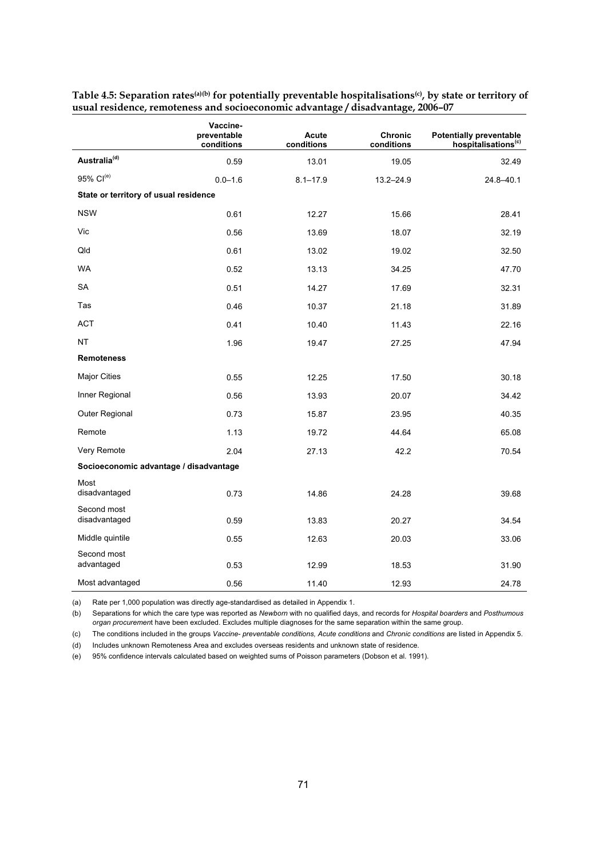|                                        | Vaccine-<br>preventable<br>conditions | <b>Acute</b><br>conditions | <b>Chronic</b><br>conditions | <b>Potentially preventable</b><br>hospitalisations <sup>(c)</sup> |
|----------------------------------------|---------------------------------------|----------------------------|------------------------------|-------------------------------------------------------------------|
| Australia <sup>(d)</sup>               | 0.59                                  | 13.01                      | 19.05                        | 32.49                                                             |
| 95% Cl <sup>(e)</sup>                  | $0.0 - 1.6$                           | $8.1 - 17.9$               | $13.2 - 24.9$                | $24.8 - 40.1$                                                     |
| State or territory of usual residence  |                                       |                            |                              |                                                                   |
| <b>NSW</b>                             | 0.61                                  | 12.27                      | 15.66                        | 28.41                                                             |
| Vic                                    | 0.56                                  | 13.69                      | 18.07                        | 32.19                                                             |
| Qld                                    | 0.61                                  | 13.02                      | 19.02                        | 32.50                                                             |
| <b>WA</b>                              | 0.52                                  | 13.13                      | 34.25                        | 47.70                                                             |
| SA                                     | 0.51                                  | 14.27                      | 17.69                        | 32.31                                                             |
| Tas                                    | 0.46                                  | 10.37                      | 21.18                        | 31.89                                                             |
| ACT                                    | 0.41                                  | 10.40                      | 11.43                        | 22.16                                                             |
| <b>NT</b>                              | 1.96                                  | 19.47                      | 27.25                        | 47.94                                                             |
| <b>Remoteness</b>                      |                                       |                            |                              |                                                                   |
| <b>Major Cities</b>                    | 0.55                                  | 12.25                      | 17.50                        | 30.18                                                             |
| Inner Regional                         | 0.56                                  | 13.93                      | 20.07                        | 34.42                                                             |
| Outer Regional                         | 0.73                                  | 15.87                      | 23.95                        | 40.35                                                             |
| Remote                                 | 1.13                                  | 19.72                      | 44.64                        | 65.08                                                             |
| Very Remote                            | 2.04                                  | 27.13                      | 42.2                         | 70.54                                                             |
| Socioeconomic advantage / disadvantage |                                       |                            |                              |                                                                   |
| Most<br>disadvantaged                  | 0.73                                  | 14.86                      | 24.28                        | 39.68                                                             |
| Second most<br>disadvantaged           | 0.59                                  | 13.83                      | 20.27                        | 34.54                                                             |
| Middle quintile                        | 0.55                                  | 12.63                      | 20.03                        | 33.06                                                             |
| Second most<br>advantaged              | 0.53                                  | 12.99                      | 18.53                        | 31.90                                                             |
| Most advantaged                        | 0.56                                  | 11.40                      | 12.93                        | 24.78                                                             |

Table 4.5: Separation rates<sup>(a)(b)</sup> for potentially preventable hospitalisations<sup>(c)</sup>, by state or territory of **usual residence, remoteness and socioeconomic advantage / disadvantage, 2006–07** 

(a) Rate per 1,000 population was directly age-standardised as detailed in Appendix 1.

(b) Separations for which the care type was reported as *Newborn* with no qualified days, and records for *Hospital boarders* and *Posthumous organ procuremen*t have been excluded. Excludes multiple diagnoses for the same separation within the same group.

(c) The conditions included in the groups *Vaccine- preventable conditions, Acute conditions* and *Chronic conditions* are listed in Appendix 5.

(d) Includes unknown Remoteness Area and excludes overseas residents and unknown state of residence.

(e) 95% confidence intervals calculated based on weighted sums of Poisson parameters (Dobson et al. 1991).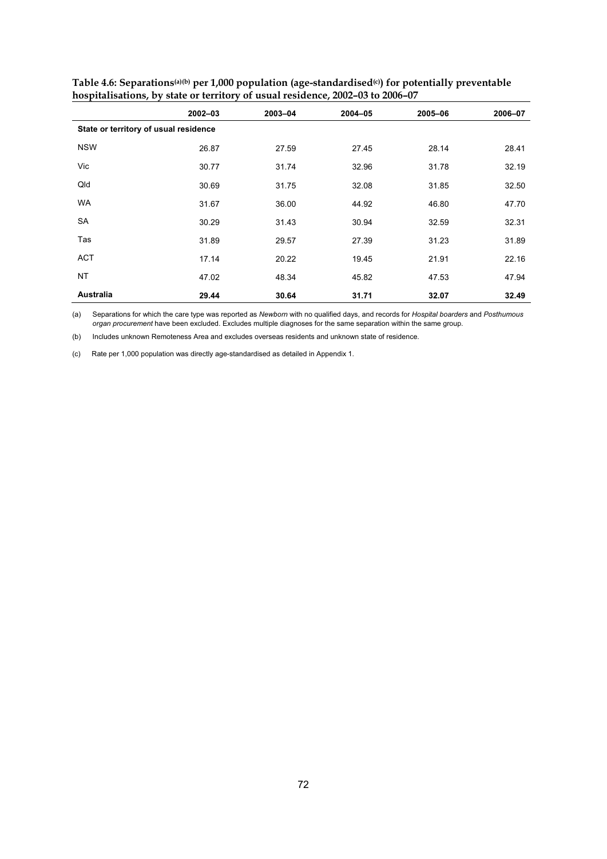|                                       | $2002 - 03$ | 2003-04 | $2004 - 05$ | 2005-06 | 2006-07 |
|---------------------------------------|-------------|---------|-------------|---------|---------|
| State or territory of usual residence |             |         |             |         |         |
| <b>NSW</b>                            | 26.87       | 27.59   | 27.45       | 28.14   | 28.41   |
| Vic                                   | 30.77       | 31.74   | 32.96       | 31.78   | 32.19   |
| Qld                                   | 30.69       | 31.75   | 32.08       | 31.85   | 32.50   |
| <b>WA</b>                             | 31.67       | 36.00   | 44.92       | 46.80   | 47.70   |
| SA                                    | 30.29       | 31.43   | 30.94       | 32.59   | 32.31   |
| Tas                                   | 31.89       | 29.57   | 27.39       | 31.23   | 31.89   |
| <b>ACT</b>                            | 17.14       | 20.22   | 19.45       | 21.91   | 22.16   |
| <b>NT</b>                             | 47.02       | 48.34   | 45.82       | 47.53   | 47.94   |
| <b>Australia</b>                      | 29.44       | 30.64   | 31.71       | 32.07   | 32.49   |

**Table 4.6: Separations(a)(b) per 1,000 population (age-standardised(c)) for potentially preventable hospitalisations, by state or territory of usual residence, 2002–03 to 2006–07** 

(a) Separations for which the care type was reported as *Newborn* with no qualified days, and records for *Hospital boarders* and *Posthumous organ procurement* have been excluded. Excludes multiple diagnoses for the same separation within the same group.

(b) Includes unknown Remoteness Area and excludes overseas residents and unknown state of residence.

(c) Rate per 1,000 population was directly age-standardised as detailed in Appendix 1.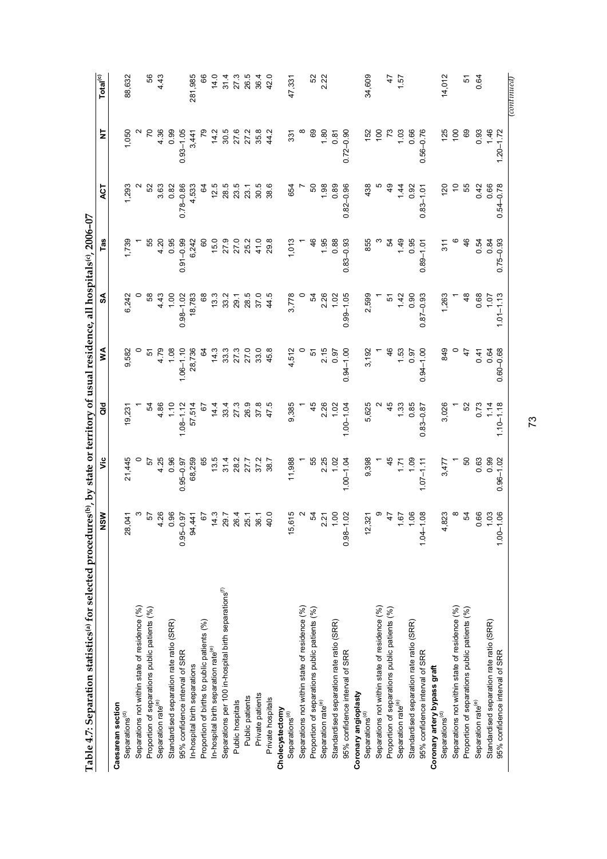| Table 4.7: Separation statistics <sup>(a)</sup> for selected procedures <sup>(b)</sup> , by state or territory of usual residence, |                                   |               |               |               |               | all hospitals(c), 2006-07 |               |               |                      |
|------------------------------------------------------------------------------------------------------------------------------------|-----------------------------------|---------------|---------------|---------------|---------------|---------------------------|---------------|---------------|----------------------|
|                                                                                                                                    | NSW                               | ئ             | る             | ≸             | న్            | Tas                       | 13            | ₹             | Total <sup>(c)</sup> |
| Caesarean section                                                                                                                  |                                   |               |               |               |               |                           |               |               |                      |
| Separations <sup>(d)</sup>                                                                                                         | 041<br>$\boldsymbol{\mathcal{S}}$ | 21,445        | 19,231        | 9,582         | 6,242         | 1,739                     | 1,293         | 1,050         | 88,632               |
| Separations not within state of residence (%)                                                                                      |                                   |               |               |               |               |                           |               |               |                      |
| Proportion of separations public patients (%)                                                                                      | 57                                | 5             |               | 51            |               | 55                        | ន             |               | 56                   |
| Separation rate <sup>(e)</sup>                                                                                                     | 4.26                              | 4.25          | 4.86          | 4.79          | 4.43          | 4.20                      | 3.63          | 4.36          | 4.43                 |
| Standardised separation rate ratio (SRR)                                                                                           | 0.96                              | 0.96          | 1.10          | 1.08          | 1,00          | 0.95                      | 0.82          | 0.99          |                      |
| 95% confidence interval of SRR                                                                                                     | $0.95 - 0.97$                     | $0.95 - 0.97$ | $1.08 - 1.12$ | $1.06 - 1.10$ | $0.98 - 1.02$ | $0.91 - 0.99$             | $0.78 - 0.86$ | $0.93 - 1.05$ |                      |
| In-hospital birth separations                                                                                                      | 94,441                            | 68,259        | 57,514        | 28,736        | 18,783        | 6,242                     | 4,533         | 3,441         | 281,985              |
| Proportion of births to public patients (%)                                                                                        | 67                                | 89            | .<br>ت        | टु            | 89            | 8                         | ନ୍ଦ           |               | 66                   |
| In-hospital birth separation rate <sup>(e)</sup>                                                                                   | 14.3                              | 13.5          | 14.4          | 14.3          | 13.3          | 15.0                      | 12.5          | 14.2          | 14.0                 |
| Separations per 100 in-hospital birth separations <sup>(f)</sup>                                                                   | 29.7                              | 31.4          | 33.4          | 33.3          | 33.2          | 27.9                      | 28.5          | 30.5          | 31.4                 |
| Public hospitals                                                                                                                   | 26.4                              | 28.2          | 27.3          | 27.3          | 29.1          | 27.0                      | 23.5          | 27.6          | 27.3                 |
| Public patients                                                                                                                    | 25.1                              | 27.7          | 26.9          | 27.0          | 28.5          | 25.2                      | 23.1          | 27.2          | 26.5                 |
| Private patients                                                                                                                   | 36.1                              | 37.2          | 37.8          | 33.0          | 37.0          | 41.0                      | 30.5          | 35.8          | 36.4                 |
| Private hospitals                                                                                                                  | 40.0                              | 38.7          |               | 45.8          | 44.5          | 29.8                      | 38.6          | 44.2          | 42.0                 |
| Cholecystectomy                                                                                                                    |                                   |               |               |               |               |                           |               |               |                      |
| Separations <sup>(d)</sup>                                                                                                         | 615<br>$\frac{5}{2}$              | 11,988        | 9,385         | 4,512         | 3,778         | 1,013                     | 654           | 331           | 47,331               |
| Separations not within state of residence (%)                                                                                      |                                   |               |               |               |               |                           |               |               |                      |
| Proportion of separations public patients (%)                                                                                      | 54                                | 55            | 45            | 51            | 54            | 46                        | 50            | 69            | 52                   |
| Separation rate <sup>(e)</sup>                                                                                                     | 2.21                              | 2.25          | 2.26          | 2.15          | 2.26          | 1.95                      | 1.98          | 1.80          | 2.22                 |
| Standardised separation rate ratio (SRR)                                                                                           | 1.00                              | 1.02          | 1.02          | 0.97          | 1.02          | 0.88                      | 0.89          | 0.81          |                      |
| 95% confidence interval of SRR                                                                                                     | $0.98 - 1.02$                     | $1.00 - 1.04$ | $1.00 - 1.04$ | $0.94 - 1.00$ | $0.99 - 1.05$ | $0.83 - 0.93$             | $0.82 - 0.96$ | $0.72 - 0.90$ |                      |
| Coronary angioplasty                                                                                                               |                                   |               |               |               |               |                           |               |               |                      |
| Separations <sup>(d)</sup>                                                                                                         | 12,321                            | 9,398         | 5,625         | 3,192         | 2,599         | 855                       | 438           | 152           | 34,609               |
| Separations not within state of residence (%)                                                                                      |                                   |               |               |               |               |                           |               | $\frac{0}{2}$ |                      |
| Proportion of separations public patients (%)                                                                                      | 47                                |               | 45            | 46            | 5             | 54                        |               | 73            | 47                   |
| Separation rate <sup>(e)</sup>                                                                                                     | 1.67                              | 1.71          | 1,33          | 1.53          | 1.42          | 1.49                      | 1.44          | 1.03          | 1.57                 |
| Standardised separation rate ratio (SRR)                                                                                           | 1.06                              | 1.09          | 0.85          | 0.97          | 0.90          | 0.95                      | 0.92          | 0.66          |                      |
| 95% confidence interval of SRR                                                                                                     | $1.04 - 1.08$                     | $1.07 - 1.11$ | $0.83 - 0.87$ | $0.94 - 1.00$ | $0.87 - 0.93$ | $0.89 - 1.01$             | $0.83 - 1.01$ | $0.56 - 0.76$ |                      |
| Coronary artery bypass graft                                                                                                       |                                   |               |               |               |               |                           |               |               |                      |
| Separations <sup>(d)</sup>                                                                                                         | 4,823                             | 3,477         | 3,026         | 849           | 1,263         | 311                       | 120           | 125           | 14,012               |
| Separations not within state of residence (%)                                                                                      |                                   |               |               |               |               |                           |               | 100           |                      |
| Proportion of separations public patients (%)                                                                                      | 54                                | SO            | 52            | $\frac{4}{7}$ | $\frac{8}{3}$ | 46                        | 55            | 69            | 51                   |
| Separation rate <sup>(e)</sup>                                                                                                     | 0.66                              | 0.63          | 0.73          | 0.41          | 0.68          | 0.54                      | 0.42          | 0.93          | 0.64                 |
| Standardised separation rate ratio (SRR)                                                                                           | 1.03                              | 0.99          | 1.14          | 0.64          | 70.1          | 0.84                      | 0.66          | 1.46          |                      |
| 95% confidence interval of SRR                                                                                                     | $1.00 - 1.06$                     | $0.96 - 1.02$ | $1.10 - 1.18$ | $0.60 - 0.68$ | $1.01 - 1.13$ | $0.75 - 0.93$             | $0.54 - 0.78$ | $1.20 - 1.72$ |                      |
|                                                                                                                                    |                                   |               |               |               |               |                           |               |               | $_{(continued)}$     |

73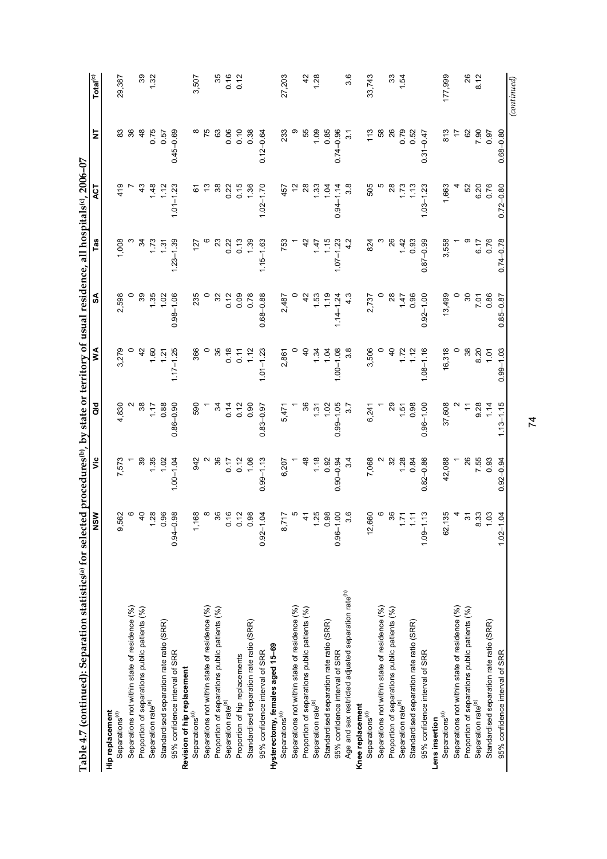| Table 4.7 (continued): Separation statistics <sup>(a)</sup> for selected procedures <sup>(b)</sup> , by state or territory of usual residence, |                     |                                            |                |                |                |               | all hospitals(°), 2006-07 |               |                                |
|------------------------------------------------------------------------------------------------------------------------------------------------|---------------------|--------------------------------------------|----------------|----------------|----------------|---------------|---------------------------|---------------|--------------------------------|
|                                                                                                                                                | <b>NSW</b>          | ۊ                                          | ă              | ≸              | SA             | Tas           | ДCТ                       | ā             | $\mathsf{Tota}^{(\mathrm{c})}$ |
| Hip replacement                                                                                                                                |                     |                                            |                |                |                |               |                           |               |                                |
| Separations <sup>(d)</sup>                                                                                                                     | 9,562               | 7,573                                      | 4,830          | 3,279          | 2,598          | 1,008         | 419                       | 83            | 29,387                         |
| Separations not within state of residence (%)                                                                                                  | G                   |                                            |                |                | $\circ$        |               |                           | 36            |                                |
| Proportion of separations public patients (%)                                                                                                  | $\overline{4}$      | 39                                         | 38             | 42             | 39             | 34            |                           | 48            | 39                             |
| Separation rate <sup>(e)</sup>                                                                                                                 | 1.28                | 1.35                                       | 1.17           | 1.60           | 1.35           | 1.73          | 1.48                      | 0.75          | 1.32                           |
| Standardised separation rate ratio (SRR)                                                                                                       | 0.96                | 1.02                                       | 0.88           | 1.21           | 1.02           | 1.31          | 1.12                      | 0.57          |                                |
| 95% confidence interval of SRR                                                                                                                 | $-0.98$<br>$0.94 -$ | $1.00 - 1.04$                              | $0.86 - 0.90$  | $.17 - 1.25$   | $0.98 - 1.06$  | $1.23 - 1.39$ | $1.01 - 1.23$             | $0.45 - 0.69$ |                                |
| Revision of hip replacement                                                                                                                    |                     |                                            |                |                |                |               |                           |               |                                |
| Separations <sup>(d)</sup>                                                                                                                     | 1,168               | 942                                        | 590            | 366            | 235            | 127           | డ                         |               | 3,507                          |
| Separations not within state of residence (%)                                                                                                  | ∞                   |                                            |                |                |                |               | చ                         | 75            |                                |
| Proportion of separations public patients (%)                                                                                                  |                     | 36                                         | 34             | 36             | ೫              | ಔ             | 38                        | 63            | 35                             |
| Separation rate <sup>(e)</sup>                                                                                                                 | 0.16                |                                            | 0.14           | 0.18           | 0.12           | 0.22          | 0.22                      | 0.06          | 0.16                           |
| Proportion of hip replacements                                                                                                                 | 0.12                | $0.17$<br>$0.12$                           | 0.12           | 0.11           | 0.09           | 0.13          | 0.15                      | 0.10          | 0.12                           |
| Standardised separation rate ratio (SRR)                                                                                                       | 0.98                | 1.06                                       | 0.90           | 1.12           | 0.78           | 1.39          | 1.36                      | 0.38          |                                |
| 95% confidence interval of SRR                                                                                                                 | $0.92 - 1.04$       | $0.99 - 1.13$                              | $0.83 - 0.97$  | $1.01 - 1.23$  | $0.68 - 0.88$  | $1.15 - 1.63$ | $1.02 - 1.70$             | $0.12 - 0.64$ |                                |
| Hysterectomy, females aged 15-69                                                                                                               |                     |                                            |                |                |                |               |                           |               |                                |
| Separations <sup>(d)</sup>                                                                                                                     | 8,717               | 6,207                                      | 5,471          | 2,861          | 2,487          | 753           | 457                       | 233           | 27,203                         |
| Separations not within state of residence (%)                                                                                                  |                     |                                            |                |                |                |               |                           |               |                                |
| Proportion of separations public patients (%)                                                                                                  | $\ddot{4}$          | \$                                         | 36             | $\overline{a}$ | $\overline{4}$ | 42            |                           | 55            | 42                             |
| Separation rate <sup>(e)</sup>                                                                                                                 | 1.25                |                                            | 1.31           | 1.34           | 1.53           | 147           | 1.33                      | 1.09          | 1.28                           |
| Standardised separation rate ratio (SRR)                                                                                                       | 0.98                | $\begin{array}{c} 1,8 \\ 0.92 \end{array}$ | 1.02           | 1.04           | 1.19           | 1.15          | 1.04                      | 0.85          |                                |
| 95% confidence interval of SRR                                                                                                                 | $0.96 - 1.00$       | $0.90 - 0.94$                              | $0.99 - 1.05$  | $1.00 - 1.08$  | $1.14 - 1.24$  | $1.07 - 1.23$ | $0.94 - 1.14$             | $0.74 - 0.96$ |                                |
| Age and sex restricted adjusted separation rate <sup>(n)</sup>                                                                                 | 3.6                 | 3.4                                        |                |                |                |               |                           | 3.1           | 3.6                            |
| Knee replacement                                                                                                                               |                     |                                            |                |                |                |               |                           |               |                                |
| Separations <sup>(d)</sup>                                                                                                                     | 12,660              | 7,068                                      | 6,241          | 3,506          | 2,737          | 824           | 505                       | 113           | 33,743                         |
| Separations not within state of residence (%)                                                                                                  |                     |                                            |                |                |                |               |                           | 58            |                                |
| Proportion of separations public patients (%)                                                                                                  | 36                  | 32                                         | 8              | $\overline{a}$ | $\frac{8}{2}$  | 26            |                           | 26            | 33                             |
| Separation rate <sup>(e)</sup>                                                                                                                 |                     | 1.28                                       | $1.51$<br>0.98 | 1.72           | 147            | 1.42          | 1.73                      | 0.79          | 1.54                           |
| Standardised separation rate ratio (SRR)                                                                                                       | 1.11                | 0.84                                       |                | 1.12           | 0.96           | 0.93          | 1.13                      | 0.52          |                                |
| 95% confidence interval of SRR                                                                                                                 | $1.09 - 1.13$       | $0.82 - 0.86$                              | $0.96 - 1.00$  | $1.08 - 1.16$  | $0.92 - 1.00$  | $0.87 - 0.99$ | $1.03 - 1.23$             | $0.31 - 0.47$ |                                |
| Lens insertion                                                                                                                                 |                     |                                            |                |                |                |               |                           |               |                                |
| Separations <sup>(d)</sup>                                                                                                                     | 62,135              | 42,088                                     | 37,608         | 16,318         | 13,499         | 3,558         | 1,663                     | 813           | 177,999                        |
| Separations not within state of residence (%)                                                                                                  |                     |                                            |                |                |                |               |                           | $\ddot{ }$    |                                |
| Proportion of separations public patients (%)                                                                                                  | ᢌ                   | 26                                         |                | $38\,$         | 80             |               | 52                        | 62            | 26                             |
| Separation rate <sup>(e)</sup>                                                                                                                 | 8.33                | 7.55<br>0.93                               | 9.28           | 8.20           | <b>7.01</b>    | 6.17          | 6.20                      | 7.90          | 8.12                           |
| Standardised separation rate ratio (SRR)                                                                                                       | 1,03                |                                            | 1.14           | 1.01           | 0.86           | 0.76          | 0.76                      | 0.97          |                                |
| 95% confidence interval of SRR                                                                                                                 | $1.02 - 1.04$       | $.92 - 0.94$<br>ö                          | $1.13 - 1.15$  | $0.99 - 1.03$  | $0.85 - 0.87$  | $0.74 - 0.78$ | $0.72 - 0.80$             | $0.68 - 0.80$ |                                |
|                                                                                                                                                |                     |                                            |                |                |                |               |                           |               | (continued)                    |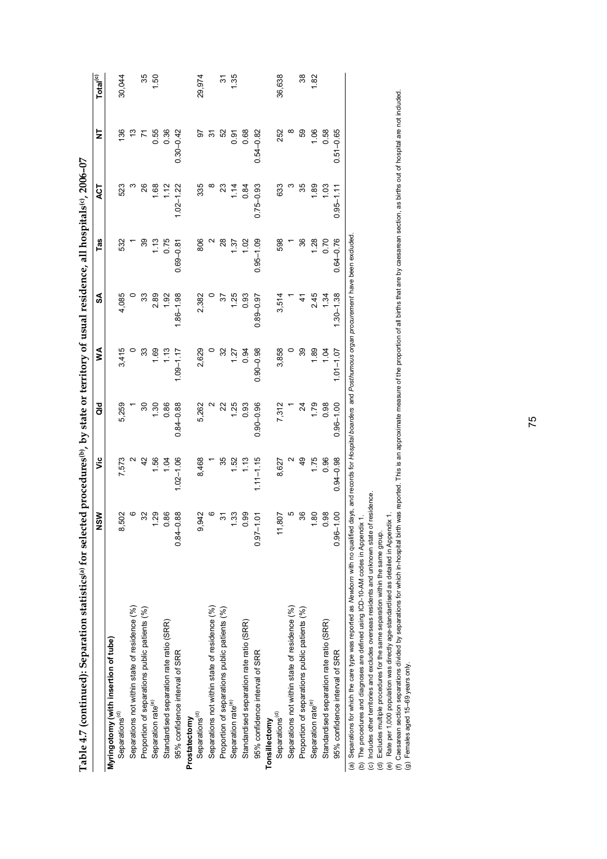| Table 4.7 (continued): Separation statistics of selected procedures by state or territory of usual residence, all hospitals (°, 2006-07                                       |                     |                |               |               |               |               |               |               |                      |
|-------------------------------------------------------------------------------------------------------------------------------------------------------------------------------|---------------------|----------------|---------------|---------------|---------------|---------------|---------------|---------------|----------------------|
|                                                                                                                                                                               | NSW                 | ۶Ë             | as<br>G       | ≸             | S             | Tas           | <b>LSK</b>    | ₹             | Total <sup>(c)</sup> |
| Myringotomy (with insertion of tube)                                                                                                                                          |                     |                |               |               |               |               |               |               |                      |
| Separations <sup>(d)</sup>                                                                                                                                                    | 502                 | 7,573          | 5,259         | 3,415         | 4,085         | 532           | 523           | 136           | 30,044               |
| Separations not within state of residence (%)                                                                                                                                 | ဖ                   |                |               |               |               |               |               | ౖ             |                      |
| Proportion of separations public patients (%)                                                                                                                                 |                     | $\overline{4}$ | ౚ             | 33            | ౢ             | 39            | 26            |               | 35                   |
| Separation rate <sup>(e)</sup>                                                                                                                                                | 1.29                | 1.56           | 1.30          | 1.69          | 2.89          | 1.13          | 1.68          | 0.55          | 1.50                 |
| Standardised separation rate ratio (SRR)                                                                                                                                      | 0.86                | 1.04           | 0.86          | 1.13          | 1.92          | 0.75          | 1.12          | 0.36          |                      |
| 95% confidence interval of SRR                                                                                                                                                | $-0.88$<br>$0.84 -$ | $1.02 - 1.06$  | $0.84 - 0.88$ | $1.09 - 1.17$ | $86 - 1.98$   | $0.69 - 0.81$ | $1.02 - 1.22$ | $0.30 - 0.42$ |                      |
| Prostatectomy                                                                                                                                                                 |                     |                |               |               |               |               |               |               |                      |
| Separations <sup>(d)</sup>                                                                                                                                                    | 942                 | 8,468          | 5,262         | 2,629         | 2,382         | 806           | 335           | 5             | 29,974               |
| Separations not within state of residence (%)                                                                                                                                 |                     |                |               |               |               | N             |               | స్            |                      |
| Proportion of separations public patients (%)                                                                                                                                 | స్                  | 35             |               | 32            | 57            | $\frac{8}{2}$ | ఇ             | 52            | 5                    |
| Separation rate <sup>(e)</sup>                                                                                                                                                | 1.33                | 1.52           | 1.25          | 127           | 1.25          | 1.37          | 1.14          | ნ.<br>0       | 1.35                 |
| Standardised separation rate ratio (SRR)                                                                                                                                      | 0.99                | 1.13           | 0.93          | 0.94          | 0.93          | 1.02          | 0.84          | 0.68          |                      |
| 95% confidence interval of SRR                                                                                                                                                | $0.97 - 1.01$       | $1.11 - 1.15$  | $0.90 - 0.96$ | $0.90 - 0.98$ | $0.89 - 0.97$ | $0.95 - 1.09$ | $0.75 - 0.93$ | $0.54 - 0.82$ |                      |
| Tonsillectomy                                                                                                                                                                 |                     |                |               |               |               |               |               |               |                      |
| Separations <sup>(d)</sup>                                                                                                                                                    | 807<br>Ξ            | 8,627          | 7,312         | 3,858         | 3,514         | 598           | 633           | 252           | 36,638               |
| Separations not within state of residence (%)                                                                                                                                 | Ю                   |                |               |               |               |               |               | ∞             |                      |
| Proportion of separations public patients (%)                                                                                                                                 | 36                  | QÞ             | 24            | 39            |               | 36            | 35            | 59            | 38                   |
| Separation rate <sup>(e)</sup>                                                                                                                                                | 1.80                | 1.75           | 1.79          | 1.89          | 245           | 1.28          | 1.89          | 1.06          | 1.82                 |
| Standardised separation rate ratio (SRR)                                                                                                                                      | 0.98                | 0.96           | 0.98          | 104           | 1.34          | 0.70          | 103           | 0.58          |                      |
| 95% confidence interval of SRR                                                                                                                                                | $0.96 - 1.00$       | $0.94 - 0.98$  | $0.96 - 1.00$ | $1.01 - 1.07$ | $1.30 - 1.38$ | $0.64 - 0.76$ | $0.95 - 1.11$ | $0.51 - 0.65$ |                      |
| (a) Separations for which the care type was reported as Newborn with no qualified days, and records for Hospital boarders and Posthumous organ procurement have been excluded |                     |                |               |               |               |               |               |               |                      |

(b) The procedures and diagnoses are defined using ICD-10-AM codes in Appendix 1.

(c) Includes other territories and excludes overseas residents and unknown state of residence.

(d) Excludes multiple procedures for the same separation within the same group.

(e) Rate per 1,000 population was directly age-standardised as detailed in Appendix 1.

(a) Separations for which the care type was reported as Mew*born* with no qualified days, and records for *Hospital boarders* and *Posithurnous organ procurement* have been excluded.<br>(b) The procedures and diagnoses and es (f) Caesarean section separations divided by separations for which in-hospital birth was reported. This is an approximate measure of the proportion of all births that are by caesarean section, as births out of hospital are (g) Females aged 15–69 years only.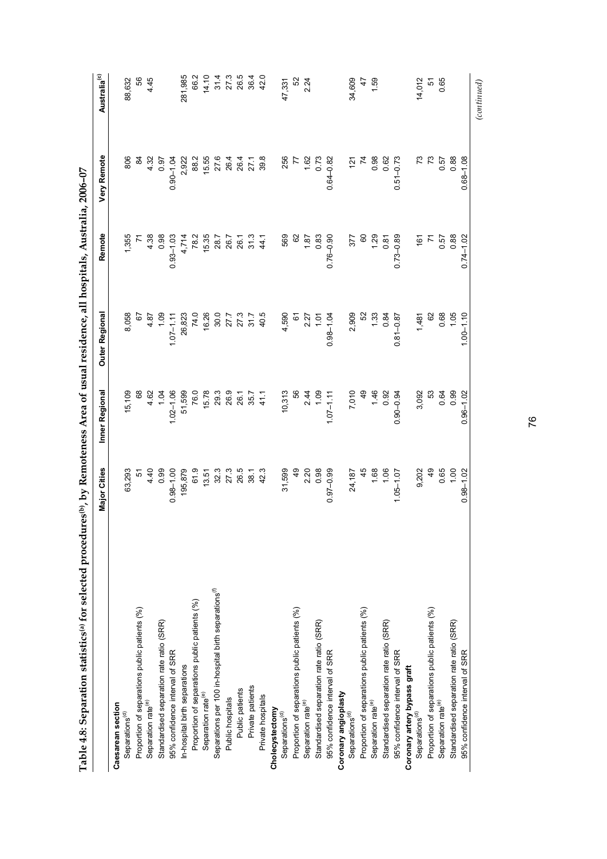| ļ<br>.<br>.<br>.                                |
|-------------------------------------------------|
| l<br>计算机                                        |
|                                                 |
|                                                 |
| l                                               |
| ֕                                               |
| $\overline{a}$<br>ı<br>$\overline{a}$<br>l<br>l |
| ֚<br>ı<br>l<br>į<br>L<br>֕                      |

|                                                                  | <b>Major Cities</b>                         | Inner Regional                                 | Outer Regional                                                               | Remote                                                                         | Very Remote                                 | Australia <sup>(c)</sup> |
|------------------------------------------------------------------|---------------------------------------------|------------------------------------------------|------------------------------------------------------------------------------|--------------------------------------------------------------------------------|---------------------------------------------|--------------------------|
| Caesarean section                                                |                                             |                                                |                                                                              |                                                                                |                                             |                          |
| Separations <sup>(d)</sup>                                       | 63,293                                      | 15,109                                         | 8,058                                                                        | 1,355                                                                          | 806                                         | 88,632                   |
| Proportion of separations public patients (%)                    |                                             |                                                |                                                                              |                                                                                |                                             | 99                       |
| Separation rate <sup>(e)</sup>                                   |                                             |                                                | 4.87                                                                         |                                                                                | 4.32                                        | 4.45                     |
| Standardised separation rate ratio (SRR)                         | $4.99$<br>0.9                               |                                                | 1,09                                                                         | $4.38$<br>0.98                                                                 | 0.97                                        |                          |
| 95% confidence interval of SRR                                   | $0.98 - 1.00$                               | $4.62$<br>1.04<br>1.02-1.06                    | $1.07 - 1.11$                                                                | $0.93 - 1.03$                                                                  | $0.90 - 1.04$                               |                          |
| In-hospital birth separations                                    | 195,879                                     |                                                |                                                                              |                                                                                |                                             | 281,985                  |
| Proportion of separations public patients (%)                    | 61.9                                        |                                                | 26,823<br>74.0                                                               | 4,714<br>78.2                                                                  | 2,922<br>882                                | 66.2                     |
| Separation rate <sup>(e)</sup>                                   | 13.51                                       |                                                |                                                                              |                                                                                |                                             |                          |
| Separations per 100 in-hospital birth separations <sup>(f)</sup> | 32.3                                        |                                                | $\begin{array}{c} 16.26 \\ 30.0 \\ 27.7 \\ 27.3 \\ 31.7 \\ 40.5 \end{array}$ | $\begin{array}{c} 15.35 \\ 28.7 \\ 26.7 \\ 26.7 \\ 36.7 \\ 41. \\ \end{array}$ | 15.55<br>27.6 4 4 7<br>28.6 4 7 7 8<br>39.8 |                          |
| Public hospitals                                                 | 27.3                                        |                                                |                                                                              |                                                                                |                                             |                          |
| Public patients                                                  | 26.5                                        |                                                |                                                                              |                                                                                |                                             |                          |
| Private patients                                                 | 38.1                                        |                                                |                                                                              |                                                                                |                                             |                          |
| Private hospitals                                                | 42.3                                        | 41.1                                           |                                                                              |                                                                                |                                             |                          |
| Cholecystectomy                                                  |                                             |                                                |                                                                              |                                                                                |                                             |                          |
| Separations <sup>(d)</sup>                                       | 31,599                                      | 10,313                                         | 4,590                                                                        | 569                                                                            | 256                                         | 47,331                   |
| Proportion of separations public patients (%)                    |                                             |                                                | 61                                                                           |                                                                                | $\overline{z}$                              | 52                       |
| Separation rate <sup>(e)</sup>                                   | $2.20$<br>0.98                              | $2.44$<br>1.09                                 | $2.27$<br>1.01                                                               |                                                                                |                                             | 2.24                     |
| Standardised separation rate ratio (SRR)                         |                                             |                                                |                                                                              | $\frac{1.87}{0.83}$                                                            | $1.62$<br>0.73                              |                          |
| 95% confidence interval of SRR                                   | $0.97 - 0.99$                               | $1.07 - 1.11$                                  | $0.98 - 1.04$                                                                | $0.76 - 0.90$                                                                  | $0.64 - 0.82$                               |                          |
| Coronary angioplasty                                             |                                             |                                                |                                                                              |                                                                                |                                             |                          |
| Separations <sup>(d)</sup>                                       | 24,187                                      |                                                |                                                                              |                                                                                | 121                                         | 34,609                   |
| Proportion of separations public patients (%)                    | 45                                          |                                                |                                                                              |                                                                                |                                             |                          |
| Separation rate <sup>(e)</sup>                                   |                                             |                                                |                                                                              |                                                                                |                                             | 1.59                     |
| Standardised separation rate ratio (SRR)                         | $\begin{array}{c} 1.68 \\ 1.06 \end{array}$ |                                                |                                                                              |                                                                                | 0.62<br>0.62                                |                          |
| 95% confidence interval of SRR                                   | $1.05 - 1.07$                               | $7,010$<br>49<br>49<br>49<br>1.46<br>1.90-0.94 | $2,909$<br>52<br>52<br>52<br>1.33<br>1.33<br>0.81-0.87                       | 88.0-52.0<br>1.30<br>1.80<br>1.80<br>1.90.00                                   | $0.51 - 0.73$                               |                          |
| Coronary artery bypass graft                                     |                                             |                                                |                                                                              |                                                                                |                                             |                          |
| Separations <sup>(d)</sup>                                       | 9,202                                       | 3,092                                          | 1,481                                                                        | 161                                                                            |                                             | 14,012                   |
| Proportion of separations public patients (%)                    | $\frac{9}{4}$                               | S3                                             | 8                                                                            |                                                                                | 73                                          | 5                        |
| Separation rate <sup>(e)</sup>                                   | 0.65                                        | 0.99                                           | $0.68$<br>1.05                                                               | 0.57<br>0.88                                                                   | 0.57                                        | 0.65                     |
| Standardised separation rate ratio (SRR)                         | 00.1                                        |                                                |                                                                              |                                                                                | 0.88                                        |                          |
| 95% confidence interval of SRR                                   | $0.98 - 1.02$                               | $0.96 - 1.02$                                  | $1.00 - 1.10$                                                                | $0.74 - 1.02$                                                                  | $0.68 - 1.08$                               |                          |
|                                                                  |                                             |                                                |                                                                              |                                                                                |                                             | (continued)              |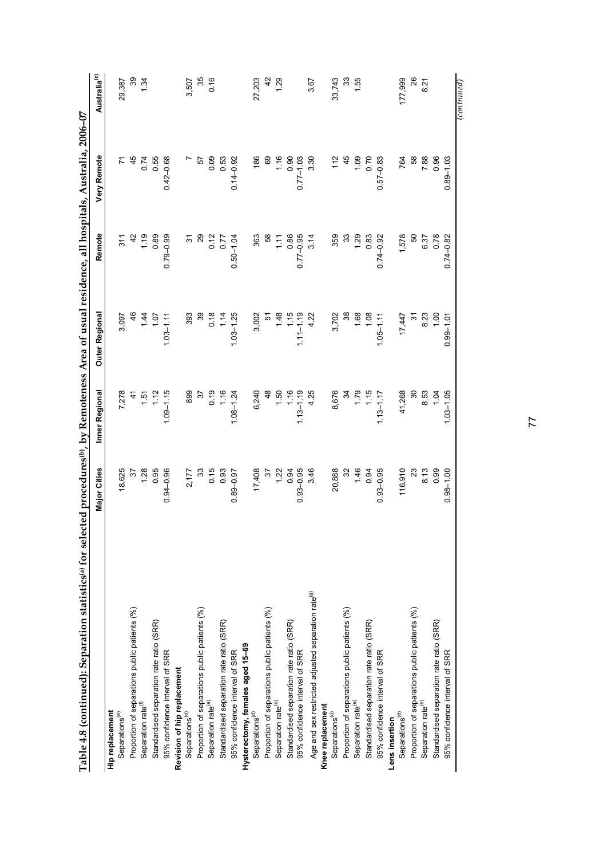| Table 4.8 (continued): Separation statistics <sup>(a</sup> for selected procedures <sup>(b</sup> ) by Remoteness Area of usual residence, all hospitals, Australia, 2006–07 | <b>Major Cities</b> | Inner Regional | Outer Regional | Remote                   | Very Remote   | Australia <sup>(c)</sup> |
|-----------------------------------------------------------------------------------------------------------------------------------------------------------------------------|---------------------|----------------|----------------|--------------------------|---------------|--------------------------|
| Hip replacement                                                                                                                                                             |                     |                |                |                          |               |                          |
| Separations <sup>(e)</sup>                                                                                                                                                  | 18,625              | 7,278          | 3,097          | 311                      |               | 29,387                   |
| Proportion of separations public patients (%)                                                                                                                               | 57                  | 41             | 46             | 42                       | 45            | 39                       |
| Separation rate <sup>(f)</sup>                                                                                                                                              | 1.28                | 1.51           | 1.44           | 1.19                     | 0.74          | 1.34                     |
| Standardised separation rate ratio (SRR)                                                                                                                                    | 0.95                | 1.12           | 1.07           | 0.89                     | 0.55          |                          |
| 95% confidence interval of SRR                                                                                                                                              | $0.94 - 0.96$       | $1.09 - 1.15$  | $1.03 - 1.11$  | $0.79 - 0.99$            | $0.42 - 0.68$ |                          |
| Revision of hip replacement                                                                                                                                                 |                     |                |                |                          |               |                          |
| Separations <sup>(d)</sup>                                                                                                                                                  | 2,177               | 899            | 393            | 5                        |               | 3,507                    |
| Proportion of separations public patients (%)                                                                                                                               | 33                  | 55             | 89             | 29                       | 52            | 35                       |
| Separation rate <sup>(e)</sup>                                                                                                                                              | 0.15                | 0.19           | 0.18           |                          | 0.09          | 0.16                     |
| Standardised separation rate ratio (SRR)                                                                                                                                    | 0.93                | 1.16           | 1.14           | $0.12$<br>$0.77$         | 0.53          |                          |
| 95% confidence interval of SRR                                                                                                                                              | $0.89 - 0.97$       | $1.08 - 1.24$  | $1.03 - 1.25$  | $0.50 - 1.04$            | $0.14 - 0.92$ |                          |
| Hysterectomy, females aged 15-69                                                                                                                                            |                     |                |                |                          |               |                          |
| Separations <sup>(d)</sup>                                                                                                                                                  | 17,408              | 6,240          | 3,002          | 363                      | 186           | 27,203                   |
| Proportion of separations public patients (%)                                                                                                                               | 55                  | $\frac{8}{3}$  | 5              | 58                       | 89            | 42                       |
| Separation rate <sup>(e)</sup>                                                                                                                                              | 1.22                | 1.50           | 1.48           | 1.11                     | 1.16          | 1.29                     |
| Standardised separation rate ratio (SRR)                                                                                                                                    | 0.94                | 1.16           | 1.15           | 0.86                     | 0.90          |                          |
| 95% confidence interval of SRR                                                                                                                                              | $0.93 - 0.95$       | $1.13 - 1.19$  | $1.11 - 1.19$  | $0.77 - 0.95$            | $0.77 - 1.03$ |                          |
| Age and sex restricted adjusted separation rate <sup>(g)</sup>                                                                                                              | 3.46                | 4.25           | 4.22           | 3.14                     | 3.30          | 3.67                     |
| Knee replacement                                                                                                                                                            |                     |                |                |                          |               |                          |
| Separations <sup>(d)</sup>                                                                                                                                                  | 20,888              | 8,676          | 3,702          | 359                      | 112           | 33,743                   |
| Proportion of separations public patients (%)                                                                                                                               |                     | 34             | 38             | ౢ                        | 45            | 33                       |
| Separation rate <sup>(e)</sup>                                                                                                                                              | 1.46                | 1.79           |                |                          | 0.1           | 1.55                     |
| Standardised separation rate ratio (SRR)                                                                                                                                    | 0.94                | 1.15           | $1.08$<br>1.08 | $7.\overline{8}$<br>0.83 | 0.70          |                          |
| 95% confidence interval of SRR                                                                                                                                              | $0.93 - 0.95$       | $1.13 - 1.17$  | $1.05 - 1.11$  | $0.74 - 0.92$            | $0.57 - 0.83$ |                          |
| Lens insertion                                                                                                                                                              |                     |                |                |                          |               |                          |
| Separations <sup>(d)</sup>                                                                                                                                                  | 116,910             | 41,268         | 17,447         | 1,578                    | 764           | 177,999                  |
| Proportion of separations public patients (%)                                                                                                                               | $\mathbb{S}^2$      | 8              | $\tilde{c}$    | 50                       | 58            | 26                       |
| Separation rate <sup>(e)</sup>                                                                                                                                              | 8.13                | 8.53           | 8.23           | 6.37                     | 7.88          | 8.21                     |
| Standardised separation rate ratio (SRR)                                                                                                                                    | 0.99                | 1.04           | 1,00           | 0.78                     | 0.96          |                          |
| 95% confidence interval of SRR                                                                                                                                              | $0.98 - 1.00$       | $1.03 - 1.05$  | $0.99 - 1.01$  | $0.74 - 0.82$            | $0.89 - 1.03$ |                          |
|                                                                                                                                                                             |                     |                |                |                          |               | (continued)              |

# 77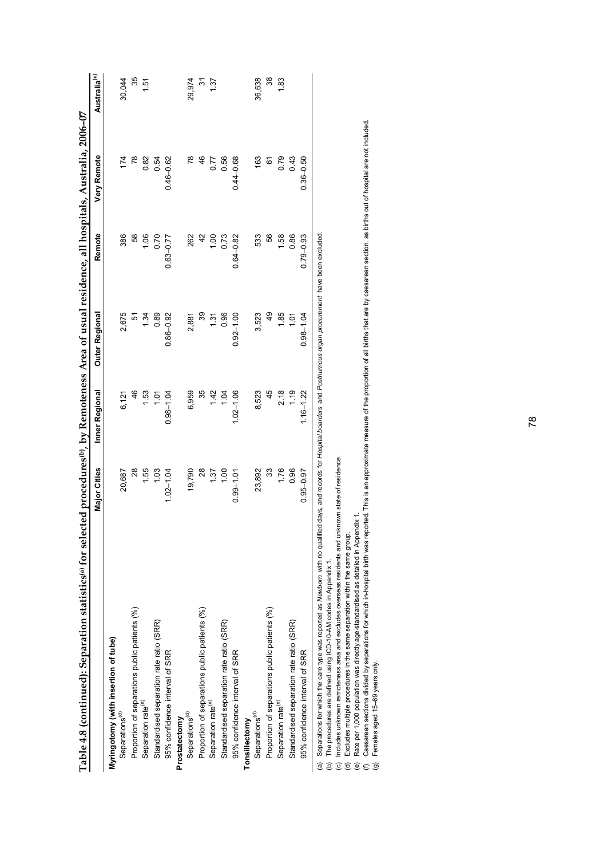| Table 4.8 (continued): Separation statistics(a) for sele                                                                                                                                                                                                                                                                                                                                                                                                                                                                                                                                                                                                                                                                                                                                                           |               |                | cted procedures <sup>(b)</sup> , by Remoteness Area of usual residence, all hospitals, Australia, 2006–07 |                |               |                          |
|--------------------------------------------------------------------------------------------------------------------------------------------------------------------------------------------------------------------------------------------------------------------------------------------------------------------------------------------------------------------------------------------------------------------------------------------------------------------------------------------------------------------------------------------------------------------------------------------------------------------------------------------------------------------------------------------------------------------------------------------------------------------------------------------------------------------|---------------|----------------|-----------------------------------------------------------------------------------------------------------|----------------|---------------|--------------------------|
|                                                                                                                                                                                                                                                                                                                                                                                                                                                                                                                                                                                                                                                                                                                                                                                                                    | Major Cities  | Inner Regional | Outer Regional                                                                                            | Remote         | Very Remote   | Australia <sup>(c)</sup> |
| Myringotomy (with insertion of tube)                                                                                                                                                                                                                                                                                                                                                                                                                                                                                                                                                                                                                                                                                                                                                                               |               |                |                                                                                                           |                |               |                          |
| Separations <sup>(d)</sup>                                                                                                                                                                                                                                                                                                                                                                                                                                                                                                                                                                                                                                                                                                                                                                                         | 20,687        | 6,121          | 2,675                                                                                                     | 386            | 174           | 30,044                   |
| Proportion of separations public patients (%)                                                                                                                                                                                                                                                                                                                                                                                                                                                                                                                                                                                                                                                                                                                                                                      | 28            | 46             | 5                                                                                                         | 58             | 78            | 35                       |
| Separation rate <sup>(e)</sup>                                                                                                                                                                                                                                                                                                                                                                                                                                                                                                                                                                                                                                                                                                                                                                                     | 1.55          | <b>1.53</b>    | 1.34                                                                                                      | 1.06           | 0.82          | 1.51                     |
| Standardised separation rate ratio (SRR)                                                                                                                                                                                                                                                                                                                                                                                                                                                                                                                                                                                                                                                                                                                                                                           | 1.03          | 1.01           | 0.89                                                                                                      | 0.70           | 0.54          |                          |
| 95% confidence interval of SRR                                                                                                                                                                                                                                                                                                                                                                                                                                                                                                                                                                                                                                                                                                                                                                                     | $1.02 - 1.04$ | $0.98 - 1.04$  | $0.86 - 0.92$                                                                                             | $0.63 - 0.77$  | $0.46 - 0.62$ |                          |
| Prostatectomy                                                                                                                                                                                                                                                                                                                                                                                                                                                                                                                                                                                                                                                                                                                                                                                                      |               |                |                                                                                                           |                |               |                          |
| Separations <sup>(d)</sup>                                                                                                                                                                                                                                                                                                                                                                                                                                                                                                                                                                                                                                                                                                                                                                                         | 19,790        | 6,959          | 2,881                                                                                                     | 262            | $\frac{8}{2}$ | 29,974                   |
| Proportion of separations public patients (%)                                                                                                                                                                                                                                                                                                                                                                                                                                                                                                                                                                                                                                                                                                                                                                      | 28            | 35             | 39                                                                                                        | $\overline{4}$ | 46            | 94                       |
| Separation rate <sup>(e)</sup>                                                                                                                                                                                                                                                                                                                                                                                                                                                                                                                                                                                                                                                                                                                                                                                     | 1.37          | 1.42           | 1.31                                                                                                      | 1.00           | 0.77          | 1.37                     |
| Standardised separation rate ratio (SRR)                                                                                                                                                                                                                                                                                                                                                                                                                                                                                                                                                                                                                                                                                                                                                                           | 1.00          | 1.04           | 0.96                                                                                                      | 0.73           | 0.56          |                          |
| 95% confidence interval of SRR                                                                                                                                                                                                                                                                                                                                                                                                                                                                                                                                                                                                                                                                                                                                                                                     | $0.99 - 1.01$ | $1.02 - 1.06$  | $0.92 - 1.00$                                                                                             | $0.64 - 0.82$  | $0.44 - 0.68$ |                          |
| Tonsillectomy                                                                                                                                                                                                                                                                                                                                                                                                                                                                                                                                                                                                                                                                                                                                                                                                      |               |                |                                                                                                           |                |               |                          |
| Separations <sup>(d)</sup>                                                                                                                                                                                                                                                                                                                                                                                                                                                                                                                                                                                                                                                                                                                                                                                         | 23,892        | 8,523          | 3,523                                                                                                     | 533            | 163           | 36,638                   |
| Proportion of separations public patients (%)                                                                                                                                                                                                                                                                                                                                                                                                                                                                                                                                                                                                                                                                                                                                                                      | 33            | 45             | QÞ                                                                                                        | 56             | 61            | 38                       |
| Separation rate <sup>(e)</sup>                                                                                                                                                                                                                                                                                                                                                                                                                                                                                                                                                                                                                                                                                                                                                                                     | 1.76          | 2.18           | 1.85                                                                                                      | 1.58           | 0.79          | 1.83                     |
| Standardised separation rate ratio (SRR)                                                                                                                                                                                                                                                                                                                                                                                                                                                                                                                                                                                                                                                                                                                                                                           | 0.96          | 1.19           | 101                                                                                                       | 0.86           | 0.43          |                          |
| 95% confidence interval of SRR                                                                                                                                                                                                                                                                                                                                                                                                                                                                                                                                                                                                                                                                                                                                                                                     | $0.95 - 0.97$ | $1.16 - 1.22$  | $0.98 - 1.04$                                                                                             | $0.79 - 0.93$  | $0.36 - 0.50$ |                          |
| Caesarean sections divided by separations for which in-hospital birth was reported. This is an approximate measure of the proportion of all births that are by caesarean section, as births out of hospital are not included<br>Separations for which the care type was reported as Newborn with no qualified days, and records for Hospital boarders and Posthurnous organ procurement have been excluded<br>Includes unknown remoteness area and excludes overseas residents and unknown state of residence.<br>Rate per 1,000 population was directly age-standardised as detailed in Appendix 1.<br>Excludes multiple procedures in the same separation within the same group.<br>The procedures are defined using ICD-10-AM codes in Appendix 1.<br>$\widehat{e}$<br>a<br>$\widehat{c}$<br>$\widehat{\sigma}$ |               |                |                                                                                                           |                |               |                          |
| Females aged 15-69 years only.<br>$\widehat{g}$                                                                                                                                                                                                                                                                                                                                                                                                                                                                                                                                                                                                                                                                                                                                                                    |               |                |                                                                                                           |                |               |                          |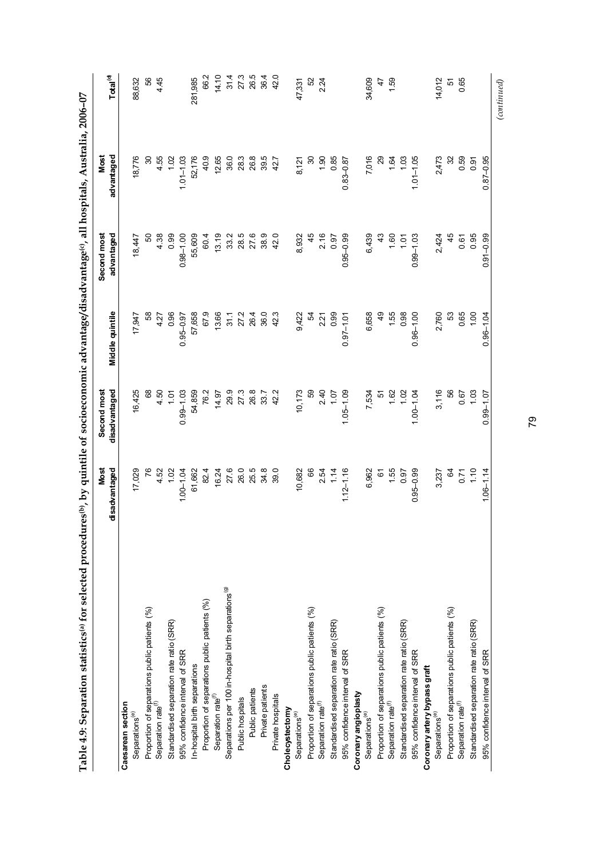| i<br>^        |
|---------------|
|               |
| $\frac{1}{2}$ |
|               |
|               |
|               |
| ı             |
|               |
|               |
|               |
|               |
|               |
| ١             |
|               |
|               |
|               |
|               |
|               |
|               |
|               |
|               |
| l             |
| í             |
|               |
| ç             |
| ł             |
|               |
|               |
|               |
|               |
|               |
|               |
|               |
| l<br>ļ        |
|               |
| .<br>.<br>.   |
| ֕             |

|                                                                  | Most<br>disadvantaged | Second most<br>disadvantaged | Middle quintile | Second most<br>advantaged | advantaged<br>Most | Total <sup>(d)</sup> |
|------------------------------------------------------------------|-----------------------|------------------------------|-----------------|---------------------------|--------------------|----------------------|
| Caesarean section                                                |                       |                              |                 |                           |                    |                      |
| Separations <sup>(e)</sup>                                       | 17,029                | 16,425                       | 17,947          | 18,447                    | 18,776             | 88,632               |
| Proportion of separations public patients (%)                    | 76                    | 89                           | 58              | S                         | 8                  | 56                   |
| Separation rate <sup>(f)</sup>                                   | 4.52                  | 4.50                         | 4.27            | 4.38                      | 4.55               | 445                  |
| Standardised separation rate ratio (SRR)                         | 1.02                  | 1.01                         | 0.96            | 0.99                      | 1.02               |                      |
| 95% confidence interval of SRR                                   | $1.00 - 1.04$         | $0.99 - 1.03$                | $0.95 - 0.97$   | $0.98 - 1.00$             | $1.01 - 1.03$      |                      |
| In-hospital birth separations                                    | 61,662                | 54,859                       | 57,658          | 55,609                    | 52,176             | 281,985              |
| Proportion of separations public patients (%)                    | 82.4                  | 76.2                         | 67.9            | 60.4                      | 40.9               | 66.2                 |
| Separation rate <sup>(f)</sup>                                   | 16.24                 | 14.97                        | 13.66           | 13.19                     | 12.65              | 14.10                |
| Separations per 100 in-hospital birth separations <sup>(9)</sup> | 27.6                  | 29.9                         | 31.1            | 33.2                      | 36.0               | 314                  |
| Public hospitals                                                 | 26.0                  | $273$<br>$26.8$              | 272             | 28.5                      | 28.3               | 27.3<br>26.5         |
| Public patients                                                  | 25.5                  |                              | 26.4            | 27.6                      | 26.8               |                      |
| Private patients                                                 | 34.8                  | 33.7                         | 36.0            | 38.9                      | 39.5               | 364                  |
| Private hospitals                                                | 39.0                  | 42.2                         | 42.3            | 42.0                      | 42.7               | 42.0                 |
| Cholecystectomy                                                  |                       |                              |                 |                           |                    |                      |
| Separations <sup>(e)</sup>                                       | 10,682                | 10,173                       | 9,422           | 8,932                     | 8,121              | 47,331               |
| Proportion of separations public patients (%)                    | 66                    | SS                           | 54              | 45                        | 30                 | 52                   |
| Separation rate <sup>(f)</sup>                                   |                       |                              | 2.21            | 2.16                      | 1.90               | 2.24                 |
| Standardised separation rate ratio (SRR)                         | $2.54$<br>1.4         | $2.40$<br>1.07               | 0.99            | 0.97                      | 0.85               |                      |
| 95% confidence interval of SRR                                   | $1.12 - 1.16$         | $1.05 - 1.09$                | $0.97 - 1.01$   | $0.95 - 0.99$             | $0.83 - 0.87$      |                      |
| Coronary angioplasty                                             |                       |                              |                 |                           |                    |                      |
| Separations <sup>(e)</sup>                                       | 6,962                 | 7,534                        | 6,658           | 6,439                     | 7,016              | 34,609               |
| Proportion of separations public patients (%)                    | 61                    | $\frac{1}{2}$                | ඉ<br>අ          |                           |                    | 47                   |
| Separation rate <sup>(f)</sup>                                   | 1.55                  |                              | 1.55            | 1.60                      | 1.64               | 1.59                 |
| Standardised separation rate ratio (SRR)                         | 0.97                  | $1.62$<br>$1.02$             | 0.98            | 1.01                      | 103                |                      |
| 95% confidence interval of SRR                                   | $0.95 - 0.99$         | $1.00 - 1.04$                | $0.96 - 1.00$   | $0.99 - 1.03$             | $1.01 - 1.05$      |                      |
| Coronary artery bypass graft                                     |                       |                              |                 |                           |                    |                      |
| Separations <sup>(e)</sup>                                       | 3,237                 | 3,116                        | 2,760           | 2,424                     | 2,473              | 14,012               |
| Proportion of separations public patients (%)                    | Z                     | 56                           | 53              | 45                        | 32                 | 57                   |
| Separation rate <sup>(f)</sup>                                   | 0.71                  | 0.67                         | 0.65            | 0.61                      | 0.59               | 0.65                 |
| Standardised separation rate ratio (SRR)                         | 1.10                  | 1.03                         | 1,00            | 0.95                      | 0.91               |                      |
| 95% confidence interval of SRR                                   | $1.06 - 1.14$         | $0.99 - 1.07$                | $0.96 - 1.04$   | $0.91 - 0.99$             | $0.87 - 0.95$      |                      |
|                                                                  |                       |                              |                 |                           |                    | $_{(continued)}$     |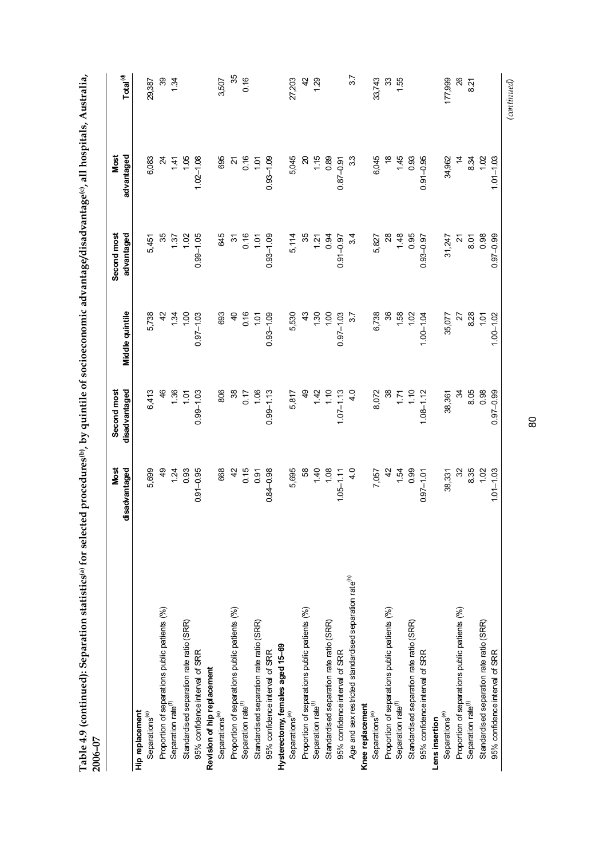| $\frac{1}{2}$                         |   |  |
|---------------------------------------|---|--|
|                                       |   |  |
| $\overline{\mathbf{c}}$               |   |  |
|                                       |   |  |
|                                       |   |  |
|                                       |   |  |
|                                       |   |  |
|                                       |   |  |
|                                       |   |  |
|                                       |   |  |
| quintile of socioeconomic advantage/d |   |  |
| $P$ , by q                            |   |  |
|                                       |   |  |
|                                       |   |  |
| יינים שני                             |   |  |
| )<br>)                                |   |  |
| " for sell.                           |   |  |
|                                       |   |  |
| $-2 + 2 + 2 + 2 + 2$                  |   |  |
| ֪֝֟֜֜֜֜֜֜֜֜֜֜֝֜֜֜                     |   |  |
|                                       |   |  |
|                                       |   |  |
|                                       |   |  |
| ble 4.                                | ₫ |  |
|                                       |   |  |

|                                                                    | <b>Most</b><br>disadvantaged | Second most<br>disadvantaged | Middle quintile | Second most<br>advantaged | Most<br>advantaged | Total <sup>(d)</sup> |
|--------------------------------------------------------------------|------------------------------|------------------------------|-----------------|---------------------------|--------------------|----------------------|
| Hip replacement                                                    |                              |                              |                 |                           |                    |                      |
| Separations <sup>(e)</sup>                                         | 5,699                        | 6,413                        | 5,738           | 5,451                     | 6,083              | 29,387               |
| Proportion of separations public patients (%)                      | 49                           | 46                           | 42              | 35                        | $\mathfrak{p}$     | 39                   |
| Separation rate <sup>(f)</sup>                                     | 1.24                         | 1.36                         | $\overline{3}$  | 1.37                      | 141                | 134                  |
| Standardised separation rate ratio (SRR)                           | 0.93                         | 1.01                         | 1,00            | 1.02                      | 1.05               |                      |
| 95% confidence interval of SRR                                     | $0.91 - 0.95$                | $0.99 - 1.03$                | $0.97 - 1.03$   | $0.99 - 1.05$             | $1.02 - 1.08$      |                      |
| Revision of hip replacement                                        |                              |                              |                 |                           |                    |                      |
| Separations <sup>(e)</sup>                                         | 668                          | 806                          | 693             | 645                       | 695                | 3,507                |
| Proportion of separations public patients (%)                      | $\overline{4}$               | $\frac{8}{3}$                | $\overline{a}$  | $\approx$                 | Z                  | 35                   |
| Separation rate <sup>(1)</sup>                                     | 0.15                         | 0.17                         | 0.16            | 0.16                      | 0.16               | 0.16                 |
| Standardised separation rate ratio (SRR)                           | 0.91                         | 1.06                         | 101             | 1.01                      | 101                |                      |
| 95% confidence interval of SRR                                     | $0.84 - 0.98$                | $0.99 - 1.13$                | $0.93 - 1.09$   | $0.93 - 1.09$             | $0.93 - 1.09$      |                      |
| Hysterectomy, females aged 15-69                                   |                              |                              |                 |                           |                    |                      |
| Separations <sup>(e)</sup>                                         | 5,695                        | 5,817                        | 5,530           | 5,114                     | 5,045              | 27,203               |
| Proportion of separations public patients (%)                      | 89                           | QÞ                           | 43              | 35                        | ର                  | $\frac{2}{3}$        |
| Separation rate <sup>(1)</sup>                                     | 1.40                         | 1.42                         | 1.30            | 1.21                      | 1.15               | 1.29                 |
| Standardised separation rate ratio (SRR)                           | 1.08                         | 1.10                         | 1.00            | 0.94                      | 0.89               |                      |
| 95% confidence interval of SRR                                     | $1.05 - 1.11$                | $1.07 - 1.13$                | $0.97 - 1.03$   | $0.91 - 0.97$             | $0.87 - 0.91$      |                      |
| Age and sex restricted standardised separation rate <sup>(h)</sup> | 4.0                          | 4.0                          | 75              | $3\overline{4}$           | 33                 | 57                   |
| Knee replacement                                                   |                              |                              |                 |                           |                    |                      |
| Separations <sup>(e)</sup>                                         | 7,057                        | 8,072                        | 6,738           | 5,827                     | 6,045              | 33,743               |
| Proportion of separations public patients (%)                      | $\overline{4}$               | $\mathcal{S}^{\mathcal{S}}$  | 36              | $^{28}$                   | $\frac{8}{5}$      | 33                   |
| Separation rate <sup>(f)</sup>                                     | 1.54                         | 1.71                         | 1.58            | 1.48                      | 1.45               | 1.55                 |
| Standardised separation rate ratio (SRR)                           | 0.99                         | 1.10                         | 1.02            | 0.95                      | 0.93               |                      |
| 95% confidence interval of SRR                                     | $0.97 - 1.01$                | $1.08 - 1.12$                | $1.00 - 1.04$   | $0.93 - 0.97$             | $0.91 - 0.95$      |                      |
| Lens insertion                                                     |                              |                              |                 |                           |                    |                      |
| Separations <sup>(e)</sup>                                         | 38,331                       | 38,361                       | 35,077          | 31,247                    | 34,962             | 177,999              |
| Proportion of separations public patients (%)                      | ೫                            | æ                            | 72              | ಸ                         | $\dot{z}$          | 26                   |
| Separation rate <sup>(f)</sup>                                     | 8.35                         | 8.05                         | 828             | 8.01                      | 8.34               | 821                  |
| Standardised separation rate ratio (SRR)                           | 1.02                         | 0.98                         | $\frac{5}{2}$   | 0.98                      | 102                |                      |
| 95% confidence interval of SRR                                     | $1.01 - 1.03$                | $0.97 - 0.99$                | $1.00 - 1.02$   | $0.97 - 0.99$             | $1.01 - 1.03$      |                      |
|                                                                    |                              |                              |                 |                           |                    | $_{(continued)}$     |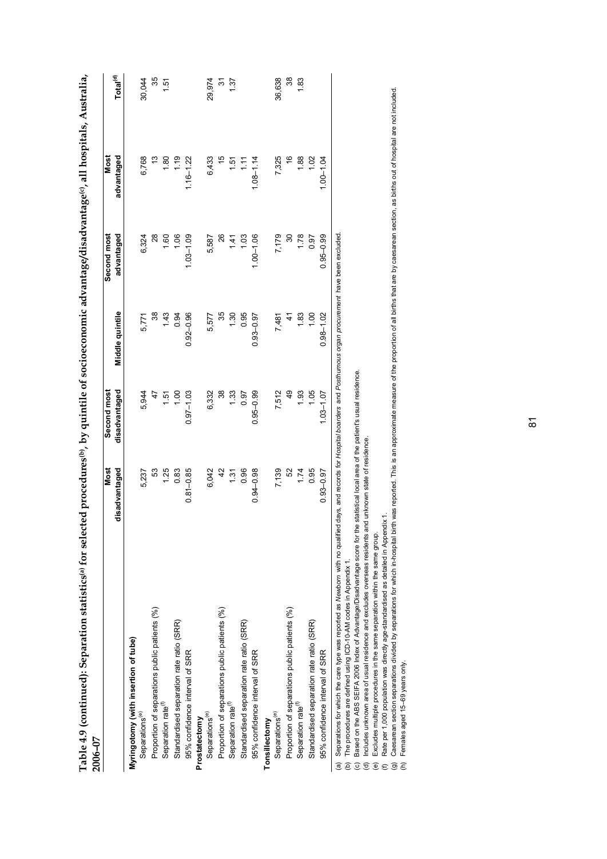| Table 4.9 (continued): Separation statistics(a) for selec<br>2006-07                                                                                                                                                                                                                                                                                                                                                                                                                                                                                |                       |                              |                 |                           | rted procedures <sup>(b)</sup> , by quintile of socioeconomic advantage/disadvantage <sup>(c)</sup> , all hospitals, Australia, |                      |
|-----------------------------------------------------------------------------------------------------------------------------------------------------------------------------------------------------------------------------------------------------------------------------------------------------------------------------------------------------------------------------------------------------------------------------------------------------------------------------------------------------------------------------------------------------|-----------------------|------------------------------|-----------------|---------------------------|---------------------------------------------------------------------------------------------------------------------------------|----------------------|
|                                                                                                                                                                                                                                                                                                                                                                                                                                                                                                                                                     | disadvantaged<br>Most | disadvantaged<br>Second most | Middle quintile | advantaged<br>Second most | advantaged<br>Most                                                                                                              | Total <sup>(d)</sup> |
| Myringotomy (with insertion of tube)<br>Separations <sup>(e)</sup>                                                                                                                                                                                                                                                                                                                                                                                                                                                                                  | 5,237                 | 5,944                        | 5,771           | 6,324                     | 6,768                                                                                                                           | 30,044               |
| Proportion of separations public patients (%)                                                                                                                                                                                                                                                                                                                                                                                                                                                                                                       | 53                    | 47                           | 38              | 28                        | <u>ო</u>                                                                                                                        | 35                   |
| Separation rate <sup>(1)</sup>                                                                                                                                                                                                                                                                                                                                                                                                                                                                                                                      | 1.25                  | 1.51                         | 1.43            | 1.60                      | 1.80                                                                                                                            | $\overline{5}$       |
| Standardised separation rate ratio (SRR)                                                                                                                                                                                                                                                                                                                                                                                                                                                                                                            | 0.83                  | 00.1                         | 0.94            | 1.06                      | 1.19                                                                                                                            |                      |
| 95% confidence interval of SRR                                                                                                                                                                                                                                                                                                                                                                                                                                                                                                                      | $0.81 - 0.85$         | $0.97 - 1.03$                | $0.92 - 0.96$   | $1.03 - 1.09$             | $1.16 - 1.22$                                                                                                                   |                      |
| Prostatectomy                                                                                                                                                                                                                                                                                                                                                                                                                                                                                                                                       |                       |                              |                 |                           |                                                                                                                                 |                      |
| Separations <sup>(e)</sup>                                                                                                                                                                                                                                                                                                                                                                                                                                                                                                                          | 6,042                 | 6,332                        | 5,577           | 5,587                     | 6,433                                                                                                                           | 29,974               |
| Proportion of separations public patients (%)                                                                                                                                                                                                                                                                                                                                                                                                                                                                                                       | $\overline{4}$        | 38                           | 35              | 26                        | 45                                                                                                                              | 22                   |
| Separation rate <sup>(f)</sup>                                                                                                                                                                                                                                                                                                                                                                                                                                                                                                                      | 1.31                  | 1.33                         | 1.30            | 1.41                      | $\frac{15}{1}$                                                                                                                  | 1.37                 |
| Standardised separation rate ratio (SRR)                                                                                                                                                                                                                                                                                                                                                                                                                                                                                                            | 0.96                  | 0.97                         | 0.95            | 1.03                      | $\frac{1}{11}$                                                                                                                  |                      |
| 95% confidence interval of SRR                                                                                                                                                                                                                                                                                                                                                                                                                                                                                                                      | $0.94 - 0.98$         | $0.95 - 0.99$                | $0.93 - 0.97$   | $1.00 - 1.06$             | $1.08 - 1.14$                                                                                                                   |                      |
| Separations <sup>(e)</sup><br>Tonsillectomy                                                                                                                                                                                                                                                                                                                                                                                                                                                                                                         |                       |                              |                 |                           |                                                                                                                                 |                      |
|                                                                                                                                                                                                                                                                                                                                                                                                                                                                                                                                                     | 7,139                 | 7,512                        | 7,481           | 7,179                     | 7,325                                                                                                                           | 36,638               |
| Proportion of separations public patients (%)                                                                                                                                                                                                                                                                                                                                                                                                                                                                                                       | 52                    | 49                           | $\ddot{4}$      | $\frac{8}{3}$             | $\frac{6}{5}$                                                                                                                   | 38                   |
| Separation rate <sup>(1)</sup>                                                                                                                                                                                                                                                                                                                                                                                                                                                                                                                      | 1.74                  | 1.93                         | 1.83            | 1.78                      | 1.88                                                                                                                            | 1.83                 |
| Standardised separation rate ratio (SRR)                                                                                                                                                                                                                                                                                                                                                                                                                                                                                                            | 0.95                  | 1.05                         | 00.1            | 0.97                      | 1.02                                                                                                                            |                      |
| 95% confidence interval of SRR                                                                                                                                                                                                                                                                                                                                                                                                                                                                                                                      | $0.93 - 0.97$         | $1.03 - 1.07$                | $0.98 - 1.02$   | $0.95 - 0.99$             | $1.00 - 1.04$                                                                                                                   |                      |
| Separations for which the care type was reported as Newborn with no qualified days, and records for Hospital boarders and Posthumous organ procurement have been excluded<br>Based on the ABS SEIFA 2006 Index of Advantage/Disadvantage score for the statistical local area of the patient's usual residence.<br>Includes unknown area of usual residence and excludes overseas residents and unknown state of residence<br>The procedures are defined using ICD-10-AM codes in Appendix 1.<br>$\widehat{\sigma}$<br>ම<br>ê<br>$\widehat{\omega}$ |                       |                              |                 |                           |                                                                                                                                 |                      |
| Excludes multiple procedures in the same separation within the same group.<br>$\widehat{e}$                                                                                                                                                                                                                                                                                                                                                                                                                                                         |                       |                              |                 |                           |                                                                                                                                 |                      |
| Caesarean section separations divided by separations for which in-hospital birth was reported. This is an approximate measure of the proportion of all births that are by caesarean section, as births out of hospital are not<br>Rate per 1,000 population was directly age-standardised as detailed in Appendix 1.<br>$\widehat{\mathbf{G}}$<br>€                                                                                                                                                                                                 |                       |                              |                 |                           |                                                                                                                                 |                      |
| Females aged 15-69 years only.<br>$\widehat{\epsilon}$                                                                                                                                                                                                                                                                                                                                                                                                                                                                                              |                       |                              |                 |                           |                                                                                                                                 |                      |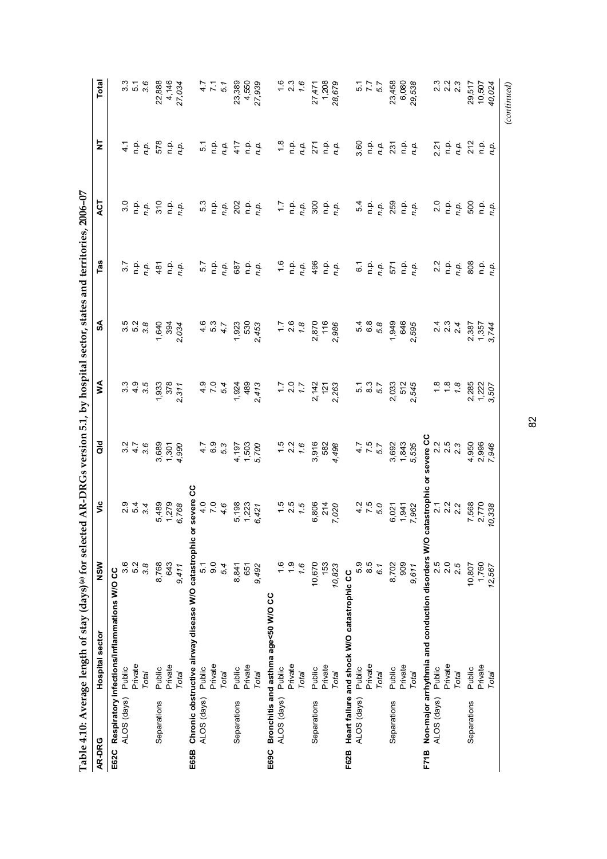| $\frac{6}{1}$<br>496<br>2.2<br>5.7<br>57<br>ρ.<br>Γ<br>ρ.<br>Γ<br>$\frac{\mathsf{p}}{\mathsf{n}}\frac{\mathsf{p}}{\mathsf{p}}.$<br>808<br>n.p.<br>ρ.<br>Γ<br>687<br>$\frac{\alpha}{\Box}$<br>6.1<br>48<br>$\frac{\mathsf{p}}{\mathsf{n}}\frac{\mathsf{p}}{\mathsf{n}}.$<br>n.p.<br>$\frac{p}{n}$<br>ن<br>a<br>n.p.<br>n.p.<br>n.p.<br>571<br>n.p.<br>n.p.<br>3.5<br>5.2<br>$\begin{array}{c} 4 & 0 \\ 2 & 0 \end{array}$<br>2.6<br>10.<br>10.<br>10.<br>2 3 4<br>2 9 4<br>2 9 4<br>3.8<br>1,640<br>530<br>$\ddot{ }$ :<br>1.8<br>2,870<br>116<br>1,949<br>646<br>394<br>1,923<br>2,986<br>5.8<br>595<br>2,034<br>4.7<br>453<br>2,387<br>N,<br>U,<br>3<br>3<br>4<br>9<br>3<br>$\frac{4}{7}$ .0<br>5.3<br>8.3<br>5.7<br>$\frac{8}{1}$<br>$1.8$<br>$7.8$<br>3.5<br>378<br>489<br>$7.7$<br>2.0<br>7.7<br>512<br>2,285<br>1,933<br>2,142<br>2,033<br>545<br>5.4<br>1,924<br>2,263<br>311<br>413<br>121<br>2.<br>2,<br>C,<br>severe CC<br>3,692<br>2.5<br>2.5<br>2.3<br>$4.7$<br>6.9<br>$7.5$<br>$7.6$<br>$7.6$<br>3,916<br>$4.7$<br>7.5<br>5.7<br>1,843<br>4,950<br>$3.76$<br>$3.76$<br>582<br>5,535<br>3,689<br>1,503<br>5.3<br>4,197<br>5,700<br>4,498<br>1,301<br>4,990<br>catastrophic or<br>severe CC<br>$4.0$<br>7.0<br>$1.5$<br>$2.5$<br>$7.5$<br>$470$<br>$750$<br>21<br>21<br>22<br>22<br>1,279<br>489<br>4.6<br>5,198<br>806<br>214<br>$2.7$<br>$2.2$<br>$2.2$<br>7,568<br>1,223<br>7,020<br>3.4<br>6,768<br>6,021<br>7,962<br>6,421<br>1,941<br>πÒ<br>ဖ<br>៰<br>Chronic obstructive airway disease W/O catastrophic<br>Non-major arrhythmia and conduction disorders W/O<br>2.5<br>8.5<br>2.0<br>3.6<br>5.2<br>8,768<br>643<br>0.6<br>$\frac{0}{1}$<br>10,670<br>5.9<br>909<br>3.8<br>5.1<br>$\frac{6}{1}$<br>153<br>8,702<br>2.5<br>10,807<br>1.6<br>5.4<br>8,841<br>10,823<br>9,411<br>9,492<br>6.1<br>9,611<br>651<br>Respiratory infections/inflammations W/O CC<br>Heart failure and shock W/O catastrophic CC<br>Bronchitis and asthma age<50 W/O CC<br>Private<br>Private<br>Private<br>Private<br>Private<br>Private<br>Private<br>Private<br>Private<br>Public<br>Public<br>Public<br>Public<br>Public<br>Public<br>Public<br>Public<br>Public<br>Public<br>Total<br>Total<br>Total<br>Total<br>Total<br>Total<br>Total<br>Total<br>Total<br>ALOS (days)<br>ALOS (days)<br>ALOS (days)<br>ALOS (days)<br>ALOS (days)<br>Separations<br>Separations<br>Separations<br>Separations<br>Separations<br>E69C<br>E62C<br>E65B<br>F71B<br>F62B | AR-DRG | Hospital sector | NSW | š | $\frac{d}{d}$ | Š | SA | Tas | ACT                                                                                                                                                                                                                                                                                                                                                                                                                         | 보                                  | Total               |
|--------------------------------------------------------------------------------------------------------------------------------------------------------------------------------------------------------------------------------------------------------------------------------------------------------------------------------------------------------------------------------------------------------------------------------------------------------------------------------------------------------------------------------------------------------------------------------------------------------------------------------------------------------------------------------------------------------------------------------------------------------------------------------------------------------------------------------------------------------------------------------------------------------------------------------------------------------------------------------------------------------------------------------------------------------------------------------------------------------------------------------------------------------------------------------------------------------------------------------------------------------------------------------------------------------------------------------------------------------------------------------------------------------------------------------------------------------------------------------------------------------------------------------------------------------------------------------------------------------------------------------------------------------------------------------------------------------------------------------------------------------------------------------------------------------------------------------------------------------------------------------------------------------------------------------------------------------------------------------------------------------------------------------------------------------------------------------------------------------------------------------------------------------------------------------------------------------------------------------------------------------------------------------------------------------------------------------------------------------------------------------------------------------------------------------------------------------|--------|-----------------|-----|---|---------------|---|----|-----|-----------------------------------------------------------------------------------------------------------------------------------------------------------------------------------------------------------------------------------------------------------------------------------------------------------------------------------------------------------------------------------------------------------------------------|------------------------------------|---------------------|
|                                                                                                                                                                                                                                                                                                                                                                                                                                                                                                                                                                                                                                                                                                                                                                                                                                                                                                                                                                                                                                                                                                                                                                                                                                                                                                                                                                                                                                                                                                                                                                                                                                                                                                                                                                                                                                                                                                                                                                                                                                                                                                                                                                                                                                                                                                                                                                                                                                                        |        |                 |     |   |               |   |    |     |                                                                                                                                                                                                                                                                                                                                                                                                                             |                                    |                     |
|                                                                                                                                                                                                                                                                                                                                                                                                                                                                                                                                                                                                                                                                                                                                                                                                                                                                                                                                                                                                                                                                                                                                                                                                                                                                                                                                                                                                                                                                                                                                                                                                                                                                                                                                                                                                                                                                                                                                                                                                                                                                                                                                                                                                                                                                                                                                                                                                                                                        |        |                 |     |   |               |   |    |     | 3.0                                                                                                                                                                                                                                                                                                                                                                                                                         | $\frac{1}{4}$                      |                     |
|                                                                                                                                                                                                                                                                                                                                                                                                                                                                                                                                                                                                                                                                                                                                                                                                                                                                                                                                                                                                                                                                                                                                                                                                                                                                                                                                                                                                                                                                                                                                                                                                                                                                                                                                                                                                                                                                                                                                                                                                                                                                                                                                                                                                                                                                                                                                                                                                                                                        |        |                 |     |   |               |   |    |     | $\frac{\alpha}{\alpha}$                                                                                                                                                                                                                                                                                                                                                                                                     | ف<br>n                             |                     |
|                                                                                                                                                                                                                                                                                                                                                                                                                                                                                                                                                                                                                                                                                                                                                                                                                                                                                                                                                                                                                                                                                                                                                                                                                                                                                                                                                                                                                                                                                                                                                                                                                                                                                                                                                                                                                                                                                                                                                                                                                                                                                                                                                                                                                                                                                                                                                                                                                                                        |        |                 |     |   |               |   |    |     | n.p.                                                                                                                                                                                                                                                                                                                                                                                                                        | n.p.                               | $3.76$<br>$5.76$    |
|                                                                                                                                                                                                                                                                                                                                                                                                                                                                                                                                                                                                                                                                                                                                                                                                                                                                                                                                                                                                                                                                                                                                                                                                                                                                                                                                                                                                                                                                                                                                                                                                                                                                                                                                                                                                                                                                                                                                                                                                                                                                                                                                                                                                                                                                                                                                                                                                                                                        |        |                 |     |   |               |   |    |     | 310                                                                                                                                                                                                                                                                                                                                                                                                                         | 578                                | 22,888              |
|                                                                                                                                                                                                                                                                                                                                                                                                                                                                                                                                                                                                                                                                                                                                                                                                                                                                                                                                                                                                                                                                                                                                                                                                                                                                                                                                                                                                                                                                                                                                                                                                                                                                                                                                                                                                                                                                                                                                                                                                                                                                                                                                                                                                                                                                                                                                                                                                                                                        |        |                 |     |   |               |   |    |     |                                                                                                                                                                                                                                                                                                                                                                                                                             |                                    | 4,146               |
|                                                                                                                                                                                                                                                                                                                                                                                                                                                                                                                                                                                                                                                                                                                                                                                                                                                                                                                                                                                                                                                                                                                                                                                                                                                                                                                                                                                                                                                                                                                                                                                                                                                                                                                                                                                                                                                                                                                                                                                                                                                                                                                                                                                                                                                                                                                                                                                                                                                        |        |                 |     |   |               |   |    |     | $\frac{1}{n}$ .<br>$\frac{1}{n}$ .                                                                                                                                                                                                                                                                                                                                                                                          | $\frac{1}{n}$ .<br>$\frac{1}{p}$ . | 27,034              |
|                                                                                                                                                                                                                                                                                                                                                                                                                                                                                                                                                                                                                                                                                                                                                                                                                                                                                                                                                                                                                                                                                                                                                                                                                                                                                                                                                                                                                                                                                                                                                                                                                                                                                                                                                                                                                                                                                                                                                                                                                                                                                                                                                                                                                                                                                                                                                                                                                                                        |        |                 |     |   |               |   |    |     |                                                                                                                                                                                                                                                                                                                                                                                                                             |                                    |                     |
|                                                                                                                                                                                                                                                                                                                                                                                                                                                                                                                                                                                                                                                                                                                                                                                                                                                                                                                                                                                                                                                                                                                                                                                                                                                                                                                                                                                                                                                                                                                                                                                                                                                                                                                                                                                                                                                                                                                                                                                                                                                                                                                                                                                                                                                                                                                                                                                                                                                        |        |                 |     |   |               |   |    |     | 5.3                                                                                                                                                                                                                                                                                                                                                                                                                         |                                    |                     |
|                                                                                                                                                                                                                                                                                                                                                                                                                                                                                                                                                                                                                                                                                                                                                                                                                                                                                                                                                                                                                                                                                                                                                                                                                                                                                                                                                                                                                                                                                                                                                                                                                                                                                                                                                                                                                                                                                                                                                                                                                                                                                                                                                                                                                                                                                                                                                                                                                                                        |        |                 |     |   |               |   |    |     | $\frac{1}{2}$                                                                                                                                                                                                                                                                                                                                                                                                               | $\frac{5}{10}$ $\frac{9}{10}$      | 7.7                 |
|                                                                                                                                                                                                                                                                                                                                                                                                                                                                                                                                                                                                                                                                                                                                                                                                                                                                                                                                                                                                                                                                                                                                                                                                                                                                                                                                                                                                                                                                                                                                                                                                                                                                                                                                                                                                                                                                                                                                                                                                                                                                                                                                                                                                                                                                                                                                                                                                                                                        |        |                 |     |   |               |   |    |     | n.p.                                                                                                                                                                                                                                                                                                                                                                                                                        | n.p.                               | 5.1                 |
|                                                                                                                                                                                                                                                                                                                                                                                                                                                                                                                                                                                                                                                                                                                                                                                                                                                                                                                                                                                                                                                                                                                                                                                                                                                                                                                                                                                                                                                                                                                                                                                                                                                                                                                                                                                                                                                                                                                                                                                                                                                                                                                                                                                                                                                                                                                                                                                                                                                        |        |                 |     |   |               |   |    |     | 202                                                                                                                                                                                                                                                                                                                                                                                                                         | 417                                | 23,389              |
|                                                                                                                                                                                                                                                                                                                                                                                                                                                                                                                                                                                                                                                                                                                                                                                                                                                                                                                                                                                                                                                                                                                                                                                                                                                                                                                                                                                                                                                                                                                                                                                                                                                                                                                                                                                                                                                                                                                                                                                                                                                                                                                                                                                                                                                                                                                                                                                                                                                        |        |                 |     |   |               |   |    |     | ۹.p                                                                                                                                                                                                                                                                                                                                                                                                                         | n.p.                               | 4,550               |
|                                                                                                                                                                                                                                                                                                                                                                                                                                                                                                                                                                                                                                                                                                                                                                                                                                                                                                                                                                                                                                                                                                                                                                                                                                                                                                                                                                                                                                                                                                                                                                                                                                                                                                                                                                                                                                                                                                                                                                                                                                                                                                                                                                                                                                                                                                                                                                                                                                                        |        |                 |     |   |               |   |    |     | n.p.                                                                                                                                                                                                                                                                                                                                                                                                                        | n.p.                               | 27,939              |
|                                                                                                                                                                                                                                                                                                                                                                                                                                                                                                                                                                                                                                                                                                                                                                                                                                                                                                                                                                                                                                                                                                                                                                                                                                                                                                                                                                                                                                                                                                                                                                                                                                                                                                                                                                                                                                                                                                                                                                                                                                                                                                                                                                                                                                                                                                                                                                                                                                                        |        |                 |     |   |               |   |    |     |                                                                                                                                                                                                                                                                                                                                                                                                                             |                                    |                     |
|                                                                                                                                                                                                                                                                                                                                                                                                                                                                                                                                                                                                                                                                                                                                                                                                                                                                                                                                                                                                                                                                                                                                                                                                                                                                                                                                                                                                                                                                                                                                                                                                                                                                                                                                                                                                                                                                                                                                                                                                                                                                                                                                                                                                                                                                                                                                                                                                                                                        |        |                 |     |   |               |   |    |     |                                                                                                                                                                                                                                                                                                                                                                                                                             |                                    |                     |
|                                                                                                                                                                                                                                                                                                                                                                                                                                                                                                                                                                                                                                                                                                                                                                                                                                                                                                                                                                                                                                                                                                                                                                                                                                                                                                                                                                                                                                                                                                                                                                                                                                                                                                                                                                                                                                                                                                                                                                                                                                                                                                                                                                                                                                                                                                                                                                                                                                                        |        |                 |     |   |               |   |    |     |                                                                                                                                                                                                                                                                                                                                                                                                                             | $rac{8}{10}$                       | $1.6$<br>2.3        |
|                                                                                                                                                                                                                                                                                                                                                                                                                                                                                                                                                                                                                                                                                                                                                                                                                                                                                                                                                                                                                                                                                                                                                                                                                                                                                                                                                                                                                                                                                                                                                                                                                                                                                                                                                                                                                                                                                                                                                                                                                                                                                                                                                                                                                                                                                                                                                                                                                                                        |        |                 |     |   |               |   |    |     | $7.7$<br>$7.9$<br>$7.7$                                                                                                                                                                                                                                                                                                                                                                                                     | n.p.                               | 1.6                 |
|                                                                                                                                                                                                                                                                                                                                                                                                                                                                                                                                                                                                                                                                                                                                                                                                                                                                                                                                                                                                                                                                                                                                                                                                                                                                                                                                                                                                                                                                                                                                                                                                                                                                                                                                                                                                                                                                                                                                                                                                                                                                                                                                                                                                                                                                                                                                                                                                                                                        |        |                 |     |   |               |   |    |     | 300                                                                                                                                                                                                                                                                                                                                                                                                                         | 271                                | 27,471              |
|                                                                                                                                                                                                                                                                                                                                                                                                                                                                                                                                                                                                                                                                                                                                                                                                                                                                                                                                                                                                                                                                                                                                                                                                                                                                                                                                                                                                                                                                                                                                                                                                                                                                                                                                                                                                                                                                                                                                                                                                                                                                                                                                                                                                                                                                                                                                                                                                                                                        |        |                 |     |   |               |   |    |     |                                                                                                                                                                                                                                                                                                                                                                                                                             |                                    | 1,208               |
|                                                                                                                                                                                                                                                                                                                                                                                                                                                                                                                                                                                                                                                                                                                                                                                                                                                                                                                                                                                                                                                                                                                                                                                                                                                                                                                                                                                                                                                                                                                                                                                                                                                                                                                                                                                                                                                                                                                                                                                                                                                                                                                                                                                                                                                                                                                                                                                                                                                        |        |                 |     |   |               |   |    |     | $\begin{array}{c} \mathsf{p}.\mathsf{p}.\mathsf{p}.\mathsf{p}.\mathsf{p}.\mathsf{p}.\mathsf{p}.\mathsf{p}.\mathsf{p}.\mathsf{p}.\mathsf{p}.\mathsf{p}.\mathsf{p}.\mathsf{p}.\mathsf{p}.\mathsf{p}.\mathsf{p}.\mathsf{p}.\mathsf{p}.\mathsf{p}.\mathsf{p}.\mathsf{p}.\mathsf{p}.\mathsf{p}.\mathsf{p}.\mathsf{p}.\mathsf{p}.\mathsf{p}.\mathsf{p}.\mathsf{p}.\mathsf{p}.\mathsf{p}.\mathsf{p}.\mathsf{p}.\mathsf{p}.\mathsf$ | $\frac{1}{n}$ .<br>$\frac{1}{p}$ . | 28,679              |
|                                                                                                                                                                                                                                                                                                                                                                                                                                                                                                                                                                                                                                                                                                                                                                                                                                                                                                                                                                                                                                                                                                                                                                                                                                                                                                                                                                                                                                                                                                                                                                                                                                                                                                                                                                                                                                                                                                                                                                                                                                                                                                                                                                                                                                                                                                                                                                                                                                                        |        |                 |     |   |               |   |    |     |                                                                                                                                                                                                                                                                                                                                                                                                                             |                                    |                     |
|                                                                                                                                                                                                                                                                                                                                                                                                                                                                                                                                                                                                                                                                                                                                                                                                                                                                                                                                                                                                                                                                                                                                                                                                                                                                                                                                                                                                                                                                                                                                                                                                                                                                                                                                                                                                                                                                                                                                                                                                                                                                                                                                                                                                                                                                                                                                                                                                                                                        |        |                 |     |   |               |   |    |     | 5.4                                                                                                                                                                                                                                                                                                                                                                                                                         | 3.60                               |                     |
|                                                                                                                                                                                                                                                                                                                                                                                                                                                                                                                                                                                                                                                                                                                                                                                                                                                                                                                                                                                                                                                                                                                                                                                                                                                                                                                                                                                                                                                                                                                                                                                                                                                                                                                                                                                                                                                                                                                                                                                                                                                                                                                                                                                                                                                                                                                                                                                                                                                        |        |                 |     |   |               |   |    |     |                                                                                                                                                                                                                                                                                                                                                                                                                             | ρ.<br>Π                            | $7.7$<br>5.7<br>5.7 |
|                                                                                                                                                                                                                                                                                                                                                                                                                                                                                                                                                                                                                                                                                                                                                                                                                                                                                                                                                                                                                                                                                                                                                                                                                                                                                                                                                                                                                                                                                                                                                                                                                                                                                                                                                                                                                                                                                                                                                                                                                                                                                                                                                                                                                                                                                                                                                                                                                                                        |        |                 |     |   |               |   |    |     | $\frac{1}{n}$ .<br>$\frac{1}{p}$ .                                                                                                                                                                                                                                                                                                                                                                                          | n.p.                               |                     |
|                                                                                                                                                                                                                                                                                                                                                                                                                                                                                                                                                                                                                                                                                                                                                                                                                                                                                                                                                                                                                                                                                                                                                                                                                                                                                                                                                                                                                                                                                                                                                                                                                                                                                                                                                                                                                                                                                                                                                                                                                                                                                                                                                                                                                                                                                                                                                                                                                                                        |        |                 |     |   |               |   |    |     | 259                                                                                                                                                                                                                                                                                                                                                                                                                         | 231                                | 23,458              |
|                                                                                                                                                                                                                                                                                                                                                                                                                                                                                                                                                                                                                                                                                                                                                                                                                                                                                                                                                                                                                                                                                                                                                                                                                                                                                                                                                                                                                                                                                                                                                                                                                                                                                                                                                                                                                                                                                                                                                                                                                                                                                                                                                                                                                                                                                                                                                                                                                                                        |        |                 |     |   |               |   |    |     |                                                                                                                                                                                                                                                                                                                                                                                                                             |                                    | 6,080               |
|                                                                                                                                                                                                                                                                                                                                                                                                                                                                                                                                                                                                                                                                                                                                                                                                                                                                                                                                                                                                                                                                                                                                                                                                                                                                                                                                                                                                                                                                                                                                                                                                                                                                                                                                                                                                                                                                                                                                                                                                                                                                                                                                                                                                                                                                                                                                                                                                                                                        |        |                 |     |   |               |   |    |     | $\frac{a}{n}$ .<br>P.p.                                                                                                                                                                                                                                                                                                                                                                                                     | $\frac{1}{n}$ .<br>$\frac{1}{n}$ . | 29,538              |
|                                                                                                                                                                                                                                                                                                                                                                                                                                                                                                                                                                                                                                                                                                                                                                                                                                                                                                                                                                                                                                                                                                                                                                                                                                                                                                                                                                                                                                                                                                                                                                                                                                                                                                                                                                                                                                                                                                                                                                                                                                                                                                                                                                                                                                                                                                                                                                                                                                                        |        |                 |     |   |               |   |    |     |                                                                                                                                                                                                                                                                                                                                                                                                                             |                                    |                     |
|                                                                                                                                                                                                                                                                                                                                                                                                                                                                                                                                                                                                                                                                                                                                                                                                                                                                                                                                                                                                                                                                                                                                                                                                                                                                                                                                                                                                                                                                                                                                                                                                                                                                                                                                                                                                                                                                                                                                                                                                                                                                                                                                                                                                                                                                                                                                                                                                                                                        |        |                 |     |   |               |   |    |     | 2.0                                                                                                                                                                                                                                                                                                                                                                                                                         | 2.21                               |                     |
|                                                                                                                                                                                                                                                                                                                                                                                                                                                                                                                                                                                                                                                                                                                                                                                                                                                                                                                                                                                                                                                                                                                                                                                                                                                                                                                                                                                                                                                                                                                                                                                                                                                                                                                                                                                                                                                                                                                                                                                                                                                                                                                                                                                                                                                                                                                                                                                                                                                        |        |                 |     |   |               |   |    |     |                                                                                                                                                                                                                                                                                                                                                                                                                             | ρ.<br>Γ                            |                     |
|                                                                                                                                                                                                                                                                                                                                                                                                                                                                                                                                                                                                                                                                                                                                                                                                                                                                                                                                                                                                                                                                                                                                                                                                                                                                                                                                                                                                                                                                                                                                                                                                                                                                                                                                                                                                                                                                                                                                                                                                                                                                                                                                                                                                                                                                                                                                                                                                                                                        |        |                 |     |   |               |   |    |     | $\frac{p}{n}$ .<br>p.                                                                                                                                                                                                                                                                                                                                                                                                       | n.p.                               | 3<br>223<br>23      |
|                                                                                                                                                                                                                                                                                                                                                                                                                                                                                                                                                                                                                                                                                                                                                                                                                                                                                                                                                                                                                                                                                                                                                                                                                                                                                                                                                                                                                                                                                                                                                                                                                                                                                                                                                                                                                                                                                                                                                                                                                                                                                                                                                                                                                                                                                                                                                                                                                                                        |        |                 |     |   |               |   |    |     | 500                                                                                                                                                                                                                                                                                                                                                                                                                         | 212                                | 29,517              |
| ρ.<br>Γ<br>1,357<br>1,222<br>2,996<br>2,770<br>1,760<br>Private                                                                                                                                                                                                                                                                                                                                                                                                                                                                                                                                                                                                                                                                                                                                                                                                                                                                                                                                                                                                                                                                                                                                                                                                                                                                                                                                                                                                                                                                                                                                                                                                                                                                                                                                                                                                                                                                                                                                                                                                                                                                                                                                                                                                                                                                                                                                                                                        |        |                 |     |   |               |   |    |     | $\frac{a}{c}$                                                                                                                                                                                                                                                                                                                                                                                                               | n.p                                | 10,507              |
| n.p.<br>3,744<br>507<br>ω,<br>7,946<br>10,338<br>12,567<br>Total                                                                                                                                                                                                                                                                                                                                                                                                                                                                                                                                                                                                                                                                                                                                                                                                                                                                                                                                                                                                                                                                                                                                                                                                                                                                                                                                                                                                                                                                                                                                                                                                                                                                                                                                                                                                                                                                                                                                                                                                                                                                                                                                                                                                                                                                                                                                                                                       |        |                 |     |   |               |   |    |     | n.p.                                                                                                                                                                                                                                                                                                                                                                                                                        | n.p.                               | 40,024              |
|                                                                                                                                                                                                                                                                                                                                                                                                                                                                                                                                                                                                                                                                                                                                                                                                                                                                                                                                                                                                                                                                                                                                                                                                                                                                                                                                                                                                                                                                                                                                                                                                                                                                                                                                                                                                                                                                                                                                                                                                                                                                                                                                                                                                                                                                                                                                                                                                                                                        |        |                 |     |   |               |   |    |     |                                                                                                                                                                                                                                                                                                                                                                                                                             |                                    | $_{(continued)}$    |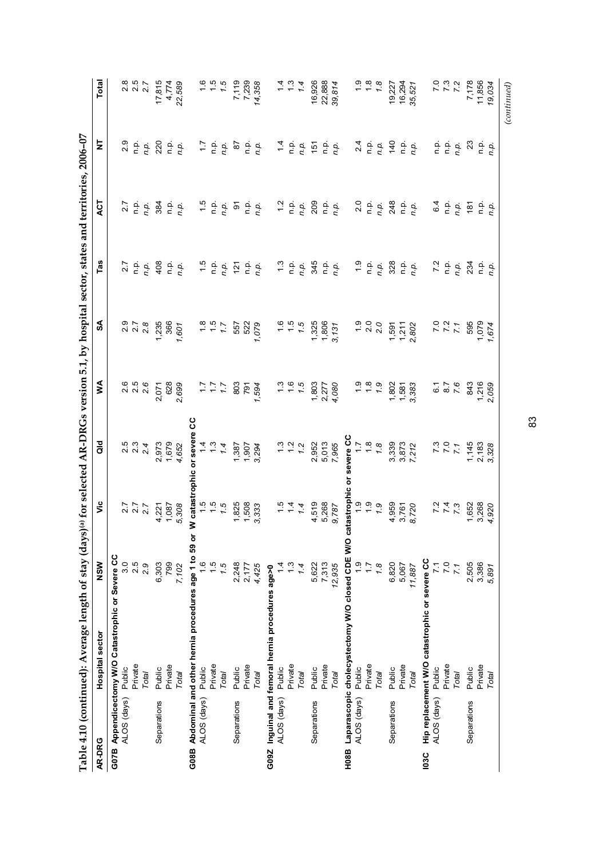|             |             | Table 4.10 (continued): Average length of stay (days) <sup>(a)</sup> for selected AR-DRGs version 5.1, by hospital sector, states and territories, 2006-07                                                               |                 |                                           |                                                              |                                                            |                               |                                                                                    |                                                                               |                                                                                                                   |                                                 |
|-------------|-------------|--------------------------------------------------------------------------------------------------------------------------------------------------------------------------------------------------------------------------|-----------------|-------------------------------------------|--------------------------------------------------------------|------------------------------------------------------------|-------------------------------|------------------------------------------------------------------------------------|-------------------------------------------------------------------------------|-------------------------------------------------------------------------------------------------------------------|-------------------------------------------------|
| AR-DRG      |             | Hospital sector                                                                                                                                                                                                          | NSW             | ۶Ë                                        | $\frac{d}{d}$                                                | Š                                                          | SA                            | Tas                                                                                | ACT                                                                           | Ż                                                                                                                 | Total                                           |
|             |             | G07B Appendicectomy W/O Catastrophic or Severe CC                                                                                                                                                                        |                 |                                           |                                                              |                                                            |                               |                                                                                    |                                                                               |                                                                                                                   |                                                 |
|             | ALOS (days) | Public                                                                                                                                                                                                                   | 3.0             |                                           | $2.5$<br>$2.3$<br>$2.4$                                      | 2.6                                                        | 978<br>228                    | 2.7                                                                                | 27                                                                            | 2.9                                                                                                               | 2.8                                             |
|             |             | Private                                                                                                                                                                                                                  | 2.5             |                                           |                                                              | $2.5$<br>2.6                                               |                               |                                                                                    |                                                                               |                                                                                                                   | $2.\overline{5}$<br>2.7                         |
|             |             | Total                                                                                                                                                                                                                    | 2.9             | $277$<br>$27$<br>$27$                     |                                                              |                                                            |                               | $\frac{a}{n}$ .                                                                    | $\frac{a}{n}$ .                                                               | $\frac{a}{n}$ .                                                                                                   |                                                 |
|             | Separations | Public                                                                                                                                                                                                                   | 6,303           | $4,221$<br>$1,087$<br>$5,308$             |                                                              | 2,071                                                      |                               |                                                                                    | 384<br>D.P.<br>D.P.                                                           | 220                                                                                                               |                                                 |
|             |             | Private                                                                                                                                                                                                                  | 799             |                                           | 2,973<br>1,679<br>4,652                                      | 628<br>2,699                                               | 1,235<br>366<br>1,601         |                                                                                    |                                                                               |                                                                                                                   | $17,815$<br>$4,774$<br>$22,589$                 |
|             |             | Total                                                                                                                                                                                                                    | 7,102           |                                           |                                                              |                                                            |                               | $408$<br>$0.904$                                                                   |                                                                               | $\frac{a}{n}$ .                                                                                                   |                                                 |
| G08B        |             | Abdominal and other hernia procedures age 1 to                                                                                                                                                                           |                 | $59$ or                                   | W catastrophic or severe CC                                  |                                                            |                               |                                                                                    |                                                                               |                                                                                                                   |                                                 |
|             | ALOS (days) | Public                                                                                                                                                                                                                   | $\frac{6}{1}$   |                                           |                                                              |                                                            | $7.7$<br>$7.7$                |                                                                                    |                                                                               |                                                                                                                   |                                                 |
|             |             | Private                                                                                                                                                                                                                  | $\frac{5}{1}$   |                                           |                                                              |                                                            |                               |                                                                                    |                                                                               |                                                                                                                   |                                                 |
|             |             | Total                                                                                                                                                                                                                    | 7.5             | $1.5$<br>$1.5$<br>$1.5$                   | $1.3824$<br>$1.3822$<br>$1.382$<br>$1.4$<br>$1.382$<br>$1.5$ | ハトン                                                        |                               | $1.5$<br>$0.9$<br>$0.9$                                                            | $1.5$<br>$1.9$ $1.9$ $1.9$                                                    | 7.9.9.7                                                                                                           | $\frac{6}{15}$<br>$\frac{6}{15}$                |
|             | Separations | Public                                                                                                                                                                                                                   | 2,248           | 1,825<br>1,508<br>3,333                   |                                                              | 803                                                        | 557                           | 121                                                                                |                                                                               | 87                                                                                                                | 7,119<br>7,239<br>14,358                        |
|             |             | Private                                                                                                                                                                                                                  | 2,177           |                                           |                                                              | 791                                                        | 522<br>1,079                  |                                                                                    |                                                                               |                                                                                                                   |                                                 |
|             |             | Total                                                                                                                                                                                                                    | 4,425           |                                           |                                                              | 1,594                                                      |                               | $\begin{array}{c} \mathsf{p} \ \mathsf{p} \\ \mathsf{r} \ \mathsf{p}. \end{array}$ | $\frac{\mathsf{p}}{\mathsf{n}}\mathsf{p}.$                                    | $\frac{1}{n}$ .<br>$\frac{1}{n}$ .                                                                                |                                                 |
| G09Z        |             | Inguinal and femoral hernia procedures age>0                                                                                                                                                                             |                 |                                           |                                                              |                                                            |                               |                                                                                    |                                                                               |                                                                                                                   |                                                 |
|             | ALOS (days) | Public                                                                                                                                                                                                                   | 4               |                                           |                                                              |                                                            |                               |                                                                                    |                                                                               |                                                                                                                   |                                                 |
|             |             | Private                                                                                                                                                                                                                  | $\frac{3}{2}$   |                                           | $1.3$<br>$1.2$<br>$1.2$                                      |                                                            |                               |                                                                                    |                                                                               |                                                                                                                   | $\frac{1}{4}$ $\frac{1}{3}$ $\frac{4}{4}$       |
|             |             | Total                                                                                                                                                                                                                    | 1.4             | $\frac{1}{1}$ $\frac{1}{4}$ $\frac{4}{4}$ |                                                              |                                                            | $\frac{1}{1}$ 5 5 7           |                                                                                    |                                                                               |                                                                                                                   |                                                 |
|             | Separations | Public                                                                                                                                                                                                                   | 5,622           | 4,519<br>5,268<br>9,787                   | 2,952<br>5,013                                               | $1.3$<br>$1.5$<br>$1.803$<br>$1.803$<br>$1.360$<br>$1.500$ | 1,325<br>1,806<br>3,131       | $7.3$<br>$7.6$<br>$7.45$<br>$7.6$<br>$7.6$<br>$7.6$                                | $7.2$<br>$7.9$<br>$7.9$<br>$7.9$<br>$7.9$<br>$7.9$<br>$7.9$<br>$7.9$<br>$7.9$ | $7.4$ $2.5$ $6.5$ $6.5$ $6.5$ $6.5$ $6.5$                                                                         | 16,926                                          |
|             |             | Private                                                                                                                                                                                                                  | 7,313           |                                           |                                                              |                                                            |                               |                                                                                    |                                                                               |                                                                                                                   | 22,888                                          |
|             |             | Total                                                                                                                                                                                                                    | 12,935          |                                           | 7,965                                                        |                                                            |                               |                                                                                    |                                                                               |                                                                                                                   | 39,814                                          |
| H08B        |             | Laparascopic cholecystectomy W/O closed CDE W/O catastrophic<br>ALOS (days) Public $\begin{array}{c} 1.9 \ \text{Pivate} \ \text{Pivate} \ \text{I.7} \ \end{array}$<br>$\begin{array}{c} 1.9 \ 1.7 \ 1.9 \ \end{array}$ |                 |                                           |                                                              |                                                            |                               |                                                                                    |                                                                               |                                                                                                                   |                                                 |
|             |             |                                                                                                                                                                                                                          |                 |                                           | severe CC<br>1.7<br>1.8<br>1.8                               | $6.9$<br>$7.9$<br>$7.9$                                    |                               |                                                                                    |                                                                               |                                                                                                                   |                                                 |
|             |             |                                                                                                                                                                                                                          |                 |                                           |                                                              |                                                            |                               |                                                                                    |                                                                               |                                                                                                                   |                                                 |
|             |             |                                                                                                                                                                                                                          |                 |                                           |                                                              |                                                            | $-200$<br>$-20$               | $\begin{array}{c}\n 0 \\  0 \\  0 \\  0\n \end{array}$                             | $\begin{array}{c} 0 \\ n \neq 0 \\ n \neq 0. \end{array}$                     | $24$<br>$72$<br>$72$<br>$72$                                                                                      | $\frac{6}{1}$<br>$\frac{6}{1}$<br>$\frac{6}{1}$ |
|             | Separations | Public                                                                                                                                                                                                                   | 6,820           |                                           |                                                              |                                                            |                               | 328                                                                                |                                                                               |                                                                                                                   |                                                 |
|             |             | Private                                                                                                                                                                                                                  | 5,067           | 4,959<br>3,761<br>8,720                   | 3,339<br>3,873<br>7,212                                      | 1,802<br>1,581<br>3,383                                    | $1,591$<br>$1,211$<br>$2,802$ | $\frac{p}{n}$                                                                      | 248<br>n.p.                                                                   | $\begin{array}{c}\n 40 \\  -20 \\  -20\n \end{array}$                                                             | 19,227<br>16,294<br>35,521                      |
|             |             | Total                                                                                                                                                                                                                    | 11,887          |                                           |                                                              |                                                            |                               |                                                                                    |                                                                               |                                                                                                                   |                                                 |
| <b>103C</b> |             | Hip replacement W/O catastrophic or severe CC                                                                                                                                                                            |                 |                                           |                                                              |                                                            |                               |                                                                                    |                                                                               |                                                                                                                   |                                                 |
|             | ALOS (days) | Public                                                                                                                                                                                                                   | $\overline{71}$ |                                           |                                                              |                                                            |                               |                                                                                    | 6.4                                                                           |                                                                                                                   |                                                 |
|             |             | Private                                                                                                                                                                                                                  | 7.0             | $72$<br>$74$<br>$73$                      | $7.3$<br>7.0                                                 | $6.76$<br>$7.8$                                            | $777$<br>7.7                  |                                                                                    |                                                                               |                                                                                                                   | $7.3$<br>$7.3$                                  |
|             |             | Total                                                                                                                                                                                                                    | 7.1             |                                           |                                                              |                                                            |                               | $7.2$<br>$0.9$<br>$0.9$                                                            | $\frac{1}{2}$ $\frac{1}{2}$ $\frac{1}{2}$ $\frac{1}{2}$                       | $\begin{array}{ccc}\n\bullet & \bullet & \bullet & \bullet \\ \bullet & \bullet & \bullet & \bullet\n\end{array}$ |                                                 |
|             | Separations | Public                                                                                                                                                                                                                   | 2,505           | 1,652<br>3,268<br>4,920                   | 1,145                                                        | 843                                                        | 595                           | 234                                                                                |                                                                               | 23                                                                                                                | 7,178                                           |
|             |             | Private                                                                                                                                                                                                                  | 3,386           |                                           | 2,183<br>3,328                                               | 1,216<br>2,059                                             | 1,674                         | n.p.<br>n.p.                                                                       | $\frac{p}{n}$ .                                                               | $\begin{array}{c} \mathsf{p} \ \mathsf{p} \ \mathsf{p} \ \mathsf{n} \ \mathsf{p}. \end{array}$                    | 11,856<br>19,034                                |
|             |             | Total                                                                                                                                                                                                                    | 5,891           |                                           |                                                              |                                                            |                               |                                                                                    |                                                                               |                                                                                                                   |                                                 |
|             |             |                                                                                                                                                                                                                          |                 |                                           |                                                              |                                                            |                               |                                                                                    |                                                                               |                                                                                                                   | (continued)                                     |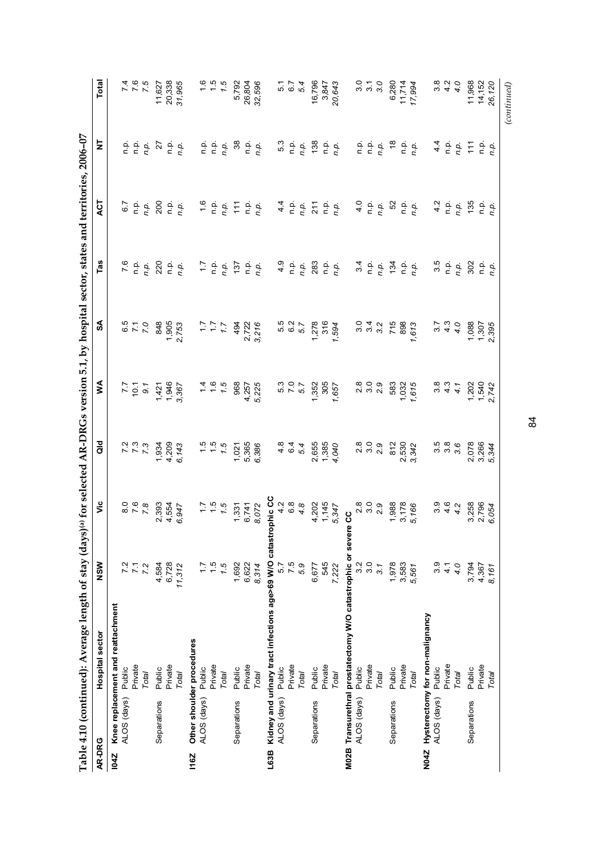|             |             | Table 4.10 (continued): Average length of stay (days) <sup>(a)</sup> for selected AR-DRGs version 5.1, by hospital sector, states and territories, 2006-07 |                |                           |                                  |                                                                                                                                    |                                                  |                                                                  |                                                                                                                                                                                                                                                                                                                                                                                                                             |                                                                                  |                                                         |
|-------------|-------------|------------------------------------------------------------------------------------------------------------------------------------------------------------|----------------|---------------------------|----------------------------------|------------------------------------------------------------------------------------------------------------------------------------|--------------------------------------------------|------------------------------------------------------------------|-----------------------------------------------------------------------------------------------------------------------------------------------------------------------------------------------------------------------------------------------------------------------------------------------------------------------------------------------------------------------------------------------------------------------------|----------------------------------------------------------------------------------|---------------------------------------------------------|
| AR-DRG      |             | Hospital sector                                                                                                                                            | NSW            | ۶Ë                        | $\frac{d}{d}$                    | ⋚                                                                                                                                  | $\mathsf{S}$                                     | Tas                                                              | ACT                                                                                                                                                                                                                                                                                                                                                                                                                         | Ż                                                                                | Total                                                   |
| 1042        |             | Knee replacement and reattachment                                                                                                                          |                |                           |                                  |                                                                                                                                    |                                                  |                                                                  |                                                                                                                                                                                                                                                                                                                                                                                                                             |                                                                                  |                                                         |
|             | ALOS (days) | Public                                                                                                                                                     | 7.2            | $\overline{8}$            |                                  |                                                                                                                                    |                                                  | 7.6                                                              | 6.7                                                                                                                                                                                                                                                                                                                                                                                                                         |                                                                                  |                                                         |
|             |             | Private                                                                                                                                                    |                |                           |                                  |                                                                                                                                    |                                                  |                                                                  |                                                                                                                                                                                                                                                                                                                                                                                                                             |                                                                                  | $776$<br>7.5                                            |
|             |             | Total                                                                                                                                                      | 7.2            | 7.8                       | $7 7 3$<br>$7 3$                 | $7.7$<br>9.1<br>9.1                                                                                                                | $0.70$<br>$7.0$                                  | n.p.<br>n.p.                                                     | $\begin{array}{c} \mathsf{p} \ \mathsf{p}. \\ \mathsf{p}. \ \mathsf{p}. \end{array}$                                                                                                                                                                                                                                                                                                                                        | $\begin{array}{ccc}\n0 & 0 & 0 \\ 0 & 0 & 0\n\end{array}$                        |                                                         |
|             | Separations | Public                                                                                                                                                     | 4,584          |                           |                                  |                                                                                                                                    |                                                  | 220                                                              | 200                                                                                                                                                                                                                                                                                                                                                                                                                         | $\overline{z}$                                                                   | 11,627                                                  |
|             |             | Private                                                                                                                                                    | 6,728          | 2,393<br>4,554<br>6,947   | 1,934<br>4,209<br>6,143          | $1,421$<br>$1,946$<br>$3,367$                                                                                                      | 848<br>1,905<br>2,753                            | 흔                                                                |                                                                                                                                                                                                                                                                                                                                                                                                                             | م.<br>P                                                                          | 20,338<br>37,965                                        |
|             |             | Total                                                                                                                                                      | 11,312         |                           |                                  |                                                                                                                                    |                                                  | n.p.                                                             | $\frac{p}{n}$ .                                                                                                                                                                                                                                                                                                                                                                                                             | n.p.                                                                             |                                                         |
| <b>116Z</b> |             | Other shoulder procedures                                                                                                                                  |                |                           |                                  |                                                                                                                                    |                                                  |                                                                  |                                                                                                                                                                                                                                                                                                                                                                                                                             |                                                                                  |                                                         |
|             | ALOS (days) | Public                                                                                                                                                     | 17             |                           |                                  |                                                                                                                                    |                                                  |                                                                  |                                                                                                                                                                                                                                                                                                                                                                                                                             |                                                                                  |                                                         |
|             |             | Private                                                                                                                                                    | $\frac{5}{1}$  |                           |                                  |                                                                                                                                    |                                                  |                                                                  |                                                                                                                                                                                                                                                                                                                                                                                                                             |                                                                                  |                                                         |
|             |             | Total                                                                                                                                                      | 7.5            | $1.5$<br>$1.5$            | $\frac{1}{1}$ 5<br>$\frac{1}{2}$ | $460$<br>$460$                                                                                                                     | $\begin{array}{c} 1.7 \\ 1.7 \\ 2.1 \end{array}$ | $7.7$<br>$7.7$<br>$7.7$                                          | $\begin{array}{c} 1.6 \\ n. p. \\ n. p. \end{array}$                                                                                                                                                                                                                                                                                                                                                                        | $\begin{array}{ccc}\n 1 & 0 & 0 \\  0 & 0 & 0 \\  0 & 0 & 0\n\end{array}$        | $\frac{1}{1}$ 5 5 $\frac{1}{1}$                         |
|             | Separations | Public                                                                                                                                                     | 1,692          | $7,331$<br>6,741<br>8,072 | 1,021                            | 968                                                                                                                                | 494                                              | 137                                                              | $\ddot{1}$                                                                                                                                                                                                                                                                                                                                                                                                                  | 38                                                                               | 5,792                                                   |
|             |             | Private                                                                                                                                                    | 6,622          |                           | 5,365                            | 4,257<br>5,225                                                                                                                     |                                                  |                                                                  |                                                                                                                                                                                                                                                                                                                                                                                                                             |                                                                                  | 26,804                                                  |
|             |             | Total                                                                                                                                                      | 8,314          |                           | 6,386                            |                                                                                                                                    | 2,722<br>3,216                                   | $\frac{p}{n}$ .                                                  | $\begin{array}{c} \mathsf{p}.\mathsf{p}.\mathsf{p}.\mathsf{p}.\mathsf{p}.\mathsf{p}.\mathsf{p}.\mathsf{p}.\mathsf{p}.\mathsf{p}.\mathsf{p}.\mathsf{p}.\mathsf{p}.\mathsf{p}.\mathsf{p}.\mathsf{p}.\mathsf{p}.\mathsf{p}.\mathsf{p}.\mathsf{p}.\mathsf{p}.\mathsf{p}.\mathsf{p}.\mathsf{p}.\mathsf{p}.\mathsf{p}.\mathsf{p}.\mathsf{p}.\mathsf{p}.\mathsf{p}.\mathsf{p}.\mathsf{p}.\mathsf{p}.\mathsf{p}.\mathsf{p}.\mathsf$ | $\frac{p}{n}$ .<br>p.                                                            | 32,596                                                  |
| L63B        |             | Kidney and urinary tract infections age>69 W/O catastrophic CC                                                                                             |                |                           |                                  |                                                                                                                                    |                                                  |                                                                  |                                                                                                                                                                                                                                                                                                                                                                                                                             |                                                                                  |                                                         |
|             | ALOS (days) | Public                                                                                                                                                     | 5.7            | $4.8$<br>$6.8$<br>$4.8$   |                                  |                                                                                                                                    |                                                  |                                                                  |                                                                                                                                                                                                                                                                                                                                                                                                                             | 5.3                                                                              |                                                         |
|             |             | Private                                                                                                                                                    | 7.5            |                           | $464$<br>$64$                    | 5.3<br>7.0<br>5.7                                                                                                                  | 5.5<br>6.2<br>5.7                                | 4.9                                                              |                                                                                                                                                                                                                                                                                                                                                                                                                             |                                                                                  | 5.7<br>6.7                                              |
|             |             | Total                                                                                                                                                      | 5.9            |                           |                                  |                                                                                                                                    |                                                  | n.p.                                                             | $44$ p.<br>n.p.<br>n.p.                                                                                                                                                                                                                                                                                                                                                                                                     |                                                                                  | 5.4                                                     |
|             | Separations | Public                                                                                                                                                     | 6,677          |                           |                                  | 1,352                                                                                                                              | 1,278                                            | 283                                                              | 211                                                                                                                                                                                                                                                                                                                                                                                                                         | n.p.<br>138                                                                      | 16,796                                                  |
|             |             | Private                                                                                                                                                    | 545            |                           | 2,655<br>1,385                   | 305                                                                                                                                | 316                                              |                                                                  |                                                                                                                                                                                                                                                                                                                                                                                                                             |                                                                                  | 3,847                                                   |
|             |             | Total                                                                                                                                                      | 7,222          | 4,202<br>1,145<br>5,347   | 4,040                            | 1,657                                                                                                                              | 1,594                                            | $\frac{p}{n}$ .                                                  | $\begin{array}{c} \mathsf{p}.\mathsf{p}.\ \mathsf{p}.\ \mathsf{p}.\ \end{array}$                                                                                                                                                                                                                                                                                                                                            | $\frac{p}{n}$ .<br>p.                                                            | 20,643                                                  |
|             |             | M02B Transurethral prostatectomy W/O catastrophic or sever                                                                                                 |                | ပ္ပ                       |                                  |                                                                                                                                    |                                                  |                                                                  |                                                                                                                                                                                                                                                                                                                                                                                                                             |                                                                                  |                                                         |
|             | ALOS (days) | Public                                                                                                                                                     | 3.2            |                           |                                  |                                                                                                                                    |                                                  |                                                                  |                                                                                                                                                                                                                                                                                                                                                                                                                             |                                                                                  |                                                         |
|             |             | Private                                                                                                                                                    | 3.0            |                           |                                  |                                                                                                                                    |                                                  |                                                                  |                                                                                                                                                                                                                                                                                                                                                                                                                             |                                                                                  | $\begin{array}{c} 0 \\ 7 \\ 0 \\ 0 \\ 0 \\ \end{array}$ |
|             |             | Total                                                                                                                                                      | 3.1            | 8<br>೧ ೧ ೧<br>೧ ೧         | 8<br>2<br>8<br>2<br>2<br>2<br>2  | 8<br>2<br>8<br>2<br>2<br>2<br>2<br>2<br>2<br>2<br>2<br>2<br>2<br>2<br>2<br>2<br>2<br>2<br>2<br>1<br>2<br>2<br>1<br>2<br>1<br>2<br> | 0 4 0<br>0 9 0<br>0 0                            | $34$<br>$79.$                                                    | $4.0$<br>$0.9$<br>$0.9$                                                                                                                                                                                                                                                                                                                                                                                                     | $\begin{array}{ccc}\n0 & 0 & 0 \\ 0 & 0 & 0\n\end{array}$                        |                                                         |
|             | Separations | Public                                                                                                                                                     | 1,978          | 1,988                     | 812                              | 583                                                                                                                                | 715<br>898                                       | $\frac{1}{24}$                                                   | 52                                                                                                                                                                                                                                                                                                                                                                                                                          | $\frac{8}{3}$                                                                    | 6,280                                                   |
|             |             | Private                                                                                                                                                    | 3,583<br>5,561 | 3,178<br>5,166            | 2,530<br>3,342                   | $1,032$<br>$1,615$                                                                                                                 |                                                  | $\frac{p}{n}$ .                                                  |                                                                                                                                                                                                                                                                                                                                                                                                                             |                                                                                  | 11,714                                                  |
|             |             | Total                                                                                                                                                      |                |                           |                                  |                                                                                                                                    | 1,613                                            |                                                                  | $\begin{array}{c} \mathsf{p}.\mathsf{p}.\mathsf{p}.\mathsf{p}.\mathsf{p}.\mathsf{p}.\mathsf{p}.\mathsf{p}.\mathsf{p}.\mathsf{p}.\mathsf{p}.\mathsf{p}.\mathsf{p}.\mathsf{p}.\mathsf{p}.\mathsf{p}.\mathsf{p}.\mathsf{p}.\mathsf{p}.\mathsf{p}.\mathsf{p}.\mathsf{p}.\mathsf{p}.\mathsf{p}.\mathsf{p}.\mathsf{p}.\mathsf{p}.\mathsf{p}.\mathsf{p}.\mathsf{p}.\mathsf{p}.\mathsf{p}.\mathsf{p}.\mathsf{p}.\mathsf{p}.\mathsf$ | $\begin{array}{c} \mathsf{p}.\mathsf{p}.\ \mathsf{p}.\ \mathsf{p}.\ \end{array}$ | 17,994                                                  |
| N04Z        |             | Hysterectomy for non-malignancy                                                                                                                            |                |                           |                                  |                                                                                                                                    |                                                  |                                                                  |                                                                                                                                                                                                                                                                                                                                                                                                                             |                                                                                  |                                                         |
|             | ALOS (days) | Public                                                                                                                                                     | 3.9            | $3.6$<br>$4.2$            | 5<br>6<br>6<br>6<br>6<br>6<br>5  | $3.34$<br>$4.4$                                                                                                                    | $3.7$<br>$4.3$<br>$4.0$                          | $\begin{array}{c} 3.5 \\ n \text{ p} \\ n \text{ p} \end{array}$ | 4.2                                                                                                                                                                                                                                                                                                                                                                                                                         | 4.4                                                                              | $3.8$<br>$4.9$<br>$4.9$                                 |
|             |             | Private                                                                                                                                                    | 4.7            |                           |                                  |                                                                                                                                    |                                                  |                                                                  |                                                                                                                                                                                                                                                                                                                                                                                                                             |                                                                                  |                                                         |
|             |             | Total                                                                                                                                                      | 4.0            |                           |                                  |                                                                                                                                    |                                                  |                                                                  | $\begin{array}{c} \mathsf{p}.\mathsf{p}.\mathsf{p}.\mathsf{p}.\mathsf{p}.\end{array}$                                                                                                                                                                                                                                                                                                                                       | $\frac{1}{2}$ $\frac{1}{2}$ $\frac{1}{2}$ $\frac{1}{2}$                          |                                                         |
|             | Separations | Public                                                                                                                                                     | 3,794          | 3,258                     | 2,078                            | $1,540$<br>$1,540$<br>$2,742$                                                                                                      | 1,088<br>1,307<br>2,395                          | 302                                                              | 135                                                                                                                                                                                                                                                                                                                                                                                                                         |                                                                                  | 11,968                                                  |
|             |             | Private                                                                                                                                                    | 4,367          | 2,796<br>6,054            | 3,266<br>5,344                   |                                                                                                                                    |                                                  | n.p.                                                             | $\frac{\mathsf{p}}{\mathsf{n}}\frac{\mathsf{p}}{\mathsf{p}}.$                                                                                                                                                                                                                                                                                                                                                               | $\frac{a}{n}$                                                                    | 14,152                                                  |
|             |             | Total                                                                                                                                                      | 8,161          |                           |                                  |                                                                                                                                    |                                                  |                                                                  |                                                                                                                                                                                                                                                                                                                                                                                                                             |                                                                                  | 26,120                                                  |
|             |             |                                                                                                                                                            |                |                           |                                  |                                                                                                                                    |                                                  |                                                                  |                                                                                                                                                                                                                                                                                                                                                                                                                             |                                                                                  | (continued)                                             |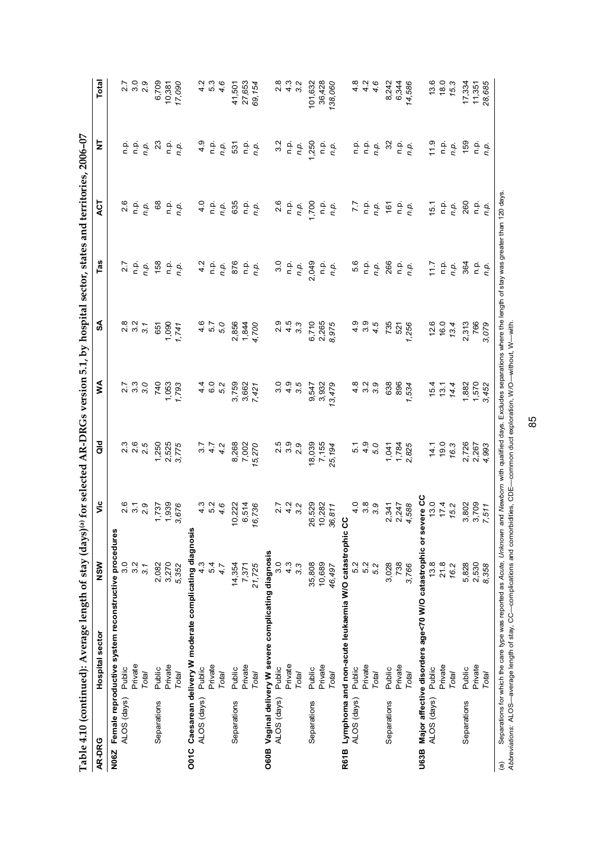|               |                    | Table 4.10 (continued): Average length of stay (day                                                                                                                                  |                  |                                                                             |                   |                     |                                                                                   |               | s) <sup>(a)</sup> for selected AR-DRGs version 5.1, by hospital sector, states and territories, 2006-07 |                                                                                                                              |                 |
|---------------|--------------------|--------------------------------------------------------------------------------------------------------------------------------------------------------------------------------------|------------------|-----------------------------------------------------------------------------|-------------------|---------------------|-----------------------------------------------------------------------------------|---------------|---------------------------------------------------------------------------------------------------------|------------------------------------------------------------------------------------------------------------------------------|-----------------|
| AR-DRG        |                    | Hospital sector                                                                                                                                                                      | NSW              | yic                                                                         | a<br>G            | Š                   | ઙ∡                                                                                | Tas           | ДCТ                                                                                                     | ξ                                                                                                                            | Total           |
| N06Z          |                    | Female reproductive system reconstructive procedure                                                                                                                                  |                  |                                                                             |                   |                     |                                                                                   |               |                                                                                                         |                                                                                                                              |                 |
|               | ALOS (days) Public |                                                                                                                                                                                      | 3.0              |                                                                             |                   |                     |                                                                                   | 2.7           | 2.6                                                                                                     |                                                                                                                              |                 |
|               |                    | Private                                                                                                                                                                              | $3.\overline{2}$ | 2.5<br>2.5<br>2.9                                                           | 2.3<br>2.6<br>2.5 | 2. 3<br>2. 3        | 2.3<br>2.3                                                                        | ρ.<br>Γ       | ن<br>ء                                                                                                  | $\begin{array}{ccc}\n\bullet & \bullet & \bullet \\ \bullet & \bullet & \bullet \\ \bullet & \bullet & \bullet\n\end{array}$ | 2.7<br>3.0      |
|               |                    | Total                                                                                                                                                                                | 3.1              |                                                                             |                   | 3.0                 | 3.1                                                                               | n.p.          | n.p.                                                                                                    |                                                                                                                              | 2.9             |
|               | Separations        | Public                                                                                                                                                                               | 2,082            | 1,737                                                                       | 1,250             | 740                 | 651                                                                               | 158           | 68                                                                                                      | 23                                                                                                                           | 6,709           |
|               |                    | Private                                                                                                                                                                              | 3,270            | 1,939                                                                       | 2,525<br>3,775    | 1,053<br>1,793      | $1,741$<br>$1,741$                                                                | ف<br>P        | $\frac{1}{2}$                                                                                           |                                                                                                                              | 10,381          |
|               |                    | Total                                                                                                                                                                                | 5,352            | 3,676                                                                       |                   |                     |                                                                                   | n.p.          | n.p.                                                                                                    | $\frac{\mathsf{p}}{\mathsf{n}}\frac{\mathsf{p}}{\mathsf{p}}.$                                                                | 17,090          |
|               |                    | O01C Caesarean delivery W moderate complicating diagnosis                                                                                                                            |                  |                                                                             |                   |                     |                                                                                   |               |                                                                                                         |                                                                                                                              |                 |
|               | ALOS (days)        | Public                                                                                                                                                                               | 4.3              |                                                                             | 5.7               | 4.4                 | $4.\overline{6}$                                                                  | $\frac{2}{4}$ | $\frac{0}{4}$                                                                                           | $\frac{6}{4}$                                                                                                                | 4.2             |
|               |                    | Private                                                                                                                                                                              | 54               | $4.04$<br>$4.04$                                                            | $4.7$<br>$4.2$    | 6.0<br>5.2          | 5.7<br>5.0                                                                        | n p.          | $\frac{a}{c}$                                                                                           |                                                                                                                              | $\frac{53}{46}$ |
|               |                    | Total                                                                                                                                                                                | 4.7              |                                                                             |                   |                     |                                                                                   | n.p.          | n.p.                                                                                                    | $\frac{1}{2}$                                                                                                                |                 |
|               | Separations        | Public                                                                                                                                                                               | 14,354           | 10,222                                                                      | 8,268             | 3,759               | 2,856                                                                             | 876           | 635                                                                                                     | 531                                                                                                                          | 41,501          |
|               |                    | Private                                                                                                                                                                              | 7,371            | 6,514                                                                       | 7,002             |                     |                                                                                   | نې<br>D       | ن<br>ء                                                                                                  |                                                                                                                              | 27,653          |
|               |                    | Total                                                                                                                                                                                | 21,725           | 16,736                                                                      | 15,270            | 3,662<br>7,421      | 4,700<br>4,700                                                                    | n.p.          | n.p.                                                                                                    | n.p.<br>n.p.                                                                                                                 | 69,154          |
| O60B          |                    | Vaginal delivery W severe complicating diagnosis                                                                                                                                     |                  |                                                                             |                   |                     |                                                                                   |               |                                                                                                         |                                                                                                                              |                 |
|               | ALOS (days)        | Public                                                                                                                                                                               | 3.0              |                                                                             |                   |                     |                                                                                   | 3.0           | 2.6                                                                                                     | 3.2                                                                                                                          |                 |
|               |                    | Private                                                                                                                                                                              | $4.\overline{3}$ | $27$<br>$42$<br>$32$                                                        |                   |                     |                                                                                   | ن<br>ء        | n p.                                                                                                    | n p.                                                                                                                         |                 |
|               |                    | Total                                                                                                                                                                                | $3.\overline{3}$ |                                                                             |                   |                     |                                                                                   | n.p.          | n.p.                                                                                                    | n.p.                                                                                                                         |                 |
|               | Separations        | Public                                                                                                                                                                               | 35,808           | 26,529                                                                      | 18,039            | 9,547               | 6,710                                                                             | 2,049         | 1,700                                                                                                   | 1,250                                                                                                                        | 101,632         |
|               |                    | Private                                                                                                                                                                              | 10,689           | 10,282                                                                      | 7,155             | 3,932               | 2,265<br>8,975                                                                    | ن<br>ء        |                                                                                                         |                                                                                                                              | 36,428          |
|               |                    | Total                                                                                                                                                                                | 46,497           | 36,811                                                                      | 25,194            | 13,479              |                                                                                   | n.p.          | $\frac{a}{n}$ .                                                                                         | n.p.<br>n.p.                                                                                                                 | 138,060         |
| R61B          |                    | Lymphoma and non-acute leukaemia W/O catastrophi                                                                                                                                     |                  | ပ္ပ<br>ပ                                                                    |                   |                     |                                                                                   |               |                                                                                                         |                                                                                                                              |                 |
|               | ALOS (days)        | Public                                                                                                                                                                               | 5.2              | $\begin{smallmatrix} 0 & 0 & 0 \\ 4 & 0 & 0 \\ 0 & 0 & 0 \end{smallmatrix}$ |                   |                     |                                                                                   | 5.6           |                                                                                                         | م م                                                                                                                          |                 |
|               |                    | Private                                                                                                                                                                              | 5.2              |                                                                             | 5.1<br>5.9<br>5.0 | 4<br>4 3 9<br>4 9 9 | 4<br>9<br>9<br>9<br>9<br>9<br>9<br>9<br>9<br>9<br>9<br>9<br>9<br>9<br>9<br>1<br>9 | n.<br>E       |                                                                                                         |                                                                                                                              | $444$<br>$44$   |
|               |                    | Total                                                                                                                                                                                | 5.2              |                                                                             |                   |                     |                                                                                   | n.p.          | $7.7$<br>$7.9$<br>$7.7$                                                                                 | $\frac{p}{n}$                                                                                                                |                 |
|               | Separations        | Public                                                                                                                                                                               | 3,028            | 2,341                                                                       | 1,041             | 638                 | 735                                                                               | 266           | $\frac{6}{16}$                                                                                          | $\mathfrak{Z}$                                                                                                               | 8,242           |
|               |                    | Private                                                                                                                                                                              | 738              | 2,247                                                                       | 1,784             | 896                 | 521                                                                               | $\frac{a}{c}$ |                                                                                                         |                                                                                                                              | 6,344           |
|               |                    | Total                                                                                                                                                                                | 3,766            | 4,588                                                                       | 2,825             | 1,534               | 1,256                                                                             | n.p.          | $\frac{p}{n}$ .                                                                                         | $\frac{p}{n}$ .<br>$\frac{p}{p}$ .                                                                                           | 14,586          |
|               |                    | U63B Major affective disorders age<70 W/O catastrophic or                                                                                                                            |                  | severe CC                                                                   |                   |                     |                                                                                   |               |                                                                                                         |                                                                                                                              |                 |
|               | ALOS (days)        | Public                                                                                                                                                                               | 13.8             | 13.0                                                                        | 14.1              | 15.4                | 12.6                                                                              | 11.7          | 15.1                                                                                                    | $\frac{9}{11}$                                                                                                               | 13.6            |
|               |                    | Private                                                                                                                                                                              | 21.8             | 17.4                                                                        | 19.0              | 13.1                | $16.0$<br>$13.4$                                                                  | ن<br>P        | n p.                                                                                                    |                                                                                                                              | 18.0            |
|               |                    | Total                                                                                                                                                                                | 16.2             | 15.2                                                                        | 16.3              | 14.4                |                                                                                   | n.p.          | n.p.                                                                                                    | $\begin{array}{c} \mathsf{p}.\mathsf{p}.\mathsf{p}.\mathsf{p}.\mathsf{p}.\end{array}$                                        | 15.3            |
|               | Separations        | Public                                                                                                                                                                               | 5,828            | 3,802                                                                       | 2,726             | 1,882               | 2,313<br>766                                                                      | 364           | 260                                                                                                     | 159                                                                                                                          | 17,334          |
|               |                    | Private                                                                                                                                                                              | 2,530            | 3,709                                                                       | 2,267             | 1,570               |                                                                                   | $\frac{a}{c}$ | $\frac{a}{c}$                                                                                           |                                                                                                                              | 11,351          |
|               |                    | Total                                                                                                                                                                                | 8,358            | 7,511                                                                       | 993               | 3,452               | 3,079                                                                             | n.p.          | n.p.                                                                                                    | $\frac{1}{2}$                                                                                                                | 28,685          |
| $\widehat{a}$ |                    | Separations for which the care type was reported as Ac <i>ute, Unknown</i> and Newborn with qualified days. Excludes separations where the length of stay was greater than 120 days. |                  |                                                                             |                   |                     |                                                                                   |               |                                                                                                         |                                                                                                                              |                 |

5 (a) separations for which the care type was reported as *Acute, Unknown* and Ne*wborn w*ith qualified days. Excludes separations where the life<br>*Abbreviations:* ALOS—average length of stay, CC—complications and comorbidit *Abbreviations:* ALOS—average length of stay, CC—complications and comorbidities, CDE—common duct exploration, W/O—without, W—with.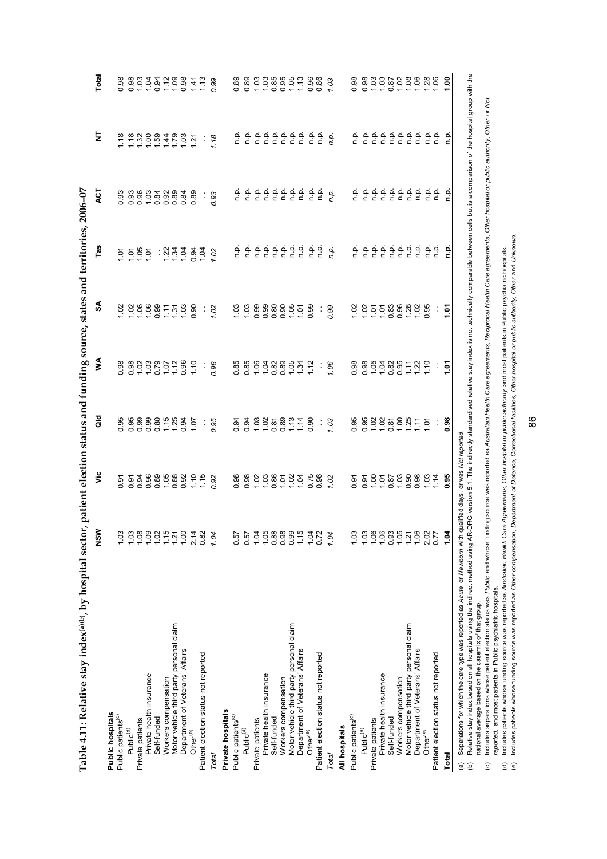| Table 4.11: Relative stay index(a)(b), by hospital sector,                                                                     |                            |                               |                      |                                            | patient election status and funding source, states and territories, 2006-07 |                                                                                                                                                                                                                                                                                                                                                          |                  |                                                                                                                                                                                       |                         |
|--------------------------------------------------------------------------------------------------------------------------------|----------------------------|-------------------------------|----------------------|--------------------------------------------|-----------------------------------------------------------------------------|----------------------------------------------------------------------------------------------------------------------------------------------------------------------------------------------------------------------------------------------------------------------------------------------------------------------------------------------------------|------------------|---------------------------------------------------------------------------------------------------------------------------------------------------------------------------------------|-------------------------|
|                                                                                                                                | NSW                        | ۊ                             | ă                    | ≸                                          | SA                                                                          | Tas                                                                                                                                                                                                                                                                                                                                                      | <b>ACT</b>       | ₹                                                                                                                                                                                     | Total                   |
| Public hospitals                                                                                                               |                            |                               |                      |                                            |                                                                             |                                                                                                                                                                                                                                                                                                                                                          |                  |                                                                                                                                                                                       |                         |
| Public patients <sup>(c)</sup>                                                                                                 | 1.03                       |                               |                      |                                            |                                                                             |                                                                                                                                                                                                                                                                                                                                                          |                  |                                                                                                                                                                                       |                         |
| Public <sup>(d)</sup>                                                                                                          | 1.03                       |                               |                      | 8 8 8 8 9 8 5 9 9 9<br>6 9 9 9 9 9 9 9 9 9 | 288877588                                                                   |                                                                                                                                                                                                                                                                                                                                                          |                  |                                                                                                                                                                                       |                         |
| Private patients                                                                                                               | 1.08                       |                               |                      |                                            |                                                                             |                                                                                                                                                                                                                                                                                                                                                          |                  |                                                                                                                                                                                       |                         |
| Private health insurance                                                                                                       |                            |                               |                      |                                            |                                                                             |                                                                                                                                                                                                                                                                                                                                                          |                  |                                                                                                                                                                                       |                         |
| Self-funded                                                                                                                    | 0.800                      |                               |                      |                                            |                                                                             |                                                                                                                                                                                                                                                                                                                                                          |                  |                                                                                                                                                                                       |                         |
| Workers compensation                                                                                                           |                            |                               |                      |                                            |                                                                             |                                                                                                                                                                                                                                                                                                                                                          |                  |                                                                                                                                                                                       |                         |
| Motor vehicle third party personal claim                                                                                       |                            |                               |                      |                                            |                                                                             |                                                                                                                                                                                                                                                                                                                                                          |                  |                                                                                                                                                                                       |                         |
| Department of Veterans' Affairs                                                                                                |                            |                               |                      |                                            |                                                                             |                                                                                                                                                                                                                                                                                                                                                          |                  |                                                                                                                                                                                       |                         |
| Other <sup>(e)</sup>                                                                                                           | $1.21$<br>$1.00$<br>$2.14$ |                               |                      |                                            |                                                                             |                                                                                                                                                                                                                                                                                                                                                          |                  |                                                                                                                                                                                       |                         |
| Patient election status not reported                                                                                           | 0.82                       |                               |                      |                                            |                                                                             | 5595 : 234584                                                                                                                                                                                                                                                                                                                                            |                  |                                                                                                                                                                                       |                         |
| Total                                                                                                                          | 1.04                       | 0.92                          | 0.95                 | 0.98                                       | $\frac{1}{1.02}$                                                            | 1.02                                                                                                                                                                                                                                                                                                                                                     | $\frac{1}{0.93}$ | $\begin{array}{cccccc}\n 2 & 2 & 3 & 3 & 3 & 4 & 5 & 5 & 7 \\  2 & 3 & 3 & 3 & 3 & 4 & 5 & 5 & 7 \\  3 & 4 & 3 & 3 & 4 & 5 & 5 & 7\n\end{array}$                                      |                         |
| Private hospitals                                                                                                              |                            |                               |                      |                                            |                                                                             |                                                                                                                                                                                                                                                                                                                                                          |                  |                                                                                                                                                                                       |                         |
| Public patients <sup>(c)</sup>                                                                                                 | 0.57                       |                               |                      |                                            |                                                                             |                                                                                                                                                                                                                                                                                                                                                          |                  |                                                                                                                                                                                       |                         |
| Public <sup>(d)</sup>                                                                                                          | 0.57                       | 8882385235882<br>0.8925255882 |                      |                                            |                                                                             | $\begin{array}{cccccccccc} c_{1}^{1} & c_{2}^{1} & c_{3}^{1} & c_{4}^{1} & c_{5}^{1} & c_{6}^{1} & c_{7}^{1} & c_{8}^{1} & c_{9}^{1} & c_{1}^{1} & c_{1}^{1} & c_{1}^{1} & c_{1}^{1} & c_{1}^{1} & c_{1}^{1} & c_{1}^{1} & c_{1}^{1} & c_{1}^{1} & c_{1}^{1} & c_{1}^{1} & c_{1}^{1} & c_{1}^{1} & c_{1}^{1} & c_{1}^{1} & c_{1}^{1} & c_{1}^{1} & c_{1$ |                  |                                                                                                                                                                                       |                         |
| Private patients                                                                                                               | 1.04                       |                               |                      |                                            |                                                                             |                                                                                                                                                                                                                                                                                                                                                          |                  |                                                                                                                                                                                       |                         |
| Private health insurance                                                                                                       | 1.05                       |                               |                      |                                            |                                                                             |                                                                                                                                                                                                                                                                                                                                                          |                  |                                                                                                                                                                                       |                         |
| Self-funded                                                                                                                    |                            |                               |                      |                                            |                                                                             |                                                                                                                                                                                                                                                                                                                                                          |                  |                                                                                                                                                                                       |                         |
| Workers compensation                                                                                                           |                            |                               |                      |                                            |                                                                             |                                                                                                                                                                                                                                                                                                                                                          |                  |                                                                                                                                                                                       |                         |
| Motor vehicle third party personal claim                                                                                       |                            |                               |                      |                                            |                                                                             |                                                                                                                                                                                                                                                                                                                                                          |                  |                                                                                                                                                                                       |                         |
| Department of Veterans' Affairs                                                                                                | 1.15                       |                               |                      |                                            |                                                                             |                                                                                                                                                                                                                                                                                                                                                          |                  |                                                                                                                                                                                       |                         |
| Other <sup>(e)</sup>                                                                                                           | 1.04<br>0.72               |                               |                      |                                            |                                                                             |                                                                                                                                                                                                                                                                                                                                                          |                  |                                                                                                                                                                                       |                         |
| Patient election status not reported                                                                                           |                            |                               | $\ddot{\phantom{a}}$ |                                            | ÷                                                                           |                                                                                                                                                                                                                                                                                                                                                          |                  |                                                                                                                                                                                       |                         |
| Total                                                                                                                          | 1.04                       |                               | 1.03                 | 7.06                                       | 0.99                                                                        |                                                                                                                                                                                                                                                                                                                                                          |                  | $\frac{1}{6}$ $\frac{1}{6}$ $\frac{1}{6}$ $\frac{1}{6}$ $\frac{1}{6}$ $\frac{1}{6}$ $\frac{1}{6}$ $\frac{1}{6}$ $\frac{1}{6}$ $\frac{1}{6}$ $\frac{1}{6}$ $\frac{1}{6}$ $\frac{1}{6}$ |                         |
| All hospitals                                                                                                                  |                            |                               |                      |                                            |                                                                             |                                                                                                                                                                                                                                                                                                                                                          |                  |                                                                                                                                                                                       |                         |
| Public patients <sup>(c)</sup>                                                                                                 | 1.03                       |                               |                      | 0.98                                       |                                                                             |                                                                                                                                                                                                                                                                                                                                                          |                  |                                                                                                                                                                                       | 0.98                    |
| Public(d)                                                                                                                      | 1.03                       |                               | 0.98888887777.8      |                                            | $0.88888888$<br>$0.8558888888$                                              |                                                                                                                                                                                                                                                                                                                                                          |                  | 을 흘흘흘흘흘흘흘흘흘                                                                                                                                                                           | 88888888888888888888888 |
| Private patients                                                                                                               | $\frac{106}{1.06}$         |                               |                      |                                            |                                                                             |                                                                                                                                                                                                                                                                                                                                                          |                  |                                                                                                                                                                                       |                         |
| Private health insurance                                                                                                       |                            |                               |                      |                                            |                                                                             |                                                                                                                                                                                                                                                                                                                                                          |                  |                                                                                                                                                                                       |                         |
| Self-funded                                                                                                                    |                            |                               |                      |                                            |                                                                             |                                                                                                                                                                                                                                                                                                                                                          |                  |                                                                                                                                                                                       |                         |
| Workers compensation                                                                                                           | 0.5578                     |                               |                      |                                            |                                                                             |                                                                                                                                                                                                                                                                                                                                                          |                  |                                                                                                                                                                                       |                         |
| Motor vehicle third party personal claim                                                                                       |                            |                               |                      |                                            |                                                                             |                                                                                                                                                                                                                                                                                                                                                          |                  |                                                                                                                                                                                       |                         |
| Department of Veterans' Affairs                                                                                                |                            |                               |                      |                                            |                                                                             |                                                                                                                                                                                                                                                                                                                                                          |                  |                                                                                                                                                                                       |                         |
| Other <sup>(e)</sup>                                                                                                           | 2.02                       | 1.14                          |                      |                                            |                                                                             |                                                                                                                                                                                                                                                                                                                                                          |                  |                                                                                                                                                                                       |                         |
| Patient election status not reported                                                                                           | 0.77                       |                               |                      |                                            |                                                                             |                                                                                                                                                                                                                                                                                                                                                          |                  |                                                                                                                                                                                       |                         |
| Total                                                                                                                          | 1.04                       | 0.95                          |                      | ਼ਣੂ                                        | $\frac{1}{2}$                                                               | 유                                                                                                                                                                                                                                                                                                                                                        | 윤                | 흔                                                                                                                                                                                     | $\frac{8}{1}$           |
| Separations for which the care type was reported as Acute or Newborn with qualified days, or was Not reported<br>$\widehat{a}$ |                            |                               |                      |                                            |                                                                             |                                                                                                                                                                                                                                                                                                                                                          |                  |                                                                                                                                                                                       |                         |

(b) Relative stay index based on all hospitals using the indirect method using AR-DRG version 5.1. The indirectly standardised relative stay index is not the hotlinically comparable between cells but is a comparison of the Relative stay index based on all hospitals using the indirect method using AR-DRG version 51. The indirectly standardised relative stay index is not technically comparable between cells but is a comparison of the hospital national average based on the casemix of that group. national average based on the casemix of that group.

(c) Includes separations whose patient election status was Pu*blic* and whose funding source was reported as Australian Health Care agreements, Steciprocal Health Care agreements, Other hospital or public authority, Other ncludes separations whose patient election status was Public and whose funding source was reported a Australian Health Care enrements. Reciprocal Health Care agreements, Other hospital or public authority, Other or Not *reported,* and most patients in Public psychiatric hospitals.

(d) Includes patients whose funding source was reported as *Australian Health Care Agreements, Other hospital or public authority* and most patients in Public psychiatric hospitals.

(e) Includes patients whose funding source was reported as *Other compensation, Department of Defence, Correctional facilities, Other hospital or public authority, Other* and *Unknown.*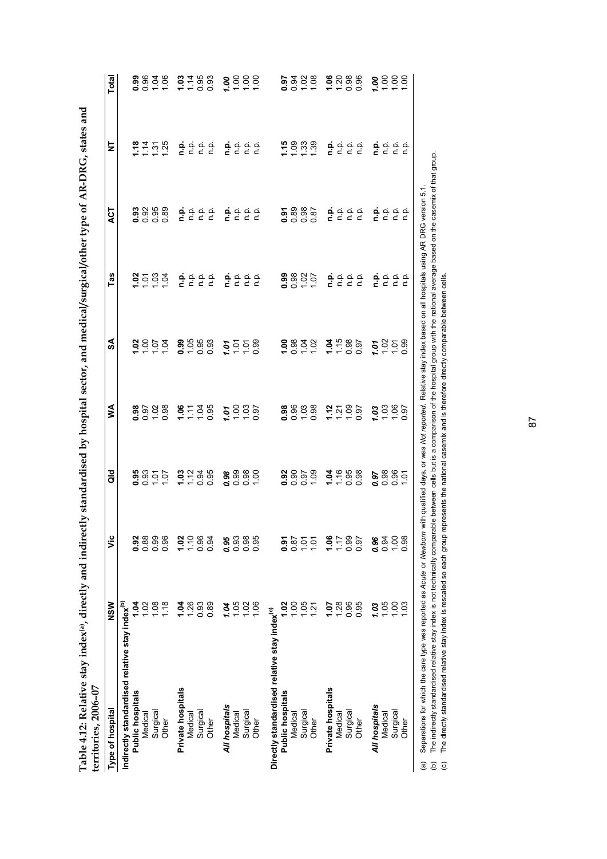| $\frac{1}{2}$<br>֕                                                    |                       |
|-----------------------------------------------------------------------|-----------------------|
| ֧֧ׅ֧ׅ֧ׅ֧ׅ֧ׅ֧ׅ֧֛֧ׅ֧֛֧ׅ֧֧֦֧ׅ֧֦֧֚֚֚֚֚֚֚֚֚֚֚֚֚֚֚֚֚֡֕֝֓֜֓֓֜֓֜֓֜֓֜֓֜֓֜֜֓֜֜֜ |                       |
|                                                                       |                       |
| $-4$ and maps<br>į                                                    |                       |
| $\frac{1}{2}$<br>:<br>;                                               |                       |
| ֧֖֧֧֧֧֧֧֚֚֚֚֚֚֚֚֚֚֚֚֚֚֚֚֚֚֚֚֚֚֝֝֓֝֓֝֬֜֜֝֬                             |                       |
|                                                                       |                       |
|                                                                       |                       |
|                                                                       |                       |
|                                                                       | -<br>^<br>^<br>ך<br>! |
| l<br>ļ                                                                | $\mathsf{I}$          |

| Type of hospital                                           | NSW            | Š              | <b>aid</b> | ≶                                                                     | SA                 | Tas                                                               | <b>ACT</b>                                                   | ż                                                       | Total              |
|------------------------------------------------------------|----------------|----------------|------------|-----------------------------------------------------------------------|--------------------|-------------------------------------------------------------------|--------------------------------------------------------------|---------------------------------------------------------|--------------------|
| Indirectly standardised relative stay index <sup>(b)</sup> |                |                |            |                                                                       |                    |                                                                   |                                                              |                                                         |                    |
| <b>Public hospitals</b>                                    | <u>ड</u>       | 0.92           |            |                                                                       |                    |                                                                   |                                                              |                                                         |                    |
| Medical                                                    | $\overline{c}$ | 0.88           |            |                                                                       |                    |                                                                   |                                                              |                                                         |                    |
| Surgical                                                   | 0.08           | 0.99           |            |                                                                       |                    |                                                                   | $3888$<br>$-0000$                                            |                                                         |                    |
| Other                                                      | 1.18           | 0.96           |            | $\frac{8}{9}$ $\frac{6}{9}$ $\frac{8}{9}$ $\frac{8}{9}$ $\frac{8}{9}$ | $28072$<br>$7207$  | 2588                                                              |                                                              | 227.58                                                  | 38828              |
| Private hospitals                                          | 1.04           | 1.02           |            |                                                                       |                    |                                                                   |                                                              |                                                         |                    |
| Medical                                                    | 1.26           | 1.10           |            |                                                                       |                    |                                                                   |                                                              |                                                         |                    |
| Surgical                                                   | 0.93           | 0.96           |            |                                                                       | $0.588$<br>$-0.58$ |                                                                   |                                                              |                                                         |                    |
| Other                                                      | 0.89           | 0.94           | 2288       | 6578                                                                  |                    | $\frac{a}{c}$ $\frac{a}{c}$ $\frac{a}{c}$ $\frac{a}{c}$           | គុំ ខុំ ខុំ ខ្ញុំ<br>គុំ ខ្ញុំ ខ្ញុំ                         | $\frac{a}{c}$ $\frac{a}{c}$ $\frac{a}{c}$ $\frac{a}{c}$ | $77.88$<br>$75.88$ |
| All hospitals                                              | 1.04           | 0.95           |            |                                                                       | 1.01               |                                                                   |                                                              |                                                         |                    |
| Medical                                                    | 1.05           | 0.93           | 88888      | 2580                                                                  |                    |                                                                   | គុំ ខុំ ខុំ ខ្ញុំ<br>គុំ ខុំ ខុំ ខុំ                         |                                                         | 8888               |
| Surgical                                                   | 1.02           | 0.98           |            |                                                                       | 258                |                                                                   |                                                              |                                                         |                    |
| Other                                                      | 1.06           | 0.95           |            |                                                                       |                    | $\frac{a}{c}$ $\frac{c}{c}$ $\frac{c}{c}$ $\frac{c}{c}$           |                                                              | $\frac{a}{c}$ $\frac{a}{c}$ $\frac{c}{c}$ $\frac{c}{c}$ |                    |
| Directly standardised relative stay index <sup>(c)</sup>   |                |                |            |                                                                       |                    |                                                                   |                                                              |                                                         |                    |
| Public hospitals                                           | $\mathbf{S}$   | <u>हैं</u>     |            |                                                                       |                    |                                                                   |                                                              |                                                         |                    |
| Medical                                                    | S.             | 0.87           |            |                                                                       |                    |                                                                   |                                                              |                                                         |                    |
| Surgical                                                   | 0.05           | $\overline{5}$ | 88888      |                                                                       |                    |                                                                   | 5885<br>0885                                                 | $1988$<br>$1988$                                        |                    |
| Other                                                      | 1.21           | 10.1           |            | 88828                                                                 | 88820              | $\frac{88805}{000}$                                               |                                                              |                                                         | 0.388              |
| Private hospitals                                          | 70.1           | 1.06           |            |                                                                       |                    | ف<br>ء                                                            | م.<br>ء                                                      |                                                         |                    |
| Medical                                                    | 1.28           | 1.17           | 3.688      |                                                                       |                    |                                                                   |                                                              |                                                         | $8088$<br>$-000$   |
| Surgical                                                   | 0.96           | 0.99           |            |                                                                       |                    |                                                                   |                                                              |                                                         |                    |
| Other                                                      | 0.95           | 0.97           |            | 2228                                                                  |                    | $\begin{array}{ccc}\n0 & 0 & 0 \\ \hline\n0 & 0 & 0\n\end{array}$ | $\begin{array}{ccc}\n 2 & 2 & 2 \\  3 & 2 & 2\n \end{array}$ | $\frac{a}{c}$ $\frac{a}{c}$ $\frac{c}{c}$ $\frac{c}{c}$ |                    |
| All hospitals                                              | 1.03           | 0.96           | 8885       | $7.880$<br>$7.880$                                                    | 1.01               | ف<br>ء                                                            | n.p.                                                         | n.p.                                                    | 8888               |
| Medical                                                    | 1.05           | 0.94           |            |                                                                       | 258                |                                                                   | ρ.<br>Γ                                                      | م.<br>n                                                 |                    |
| Surgical                                                   | 00.1           | 1.00           |            |                                                                       |                    | $\begin{array}{ccc}\n 2 & 2 & 2 \\  2 & 3 & 2\n\end{array}$       | $\frac{1}{2}$                                                | ن ۾<br>ح                                                |                    |
| Other                                                      | 03             | 0.98           |            |                                                                       |                    |                                                                   |                                                              |                                                         |                    |

(b) The indirectly standardised relative stay index is not technically comparable between cells but is a comparison of the hospital group with the national average based on the casemix of that group.<br>(c) The directly stand (c) The directly standardised relative stay index is rescaled so each group represents the national casemix and is therefore directly comparable between cells. The indirectly standardised relative stay index is not technically comparable between cells but is a comparison of the hospital group with the national average based on the casemix of that group.

87